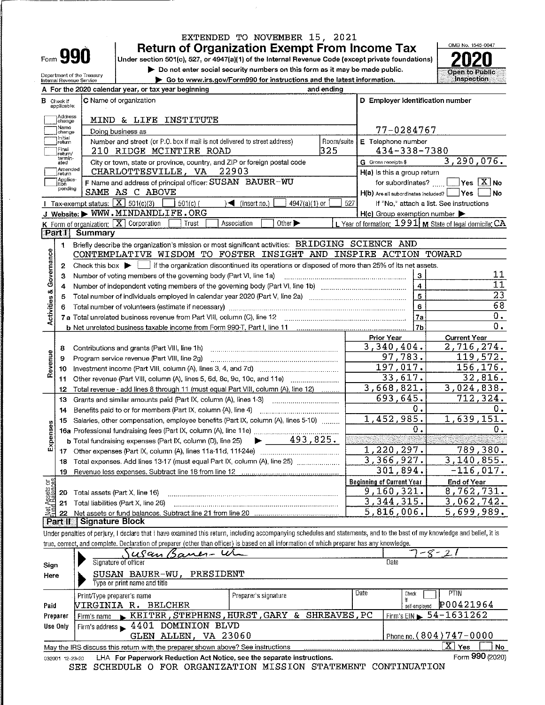# EXTENDED TO NOVEMBER 15, 2021

**Return of Organization Exempt From Income Tax** 

Under section 501(c), 527, or 4947(a)(1) of the Internal Revenue Code (except private foundations) Do not enter social security numbers on this form as it may be made public.

|  | So to www.irs.gov/Form990 for instructions and the latest information. |  |
|--|------------------------------------------------------------------------|--|

Form 990



|                           |                   | Department of the Treasury<br>Internal Revenue Service |                                                                                                                                                                            | ontor again aggurity numbers on pas form be it mey be mugg<br>▶ Go to www.irs.gov/Form990 for instructions and the latest information. |            |                                                     | Open to Public<br><b>Inspection</b>                       |
|---------------------------|-------------------|--------------------------------------------------------|----------------------------------------------------------------------------------------------------------------------------------------------------------------------------|----------------------------------------------------------------------------------------------------------------------------------------|------------|-----------------------------------------------------|-----------------------------------------------------------|
|                           |                   |                                                        | A For the 2020 calendar year, or tax year beginning                                                                                                                        |                                                                                                                                        | and ending |                                                     |                                                           |
|                           | <b>B</b> Check if |                                                        | C Name of organization                                                                                                                                                     |                                                                                                                                        |            | D Employer identification number                    |                                                           |
|                           | applicable:       |                                                        |                                                                                                                                                                            |                                                                                                                                        |            |                                                     |                                                           |
|                           | Address<br>change |                                                        | MIND & LIFE INSTITUTE                                                                                                                                                      |                                                                                                                                        |            |                                                     |                                                           |
|                           | Name<br>change    |                                                        | Doing business as                                                                                                                                                          |                                                                                                                                        |            | 77-0284767                                          |                                                           |
|                           | Initial<br>return |                                                        | Number and street (or P.O. box if mail is not delivered to street address)                                                                                                 |                                                                                                                                        | Room/suite | E Telephone number                                  |                                                           |
|                           | Final<br>return/  |                                                        | 210 RIDGE MCINTIRE ROAD                                                                                                                                                    |                                                                                                                                        | 325        | 434-338-7380                                        |                                                           |
|                           | termin-<br>ated   |                                                        | City or town, state or province, country, and ZIP or foreign postal code                                                                                                   |                                                                                                                                        |            | G Gross receipts \$                                 | 3,290,076.                                                |
|                           | Amended<br>return |                                                        | CHARLOTTESVILLE, VA                                                                                                                                                        | 22903                                                                                                                                  |            | $H(a)$ is this a group return                       |                                                           |
|                           | Applica-<br>tion  |                                                        | F Name and address of principal officer: SUSAN BAUER-WU                                                                                                                    |                                                                                                                                        |            | for subordinates?                                   | $\sqrt{}$ Yes $\sqrt{X}$ No                               |
|                           | pending           |                                                        | SAME AS C ABOVE                                                                                                                                                            |                                                                                                                                        |            | H(b) Are all subordinates included?   Yes           | No                                                        |
|                           |                   |                                                        | Tax-exempt status: $X \overline{X}$ 501(c)(3)<br>$501(c)$ (                                                                                                                | $\sim$ (insert no.)<br>$4947(a)(1)$ or                                                                                                 | 527        |                                                     | If "No." attach a list. See instructions                  |
|                           |                   |                                                        | J Website: WWW.MINDANDLIFE.ORG                                                                                                                                             |                                                                                                                                        |            | $H(c)$ Group exemption number $\blacktriangleright$ |                                                           |
|                           |                   |                                                        | K Form of organization: X Corporation<br>Trust                                                                                                                             | Other ><br>Association                                                                                                                 |            |                                                     | L Year of formation: $1991$ M State of legal domicile: CA |
|                           | <b>Part II</b>    | Summary                                                |                                                                                                                                                                            |                                                                                                                                        |            |                                                     |                                                           |
|                           | 1                 |                                                        | Briefly describe the organization's mission or most significant activities: BRIDGING SCIENCE AND                                                                           |                                                                                                                                        |            |                                                     |                                                           |
|                           |                   |                                                        | CONTEMPLATIVE WISDOM TO FOSTER INSIGHT AND INSPIRE ACTION TOWARD                                                                                                           |                                                                                                                                        |            |                                                     |                                                           |
| Governance                | 2                 |                                                        | Check this box $\blacktriangleright$ if the organization discontinued its operations or disposed of more than 25% of its net assets.                                       |                                                                                                                                        |            |                                                     |                                                           |
|                           | з                 |                                                        | Number of voting members of the governing body (Part VI, line 1a)                                                                                                          |                                                                                                                                        |            | $\bf 3$                                             | 11                                                        |
|                           | 4                 |                                                        |                                                                                                                                                                            |                                                                                                                                        |            | $\overline{4}$                                      | $\overline{11}$                                           |
|                           | 5                 |                                                        |                                                                                                                                                                            |                                                                                                                                        |            | $\mathbf{5}$                                        | $\overline{23}$                                           |
| Activities &              | 6                 |                                                        | Total number of volunteers (estimate if necessary)                                                                                                                         |                                                                                                                                        |            | 6                                                   | 68                                                        |
|                           |                   |                                                        | 7 a Total unrelated business revenue from Part VIII, column (C), line 12                                                                                                   |                                                                                                                                        |            | 7a                                                  | 0.<br>0.                                                  |
|                           |                   |                                                        |                                                                                                                                                                            |                                                                                                                                        |            | 7 <sub>b</sub>                                      |                                                           |
|                           |                   |                                                        |                                                                                                                                                                            |                                                                                                                                        |            | Prior Year<br>3,340,404.                            | <b>Current Year</b><br>2,716,274.                         |
|                           | 8<br>9            |                                                        | Contributions and grants (Part VIII, line 1h)<br>Program service revenue (Part VIII, line 2g)                                                                              |                                                                                                                                        |            | 97,783.                                             | 119,572.                                                  |
| Revenue                   | 10                |                                                        |                                                                                                                                                                            |                                                                                                                                        |            | 197,017.                                            | 156, 176.                                                 |
|                           | 11                |                                                        | Other revenue (Part VIII, column (A), lines 5, 6d, 8c, 9c, 10c, and 11e)                                                                                                   |                                                                                                                                        |            | 33,617.                                             | 32,816.                                                   |
|                           | 12                |                                                        | Total revenue - add lines 8 through 11 (must equal Part VIII, column (A), line 12)                                                                                         |                                                                                                                                        |            | 3,668,821.                                          | 3,024,838.                                                |
|                           | 13                |                                                        | Grants and similar amounts paid (Part IX, column (A), lines 1-3)                                                                                                           |                                                                                                                                        |            | $\overline{6}$ 93,645.                              | 712,324.                                                  |
|                           | 14                |                                                        |                                                                                                                                                                            |                                                                                                                                        |            | 0.                                                  | Ο.                                                        |
|                           | 15                |                                                        | Salaries, other compensation, employee benefits (Part IX, column (A), lines 5-10)                                                                                          |                                                                                                                                        |            | 1,452,985.                                          | 1,639,151.                                                |
|                           |                   |                                                        |                                                                                                                                                                            |                                                                                                                                        |            | 0.                                                  | 0.                                                        |
| Expenses                  |                   |                                                        | <b>b</b> Total fundraising expenses (Part IX, column (D), line 25)                                                                                                         | $\blacktriangleright$ 493,825.                                                                                                         |            |                                                     |                                                           |
|                           |                   |                                                        |                                                                                                                                                                            |                                                                                                                                        |            | 1,220,297.                                          | 789,380.                                                  |
|                           |                   |                                                        | 18 Total expenses. Add lines 13-17 (must equal Part IX, column (A), line 25) [[[[[[[[[[[[[[[[[[[[[[[[[[[[[[[[                                                              |                                                                                                                                        |            | 3,366,927.                                          | $3,140,855$ .                                             |
|                           | 19                |                                                        | Revenue less expenses. Subtract line 18 from line 12                                                                                                                       |                                                                                                                                        |            | 301,894.                                            | $-116,017.$                                               |
| ទន្ទឹ                     |                   |                                                        |                                                                                                                                                                            |                                                                                                                                        |            | <b>Beginning of Current Year</b>                    | <b>End of Year</b>                                        |
| Net Assets<br>Eurd Balanc | 20                |                                                        | Total assets (Part X, line 16)                                                                                                                                             |                                                                                                                                        |            | 9,160,321.                                          | 8,762,731.                                                |
|                           | 21                |                                                        | Total liabilities (Part X, line 26)                                                                                                                                        |                                                                                                                                        |            | 3,344,315.                                          | 3,062,742.                                                |
|                           | 22                |                                                        |                                                                                                                                                                            |                                                                                                                                        |            | 5,816,006.                                          | 5,699,989.                                                |
|                           | <b>Part II</b>    | ▒  Signature Block                                     |                                                                                                                                                                            |                                                                                                                                        |            |                                                     |                                                           |
|                           |                   |                                                        | Under penalties of perjury, I declare that I have examined this return, including accompanying schedules and statements, and to the best of my knowledge and belief, it is |                                                                                                                                        |            |                                                     |                                                           |
|                           |                   |                                                        | true, correct, and complete. Declaration of preparer (other than officer) is based on all information of which preparer has any knowledge.                                 |                                                                                                                                        |            |                                                     |                                                           |
|                           |                   |                                                        | usan Baner-W                                                                                                                                                               |                                                                                                                                        |            |                                                     | $8-$                                                      |
| Sign                      |                   |                                                        | Signature of officer                                                                                                                                                       |                                                                                                                                        |            | Date                                                |                                                           |
| Here                      |                   |                                                        | SUSAN BAUER-WU, PRESIDENT<br>Type or print name and title                                                                                                                  |                                                                                                                                        |            |                                                     |                                                           |
|                           |                   |                                                        |                                                                                                                                                                            |                                                                                                                                        |            | Date<br>Check                                       | <b>PTIN</b>                                               |
|                           |                   |                                                        | Print/Type preparer's name                                                                                                                                                 | Preparer's signature                                                                                                                   |            |                                                     |                                                           |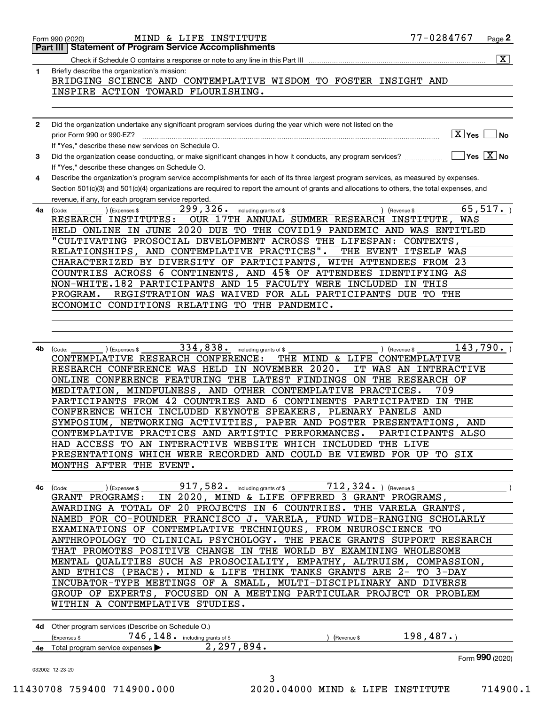| 1            | Briefly describe the organization's mission:<br>BRIDGING SCIENCE AND CONTEMPLATIVE WISDOM TO FOSTER INSIGHT AND                                                                                                                                                                                                                             |
|--------------|---------------------------------------------------------------------------------------------------------------------------------------------------------------------------------------------------------------------------------------------------------------------------------------------------------------------------------------------|
|              | INSPIRE ACTION TOWARD FLOURISHING.                                                                                                                                                                                                                                                                                                          |
| $\mathbf{2}$ | Did the organization undertake any significant program services during the year which were not listed on the                                                                                                                                                                                                                                |
|              | $\boxed{\text{X}}$ Yes<br><b>No</b><br>prior Form 990 or 990-EZ?<br>If "Yes," describe these new services on Schedule O.                                                                                                                                                                                                                    |
| 3            | $\sqrt{}$ Yes $\sqrt{}$ X $\sqrt{}$ No<br>Did the organization cease conducting, or make significant changes in how it conducts, any program services?<br>If "Yes," describe these changes on Schedule O.                                                                                                                                   |
| 4            | Describe the organization's program service accomplishments for each of its three largest program services, as measured by expenses.<br>Section 501(c)(3) and 501(c)(4) organizations are required to report the amount of grants and allocations to others, the total expenses, and<br>revenue, if any, for each program service reported. |
| 4a           | 299, 326. including grants of \$<br>65,517.<br>(Expenses \$<br>) (Revenue \$<br>(Code:                                                                                                                                                                                                                                                      |
|              | OUR 17TH ANNUAL SUMMER RESEARCH INSTITUTE,<br>RESEARCH INSTITUTES:<br>WAS<br>HELD ONLINE IN JUNE 2020 DUE TO THE COVID19 PANDEMIC AND WAS ENTITLED                                                                                                                                                                                          |
|              | "CULTIVATING PROSOCIAL DEVELOPMENT ACROSS THE LIFESPAN: CONTEXTS,                                                                                                                                                                                                                                                                           |
|              | RELATIONSHIPS, AND CONTEMPLATIVE PRACTICES".<br>THE EVENT ITSELF WAS                                                                                                                                                                                                                                                                        |
|              | CHARACTERIZED BY DIVERSITY OF PARTICIPANTS, WITH ATTENDEES FROM 23                                                                                                                                                                                                                                                                          |
|              | COUNTRIES ACROSS 6 CONTINENTS, AND 45% OF ATTENDEES IDENTIFYING AS                                                                                                                                                                                                                                                                          |
|              | NON-WHITE.182 PARTICIPANTS AND 15 FACULTY WERE INCLUDED IN<br>THIS<br>REGISTRATION WAS WAIVED FOR ALL PARTICIPANTS DUE TO THE<br>PROGRAM.                                                                                                                                                                                                   |
|              | ECONOMIC CONDITIONS RELATING TO THE PANDEMIC.                                                                                                                                                                                                                                                                                               |
|              |                                                                                                                                                                                                                                                                                                                                             |
|              |                                                                                                                                                                                                                                                                                                                                             |
| 4b           | 143,790.<br>334, 838. including grants of \$<br>) (Revenue \$<br>(Code:<br>) (Expenses \$                                                                                                                                                                                                                                                   |
|              | CONTEMPLATIVE RESEARCH CONFERENCE:<br>THE MIND & LIFE CONTEMPLATIVE                                                                                                                                                                                                                                                                         |
|              | RESEARCH CONFERENCE WAS HELD IN NOVEMBER 2020.<br>IT WAS AN INTERACTIVE                                                                                                                                                                                                                                                                     |
|              | ONLINE CONFERENCE FEATURING THE LATEST FINDINGS ON THE RESEARCH OF<br>MEDITATION, MINDFULNESS, AND OTHER CONTEMPLATIVE PRACTICES.<br>709                                                                                                                                                                                                    |
|              | PARTICIPANTS FROM 42 COUNTRIES AND 6 CONTINENTS PARTICIPATED<br>IN THE                                                                                                                                                                                                                                                                      |
|              | CONFERENCE WHICH INCLUDED KEYNOTE SPEAKERS, PLENARY PANELS AND                                                                                                                                                                                                                                                                              |
|              | SYMPOSIUM, NETWORKING ACTIVITIES, PAPER AND POSTER PRESENTATIONS, AND                                                                                                                                                                                                                                                                       |
|              | CONTEMPLATIVE PRACTICES AND ARTISTIC PERFORMANCES.<br>PARTICIPANTS ALSO                                                                                                                                                                                                                                                                     |
|              | HAD ACCESS TO AN INTERACTIVE WEBSITE WHICH INCLUDED THE LIVE                                                                                                                                                                                                                                                                                |
|              | PRESENTATIONS WHICH WERE RECORDED AND COULD BE VIEWED FOR UP TO SIX<br>MONTHS AFTER THE EVENT.                                                                                                                                                                                                                                              |
|              |                                                                                                                                                                                                                                                                                                                                             |
| 4c           | $712, 324.$ ) (Revenue \$<br>917, 582. including grants of \$<br>) (Expenses \$<br>(Code:                                                                                                                                                                                                                                                   |
|              | IN 2020, MIND & LIFE OFFERED 3 GRANT PROGRAMS,<br>GRANT PROGRAMS:                                                                                                                                                                                                                                                                           |
|              | AWARDING A TOTAL OF 20 PROJECTS IN 6 COUNTRIES. THE VARELA GRANTS,                                                                                                                                                                                                                                                                          |
|              | NAMED FOR CO-FOUNDER FRANCISCO J. VARELA, FUND WIDE-RANGING SCHOLARLY                                                                                                                                                                                                                                                                       |
|              | EXAMINATIONS OF CONTEMPLATIVE TECHNIQUES, FROM NEUROSCIENCE TO                                                                                                                                                                                                                                                                              |
|              | ANTHROPOLOGY TO CLINICAL PSYCHOLOGY. THE PEACE GRANTS SUPPORT RESEARCH<br>THAT PROMOTES POSITIVE CHANGE IN THE WORLD BY EXAMINING WHOLESOME                                                                                                                                                                                                 |
|              | MENTAL QUALITIES SUCH AS PROSOCIALITY, EMPATHY, ALTRUISM, COMPASSION,                                                                                                                                                                                                                                                                       |
|              | AND ETHICS (PEACE). MIND & LIFE THINK TANKS GRANTS ARE 2-<br>TO 3-DAY                                                                                                                                                                                                                                                                       |
|              | INCUBATOR-TYPE MEETINGS OF A SMALL, MULTI-DISCIPLINARY AND DIVERSE                                                                                                                                                                                                                                                                          |
|              | GROUP OF EXPERTS, FOCUSED ON A MEETING PARTICULAR PROJECT OR PROBLEM                                                                                                                                                                                                                                                                        |
|              | WITHIN A CONTEMPLATIVE STUDIES.                                                                                                                                                                                                                                                                                                             |
|              | 4d Other program services (Describe on Schedule O.)                                                                                                                                                                                                                                                                                         |
|              | 198, 487.<br>746, 148. including grants of \$<br>(Expenses \$<br>(Revenue \$<br>2, 297, 894.<br>Total program service expenses                                                                                                                                                                                                              |
|              | Form 990 (2020)                                                                                                                                                                                                                                                                                                                             |
|              | 032002 12-23-20<br>3                                                                                                                                                                                                                                                                                                                        |
|              | 11430708 759400 714900.000<br>2020.04000 MIND & LIFE INSTITUTE<br>714900.1                                                                                                                                                                                                                                                                  |

Form 990 (2020) Page

MIND & LIFE INSTITUTE 77-0284767

| 1430708 759400 714900. |  |
|------------------------|--|
|------------------------|--|

 $Page 2$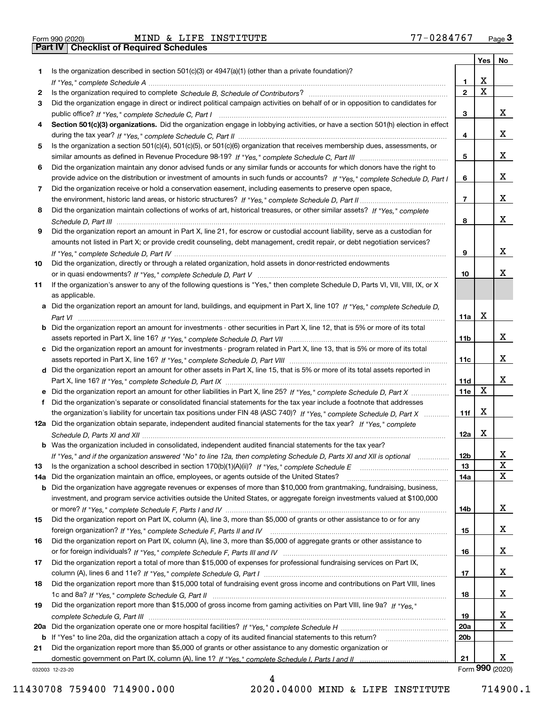| Form 990 (2020 |  |
|----------------|--|

Part IV | Checklist of Required Schedules

|     |                                                                                                                                       |                 | Yes   No |                 |
|-----|---------------------------------------------------------------------------------------------------------------------------------------|-----------------|----------|-----------------|
| 1.  | Is the organization described in section $501(c)(3)$ or $4947(a)(1)$ (other than a private foundation)?                               |                 |          |                 |
|     |                                                                                                                                       | 1               | x        |                 |
| 2   |                                                                                                                                       | $\overline{2}$  | X        |                 |
| 3   | Did the organization engage in direct or indirect political campaign activities on behalf of or in opposition to candidates for       |                 |          |                 |
|     |                                                                                                                                       | з               |          | x               |
| 4   | Section 501(c)(3) organizations. Did the organization engage in lobbying activities, or have a section 501(h) election in effect      |                 |          |                 |
|     |                                                                                                                                       | 4               |          | x               |
| 5   | Is the organization a section 501(c)(4), 501(c)(5), or 501(c)(6) organization that receives membership dues, assessments, or          |                 |          |                 |
|     |                                                                                                                                       | 5               |          | x               |
| 6   | Did the organization maintain any donor advised funds or any similar funds or accounts for which donors have the right to             |                 |          |                 |
|     | provide advice on the distribution or investment of amounts in such funds or accounts? If "Yes," complete Schedule D, Part I          | 6               |          | x               |
| 7   | Did the organization receive or hold a conservation easement, including easements to preserve open space,                             |                 |          |                 |
|     |                                                                                                                                       | $\overline{7}$  |          | x               |
| 8   | Did the organization maintain collections of works of art, historical treasures, or other similar assets? If "Yes," complete          |                 |          |                 |
|     |                                                                                                                                       | 8               |          | x               |
| 9   | Did the organization report an amount in Part X, line 21, for escrow or custodial account liability, serve as a custodian for         |                 |          |                 |
|     | amounts not listed in Part X; or provide credit counseling, debt management, credit repair, or debt negotiation services?             |                 |          |                 |
|     |                                                                                                                                       | 9               |          | x               |
| 10  | Did the organization, directly or through a related organization, hold assets in donor-restricted endowments                          |                 |          |                 |
|     |                                                                                                                                       | 10              |          | x               |
| 11  | If the organization's answer to any of the following questions is "Yes," then complete Schedule D, Parts VI, VII, VIII, IX, or X      |                 |          |                 |
|     | as applicable.                                                                                                                        |                 |          |                 |
|     | a Did the organization report an amount for land, buildings, and equipment in Part X, line 10? If "Yes," complete Schedule D,         |                 |          |                 |
|     |                                                                                                                                       | 11a             | X        |                 |
|     | <b>b</b> Did the organization report an amount for investments - other securities in Part X, line 12, that is 5% or more of its total |                 |          |                 |
|     |                                                                                                                                       | 11b             |          | x               |
|     |                                                                                                                                       |                 |          |                 |
|     | c Did the organization report an amount for investments - program related in Part X, line 13, that is 5% or more of its total         |                 |          | x               |
|     |                                                                                                                                       | 11c             |          |                 |
|     | d Did the organization report an amount for other assets in Part X, line 15, that is 5% or more of its total assets reported in       |                 |          | x               |
|     |                                                                                                                                       | 11d             | x        |                 |
|     |                                                                                                                                       | 11e             |          |                 |
| f.  | Did the organization's separate or consolidated financial statements for the tax year include a footnote that addresses               |                 |          |                 |
|     | the organization's liability for uncertain tax positions under FIN 48 (ASC 740)? If "Yes," complete Schedule D, Part X                | 11f             | X        |                 |
|     | 12a Did the organization obtain separate, independent audited financial statements for the tax year? If "Yes," complete               |                 |          |                 |
|     |                                                                                                                                       | 12a             | X        |                 |
|     | <b>b</b> Was the organization included in consolidated, independent audited financial statements for the tax year?                    |                 |          |                 |
|     | If "Yes," and if the organization answered "No" to line 12a, then completing Schedule D, Parts XI and XII is optional                 | 12 <sub>b</sub> |          | 41              |
| 13  | Is the organization a school described in section 170(b)(1)(A)(ii)? If "Yes," complete Schedule E                                     | 13              |          | X               |
| 14a | Did the organization maintain an office, employees, or agents outside of the United States?                                           | 14a             |          | x               |
|     | <b>b</b> Did the organization have aggregate revenues or expenses of more than \$10,000 from grantmaking, fundraising, business,      |                 |          |                 |
|     | investment, and program service activities outside the United States, or aggregate foreign investments valued at \$100,000            |                 |          |                 |
|     |                                                                                                                                       | 14b             |          | x               |
| 15  | Did the organization report on Part IX, column (A), line 3, more than \$5,000 of grants or other assistance to or for any             |                 |          |                 |
|     |                                                                                                                                       | 15              |          | x               |
| 16  | Did the organization report on Part IX, column (A), line 3, more than \$5,000 of aggregate grants or other assistance to              |                 |          |                 |
|     |                                                                                                                                       | 16              |          | x               |
| 17  | Did the organization report a total of more than \$15,000 of expenses for professional fundraising services on Part IX,               |                 |          |                 |
|     |                                                                                                                                       | 17              |          | x               |
| 18  | Did the organization report more than \$15,000 total of fundraising event gross income and contributions on Part VIII, lines          |                 |          |                 |
|     |                                                                                                                                       | 18              |          | x               |
| 19  | Did the organization report more than \$15,000 of gross income from gaming activities on Part VIII, line 9a? If "Yes."                |                 |          |                 |
|     |                                                                                                                                       | 19              |          | x               |
|     |                                                                                                                                       | 20a             |          | X               |
|     | <b>b</b> If "Yes" to line 20a, did the organization attach a copy of its audited financial statements to this return?                 | 20 <sub>b</sub> |          |                 |
| 21  | Did the organization report more than \$5,000 of grants or other assistance to any domestic organization or                           |                 |          |                 |
|     |                                                                                                                                       | 21              |          | х               |
|     | 032003 12-23-20                                                                                                                       |                 |          | Form 990 (2020) |

032003 12-23-20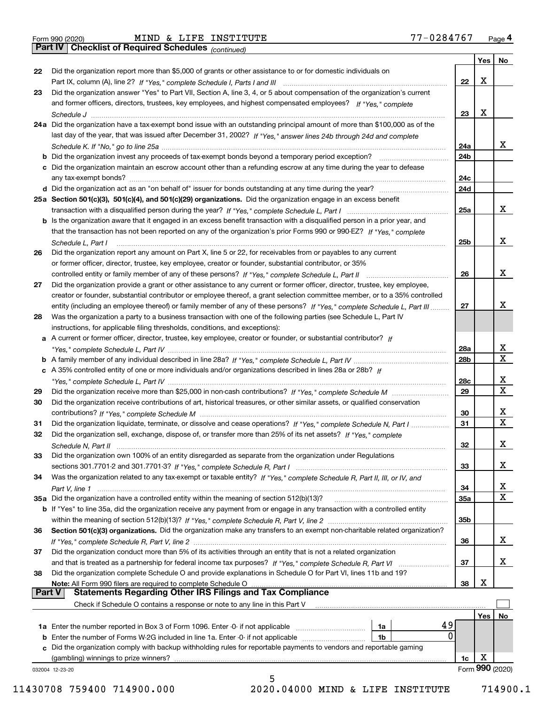Part IV | Checklist of Required Schedules

(continued)

|               |                                                                                                                                     |                  | Yes | No               |
|---------------|-------------------------------------------------------------------------------------------------------------------------------------|------------------|-----|------------------|
| 22            | Did the organization report more than \$5,000 of grants or other assistance to or for domestic individuals on                       |                  |     |                  |
|               |                                                                                                                                     | 22               | X   |                  |
| 23            | Did the organization answer "Yes" to Part VII, Section A, line 3, 4, or 5 about compensation of the organization's current          |                  |     |                  |
|               | and former officers, directors, trustees, key employees, and highest compensated employees? If "Yes." complete                      |                  |     |                  |
|               |                                                                                                                                     | 23               | X   |                  |
|               | 24a Did the organization have a tax-exempt bond issue with an outstanding principal amount of more than \$100,000 as of the         |                  |     |                  |
|               | last day of the year, that was issued after December 31, 2002? If "Yes," answer lines 24b through 24d and complete                  |                  |     |                  |
|               |                                                                                                                                     | 24a              |     | х                |
|               | <b>b</b> Did the organization invest any proceeds of tax-exempt bonds beyond a temporary period exception?                          | 24 <sub>b</sub>  |     |                  |
|               | c Did the organization maintain an escrow account other than a refunding escrow at any time during the year to defease              |                  |     |                  |
|               | any tax-exempt bonds?                                                                                                               | 24c              |     |                  |
|               | d Did the organization act as an "on behalf of" issuer for bonds outstanding at any time during the year?                           | 24d              |     |                  |
|               | 25a Section 501(c)(3), 501(c)(4), and 501(c)(29) organizations. Did the organization engage in an excess benefit                    |                  |     |                  |
|               |                                                                                                                                     | 25a              |     | x                |
|               | <b>b</b> Is the organization aware that it engaged in an excess benefit transaction with a disqualified person in a prior year, and |                  |     |                  |
|               | that the transaction has not been reported on any of the organization's prior Forms 990 or 990-EZ? If "Yes," complete               |                  |     |                  |
|               | Schedule L, Part I                                                                                                                  | 25b              |     | х                |
| 26            | Did the organization report any amount on Part X, line 5 or 22, for receivables from or payables to any current                     |                  |     |                  |
|               | or former officer, director, trustee, key employee, creator or founder, substantial contributor, or 35%                             |                  |     |                  |
|               |                                                                                                                                     | 26               |     | Х                |
| 27            | Did the organization provide a grant or other assistance to any current or former officer, director, trustee, key employee,         |                  |     |                  |
|               | creator or founder, substantial contributor or employee thereof, a grant selection committee member, or to a 35% controlled         |                  |     |                  |
|               | entity (including an employee thereof) or family member of any of these persons? If "Yes," complete Schedule L, Part III            | 27               |     | x                |
| 28            | Was the organization a party to a business transaction with one of the following parties (see Schedule L, Part IV                   |                  |     |                  |
|               | instructions, for applicable filing thresholds, conditions, and exceptions):                                                        |                  |     |                  |
|               | a A current or former officer, director, trustee, key employee, creator or founder, or substantial contributor? If                  |                  |     |                  |
|               |                                                                                                                                     | 28a              |     | х                |
|               |                                                                                                                                     | 28b              |     | $\mathbf X$      |
|               | c A 35% controlled entity of one or more individuals and/or organizations described in lines 28a or 28b? If                         |                  |     |                  |
|               |                                                                                                                                     | 28c              |     | х<br>$\mathbf X$ |
| 29            |                                                                                                                                     | 29               |     |                  |
| 30            | Did the organization receive contributions of art, historical treasures, or other similar assets, or qualified conservation         |                  |     |                  |
|               |                                                                                                                                     | 30               |     | х<br>$\mathbf X$ |
| 31            | Did the organization liquidate, terminate, or dissolve and cease operations? If "Yes," complete Schedule N, Part I                  | 31               |     |                  |
| 32            | Did the organization sell, exchange, dispose of, or transfer more than 25% of its net assets? If "Yes," complete                    |                  |     | X                |
|               | Schedule N, Part II                                                                                                                 | 32               |     |                  |
| 33            | Did the organization own 100% of an entity disregarded as separate from the organization under Regulations                          | 33               |     | х                |
|               |                                                                                                                                     |                  |     |                  |
| 34            | Was the organization related to any tax-exempt or taxable entity? If "Yes," complete Schedule R, Part II, III, or IV, and           |                  |     | х                |
|               | Part V, line 1<br>35a Did the organization have a controlled entity within the meaning of section 512(b)(13)?                       | 34<br><b>35a</b> |     | $\mathbf X$      |
|               | <b>b</b> If "Yes" to line 35a, did the organization receive any payment from or engage in any transaction with a controlled entity  |                  |     |                  |
|               |                                                                                                                                     | 35b              |     |                  |
| 36            | Section 501(c)(3) organizations. Did the organization make any transfers to an exempt non-charitable related organization?          |                  |     |                  |
|               |                                                                                                                                     | 36               |     | x                |
| 37            | Did the organization conduct more than 5% of its activities through an entity that is not a related organization                    |                  |     |                  |
|               | and that is treated as a partnership for federal income tax purposes? If "Yes," complete Schedule R, Part VI                        | 37               |     | х                |
| 38            | Did the organization complete Schedule O and provide explanations in Schedule O for Part VI, lines 11b and 19?                      |                  |     |                  |
|               | Note: All Form 990 filers are required to complete Schedule O                                                                       | 38               | х   |                  |
| <b>Part V</b> | <b>Statements Regarding Other IRS Filings and Tax Compliance</b>                                                                    |                  |     |                  |
|               | Check if Schedule O contains a response or note to any line in this Part V                                                          |                  |     |                  |
|               |                                                                                                                                     |                  | Yes | No               |
|               | 49<br>1a                                                                                                                            |                  |     |                  |
|               | 0<br><b>b</b> Enter the number of Forms W-2G included in line 1a. Enter -0- if not applicable <i>manumumumum</i><br>1b              |                  |     |                  |
|               | c Did the organization comply with backup withholding rules for reportable payments to vendors and reportable gaming                |                  |     |                  |
|               | (gambling) winnings to prize winners?                                                                                               | 1c               | X   |                  |
|               | 032004 12-23-20                                                                                                                     |                  |     | Form 990 (2020)  |
|               | 5                                                                                                                                   |                  |     |                  |

 <sup>11430708 759400 714900.000 2020.04000</sup> MIND & LIFE INSTITUTE 714900.1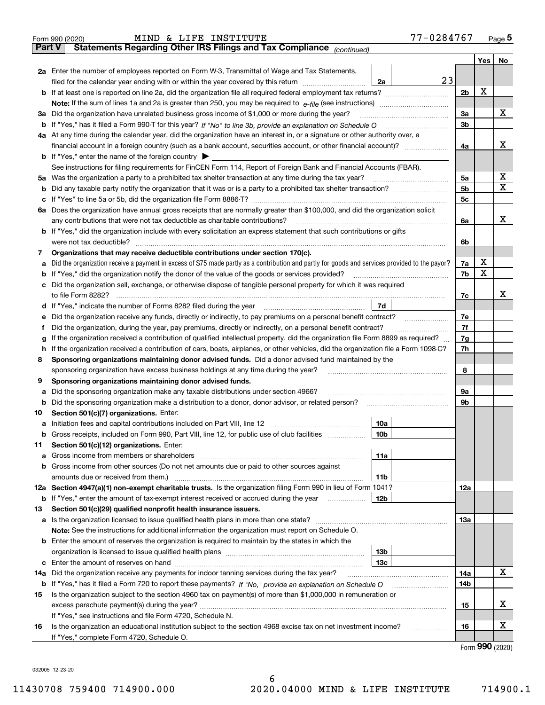| <b>Part V</b><br>No<br>Yes<br>2a Enter the number of employees reported on Form W-3, Transmittal of Wage and Tax Statements,<br>23<br>filed for the calendar year ending with or within the year covered by this return<br>2a<br>X<br>2 <sub>b</sub><br>x<br>3a<br>3a Did the organization have unrelated business gross income of \$1,000 or more during the year?<br>3 <sub>b</sub><br>4a At any time during the calendar year, did the organization have an interest in, or a signature or other authority over, a<br>х<br>financial account in a foreign country (such as a bank account, securities account, or other financial account)?<br>4a<br><b>b</b> If "Yes," enter the name of the foreign country $\blacktriangleright$<br>See instructions for filing requirements for FinCEN Form 114, Report of Foreign Bank and Financial Accounts (FBAR).<br>X<br>5a<br>х<br>5 <sub>b</sub><br>5c<br>6a Does the organization have annual gross receipts that are normally greater than \$100,000, and did the organization solicit<br>х<br>6a<br><b>b</b> If "Yes," did the organization include with every solicitation an express statement that such contributions or gifts<br>were not tax deductible?<br>6b<br>Organizations that may receive deductible contributions under section 170(c).<br>7<br>х<br>Did the organization receive a payment in excess of \$75 made partly as a contribution and partly for goods and services provided to the payor?<br>7a<br>a<br>X<br><b>b</b> If "Yes," did the organization notify the donor of the value of the goods or services provided?<br>7b<br>c Did the organization sell, exchange, or otherwise dispose of tangible personal property for which it was required<br>х<br>7c<br>7d<br>7e<br>Did the organization receive any funds, directly or indirectly, to pay premiums on a personal benefit contract?<br>е<br>7f<br>Did the organization, during the year, pay premiums, directly or indirectly, on a personal benefit contract?<br>f<br>If the organization received a contribution of qualified intellectual property, did the organization file Form 8899 as required?<br>7g<br>g<br>If the organization received a contribution of cars, boats, airplanes, or other vehicles, did the organization file a Form 1098-C?<br>7h<br>h<br>Sponsoring organizations maintaining donor advised funds. Did a donor advised fund maintained by the<br>8<br>8<br>sponsoring organization have excess business holdings at any time during the year?<br>Sponsoring organizations maintaining donor advised funds.<br>9<br><b>9a</b><br>Did the sponsoring organization make any taxable distributions under section 4966?<br>а<br>9b<br>Section 501(c)(7) organizations. Enter:<br>10<br>10a<br> 10 <sub>b</sub><br>Gross receipts, included on Form 990, Part VIII, line 12, for public use of club facilities<br>Section 501(c)(12) organizations. Enter:<br>11<br>11a<br>b Gross income from other sources (Do not net amounts due or paid to other sources against<br>11b<br>12a Section 4947(a)(1) non-exempt charitable trusts. Is the organization filing Form 990 in lieu of Form 1041?<br>12a<br>12 <sub>b</sub><br><b>b</b> If "Yes," enter the amount of tax-exempt interest received or accrued during the year<br>Section 501(c)(29) qualified nonprofit health insurance issuers.<br>13<br>a Is the organization licensed to issue qualified health plans in more than one state?<br>13а<br>Note: See the instructions for additional information the organization must report on Schedule O.<br><b>b</b> Enter the amount of reserves the organization is required to maintain by the states in which the<br>13b<br>13с<br>x<br>Did the organization receive any payments for indoor tanning services during the tax year?<br>14a<br>14a<br><b>b</b> If "Yes," has it filed a Form 720 to report these payments? If "No," provide an explanation on Schedule O<br>14b<br>Is the organization subject to the section 4960 tax on payment(s) of more than \$1,000,000 in remuneration or<br>15<br>x<br>15<br>If "Yes," see instructions and file Form 4720, Schedule N.<br>x<br>Is the organization an educational institution subject to the section 4968 excise tax on net investment income?<br>16<br>16<br>If "Yes," complete Form 4720, Schedule O.<br>$_{\text{Larm}}$ 990 (2020) | MIND & LIFE INSTITUTE<br>Form 990 (2020)                              | 77-0284767 |  | Page $5$ |
|----------------------------------------------------------------------------------------------------------------------------------------------------------------------------------------------------------------------------------------------------------------------------------------------------------------------------------------------------------------------------------------------------------------------------------------------------------------------------------------------------------------------------------------------------------------------------------------------------------------------------------------------------------------------------------------------------------------------------------------------------------------------------------------------------------------------------------------------------------------------------------------------------------------------------------------------------------------------------------------------------------------------------------------------------------------------------------------------------------------------------------------------------------------------------------------------------------------------------------------------------------------------------------------------------------------------------------------------------------------------------------------------------------------------------------------------------------------------------------------------------------------------------------------------------------------------------------------------------------------------------------------------------------------------------------------------------------------------------------------------------------------------------------------------------------------------------------------------------------------------------------------------------------------------------------------------------------------------------------------------------------------------------------------------------------------------------------------------------------------------------------------------------------------------------------------------------------------------------------------------------------------------------------------------------------------------------------------------------------------------------------------------------------------------------------------------------------------------------------------------------------------------------------------------------------------------------------------------------------------------------------------------------------------------------------------------------------------------------------------------------------------------------------------------------------------------------------------------------------------------------------------------------------------------------------------------------------------------------------------------------------------------------------------------------------------------------------------------------------------------------------------------------------------------------------------------------------------------------------------------------------------------------------------------------------------------------------------------------------------------------------------------------------------------------------------------------------------------------------------------------------------------------------------------------------------------------------------------------------------------------------------------------------------------------------------------------------------------------------------------------------------------------------------------------------------------------------------------------------------------------------------------------------------------------------------------------------------------------------------------------------------------------------------------------------------------------------------------------------------------------------------------------------------------------------------------------------------------------------------------------------------------------------------------------------------------------------------------------------------|-----------------------------------------------------------------------|------------|--|----------|
|                                                                                                                                                                                                                                                                                                                                                                                                                                                                                                                                                                                                                                                                                                                                                                                                                                                                                                                                                                                                                                                                                                                                                                                                                                                                                                                                                                                                                                                                                                                                                                                                                                                                                                                                                                                                                                                                                                                                                                                                                                                                                                                                                                                                                                                                                                                                                                                                                                                                                                                                                                                                                                                                                                                                                                                                                                                                                                                                                                                                                                                                                                                                                                                                                                                                                                                                                                                                                                                                                                                                                                                                                                                                                                                                                                                                                                                                                                                                                                                                                                                                                                                                                                                                                                                                                                                                                                | Statements Regarding Other IRS Filings and Tax Compliance (continued) |            |  |          |
|                                                                                                                                                                                                                                                                                                                                                                                                                                                                                                                                                                                                                                                                                                                                                                                                                                                                                                                                                                                                                                                                                                                                                                                                                                                                                                                                                                                                                                                                                                                                                                                                                                                                                                                                                                                                                                                                                                                                                                                                                                                                                                                                                                                                                                                                                                                                                                                                                                                                                                                                                                                                                                                                                                                                                                                                                                                                                                                                                                                                                                                                                                                                                                                                                                                                                                                                                                                                                                                                                                                                                                                                                                                                                                                                                                                                                                                                                                                                                                                                                                                                                                                                                                                                                                                                                                                                                                |                                                                       |            |  |          |
|                                                                                                                                                                                                                                                                                                                                                                                                                                                                                                                                                                                                                                                                                                                                                                                                                                                                                                                                                                                                                                                                                                                                                                                                                                                                                                                                                                                                                                                                                                                                                                                                                                                                                                                                                                                                                                                                                                                                                                                                                                                                                                                                                                                                                                                                                                                                                                                                                                                                                                                                                                                                                                                                                                                                                                                                                                                                                                                                                                                                                                                                                                                                                                                                                                                                                                                                                                                                                                                                                                                                                                                                                                                                                                                                                                                                                                                                                                                                                                                                                                                                                                                                                                                                                                                                                                                                                                |                                                                       |            |  |          |
|                                                                                                                                                                                                                                                                                                                                                                                                                                                                                                                                                                                                                                                                                                                                                                                                                                                                                                                                                                                                                                                                                                                                                                                                                                                                                                                                                                                                                                                                                                                                                                                                                                                                                                                                                                                                                                                                                                                                                                                                                                                                                                                                                                                                                                                                                                                                                                                                                                                                                                                                                                                                                                                                                                                                                                                                                                                                                                                                                                                                                                                                                                                                                                                                                                                                                                                                                                                                                                                                                                                                                                                                                                                                                                                                                                                                                                                                                                                                                                                                                                                                                                                                                                                                                                                                                                                                                                |                                                                       |            |  |          |
|                                                                                                                                                                                                                                                                                                                                                                                                                                                                                                                                                                                                                                                                                                                                                                                                                                                                                                                                                                                                                                                                                                                                                                                                                                                                                                                                                                                                                                                                                                                                                                                                                                                                                                                                                                                                                                                                                                                                                                                                                                                                                                                                                                                                                                                                                                                                                                                                                                                                                                                                                                                                                                                                                                                                                                                                                                                                                                                                                                                                                                                                                                                                                                                                                                                                                                                                                                                                                                                                                                                                                                                                                                                                                                                                                                                                                                                                                                                                                                                                                                                                                                                                                                                                                                                                                                                                                                |                                                                       |            |  |          |
|                                                                                                                                                                                                                                                                                                                                                                                                                                                                                                                                                                                                                                                                                                                                                                                                                                                                                                                                                                                                                                                                                                                                                                                                                                                                                                                                                                                                                                                                                                                                                                                                                                                                                                                                                                                                                                                                                                                                                                                                                                                                                                                                                                                                                                                                                                                                                                                                                                                                                                                                                                                                                                                                                                                                                                                                                                                                                                                                                                                                                                                                                                                                                                                                                                                                                                                                                                                                                                                                                                                                                                                                                                                                                                                                                                                                                                                                                                                                                                                                                                                                                                                                                                                                                                                                                                                                                                |                                                                       |            |  |          |
|                                                                                                                                                                                                                                                                                                                                                                                                                                                                                                                                                                                                                                                                                                                                                                                                                                                                                                                                                                                                                                                                                                                                                                                                                                                                                                                                                                                                                                                                                                                                                                                                                                                                                                                                                                                                                                                                                                                                                                                                                                                                                                                                                                                                                                                                                                                                                                                                                                                                                                                                                                                                                                                                                                                                                                                                                                                                                                                                                                                                                                                                                                                                                                                                                                                                                                                                                                                                                                                                                                                                                                                                                                                                                                                                                                                                                                                                                                                                                                                                                                                                                                                                                                                                                                                                                                                                                                |                                                                       |            |  |          |
|                                                                                                                                                                                                                                                                                                                                                                                                                                                                                                                                                                                                                                                                                                                                                                                                                                                                                                                                                                                                                                                                                                                                                                                                                                                                                                                                                                                                                                                                                                                                                                                                                                                                                                                                                                                                                                                                                                                                                                                                                                                                                                                                                                                                                                                                                                                                                                                                                                                                                                                                                                                                                                                                                                                                                                                                                                                                                                                                                                                                                                                                                                                                                                                                                                                                                                                                                                                                                                                                                                                                                                                                                                                                                                                                                                                                                                                                                                                                                                                                                                                                                                                                                                                                                                                                                                                                                                |                                                                       |            |  |          |
|                                                                                                                                                                                                                                                                                                                                                                                                                                                                                                                                                                                                                                                                                                                                                                                                                                                                                                                                                                                                                                                                                                                                                                                                                                                                                                                                                                                                                                                                                                                                                                                                                                                                                                                                                                                                                                                                                                                                                                                                                                                                                                                                                                                                                                                                                                                                                                                                                                                                                                                                                                                                                                                                                                                                                                                                                                                                                                                                                                                                                                                                                                                                                                                                                                                                                                                                                                                                                                                                                                                                                                                                                                                                                                                                                                                                                                                                                                                                                                                                                                                                                                                                                                                                                                                                                                                                                                |                                                                       |            |  |          |
|                                                                                                                                                                                                                                                                                                                                                                                                                                                                                                                                                                                                                                                                                                                                                                                                                                                                                                                                                                                                                                                                                                                                                                                                                                                                                                                                                                                                                                                                                                                                                                                                                                                                                                                                                                                                                                                                                                                                                                                                                                                                                                                                                                                                                                                                                                                                                                                                                                                                                                                                                                                                                                                                                                                                                                                                                                                                                                                                                                                                                                                                                                                                                                                                                                                                                                                                                                                                                                                                                                                                                                                                                                                                                                                                                                                                                                                                                                                                                                                                                                                                                                                                                                                                                                                                                                                                                                |                                                                       |            |  |          |
|                                                                                                                                                                                                                                                                                                                                                                                                                                                                                                                                                                                                                                                                                                                                                                                                                                                                                                                                                                                                                                                                                                                                                                                                                                                                                                                                                                                                                                                                                                                                                                                                                                                                                                                                                                                                                                                                                                                                                                                                                                                                                                                                                                                                                                                                                                                                                                                                                                                                                                                                                                                                                                                                                                                                                                                                                                                                                                                                                                                                                                                                                                                                                                                                                                                                                                                                                                                                                                                                                                                                                                                                                                                                                                                                                                                                                                                                                                                                                                                                                                                                                                                                                                                                                                                                                                                                                                |                                                                       |            |  |          |
|                                                                                                                                                                                                                                                                                                                                                                                                                                                                                                                                                                                                                                                                                                                                                                                                                                                                                                                                                                                                                                                                                                                                                                                                                                                                                                                                                                                                                                                                                                                                                                                                                                                                                                                                                                                                                                                                                                                                                                                                                                                                                                                                                                                                                                                                                                                                                                                                                                                                                                                                                                                                                                                                                                                                                                                                                                                                                                                                                                                                                                                                                                                                                                                                                                                                                                                                                                                                                                                                                                                                                                                                                                                                                                                                                                                                                                                                                                                                                                                                                                                                                                                                                                                                                                                                                                                                                                |                                                                       |            |  |          |
|                                                                                                                                                                                                                                                                                                                                                                                                                                                                                                                                                                                                                                                                                                                                                                                                                                                                                                                                                                                                                                                                                                                                                                                                                                                                                                                                                                                                                                                                                                                                                                                                                                                                                                                                                                                                                                                                                                                                                                                                                                                                                                                                                                                                                                                                                                                                                                                                                                                                                                                                                                                                                                                                                                                                                                                                                                                                                                                                                                                                                                                                                                                                                                                                                                                                                                                                                                                                                                                                                                                                                                                                                                                                                                                                                                                                                                                                                                                                                                                                                                                                                                                                                                                                                                                                                                                                                                |                                                                       |            |  |          |
|                                                                                                                                                                                                                                                                                                                                                                                                                                                                                                                                                                                                                                                                                                                                                                                                                                                                                                                                                                                                                                                                                                                                                                                                                                                                                                                                                                                                                                                                                                                                                                                                                                                                                                                                                                                                                                                                                                                                                                                                                                                                                                                                                                                                                                                                                                                                                                                                                                                                                                                                                                                                                                                                                                                                                                                                                                                                                                                                                                                                                                                                                                                                                                                                                                                                                                                                                                                                                                                                                                                                                                                                                                                                                                                                                                                                                                                                                                                                                                                                                                                                                                                                                                                                                                                                                                                                                                |                                                                       |            |  |          |
|                                                                                                                                                                                                                                                                                                                                                                                                                                                                                                                                                                                                                                                                                                                                                                                                                                                                                                                                                                                                                                                                                                                                                                                                                                                                                                                                                                                                                                                                                                                                                                                                                                                                                                                                                                                                                                                                                                                                                                                                                                                                                                                                                                                                                                                                                                                                                                                                                                                                                                                                                                                                                                                                                                                                                                                                                                                                                                                                                                                                                                                                                                                                                                                                                                                                                                                                                                                                                                                                                                                                                                                                                                                                                                                                                                                                                                                                                                                                                                                                                                                                                                                                                                                                                                                                                                                                                                |                                                                       |            |  |          |
|                                                                                                                                                                                                                                                                                                                                                                                                                                                                                                                                                                                                                                                                                                                                                                                                                                                                                                                                                                                                                                                                                                                                                                                                                                                                                                                                                                                                                                                                                                                                                                                                                                                                                                                                                                                                                                                                                                                                                                                                                                                                                                                                                                                                                                                                                                                                                                                                                                                                                                                                                                                                                                                                                                                                                                                                                                                                                                                                                                                                                                                                                                                                                                                                                                                                                                                                                                                                                                                                                                                                                                                                                                                                                                                                                                                                                                                                                                                                                                                                                                                                                                                                                                                                                                                                                                                                                                |                                                                       |            |  |          |
|                                                                                                                                                                                                                                                                                                                                                                                                                                                                                                                                                                                                                                                                                                                                                                                                                                                                                                                                                                                                                                                                                                                                                                                                                                                                                                                                                                                                                                                                                                                                                                                                                                                                                                                                                                                                                                                                                                                                                                                                                                                                                                                                                                                                                                                                                                                                                                                                                                                                                                                                                                                                                                                                                                                                                                                                                                                                                                                                                                                                                                                                                                                                                                                                                                                                                                                                                                                                                                                                                                                                                                                                                                                                                                                                                                                                                                                                                                                                                                                                                                                                                                                                                                                                                                                                                                                                                                |                                                                       |            |  |          |
|                                                                                                                                                                                                                                                                                                                                                                                                                                                                                                                                                                                                                                                                                                                                                                                                                                                                                                                                                                                                                                                                                                                                                                                                                                                                                                                                                                                                                                                                                                                                                                                                                                                                                                                                                                                                                                                                                                                                                                                                                                                                                                                                                                                                                                                                                                                                                                                                                                                                                                                                                                                                                                                                                                                                                                                                                                                                                                                                                                                                                                                                                                                                                                                                                                                                                                                                                                                                                                                                                                                                                                                                                                                                                                                                                                                                                                                                                                                                                                                                                                                                                                                                                                                                                                                                                                                                                                |                                                                       |            |  |          |
|                                                                                                                                                                                                                                                                                                                                                                                                                                                                                                                                                                                                                                                                                                                                                                                                                                                                                                                                                                                                                                                                                                                                                                                                                                                                                                                                                                                                                                                                                                                                                                                                                                                                                                                                                                                                                                                                                                                                                                                                                                                                                                                                                                                                                                                                                                                                                                                                                                                                                                                                                                                                                                                                                                                                                                                                                                                                                                                                                                                                                                                                                                                                                                                                                                                                                                                                                                                                                                                                                                                                                                                                                                                                                                                                                                                                                                                                                                                                                                                                                                                                                                                                                                                                                                                                                                                                                                |                                                                       |            |  |          |
|                                                                                                                                                                                                                                                                                                                                                                                                                                                                                                                                                                                                                                                                                                                                                                                                                                                                                                                                                                                                                                                                                                                                                                                                                                                                                                                                                                                                                                                                                                                                                                                                                                                                                                                                                                                                                                                                                                                                                                                                                                                                                                                                                                                                                                                                                                                                                                                                                                                                                                                                                                                                                                                                                                                                                                                                                                                                                                                                                                                                                                                                                                                                                                                                                                                                                                                                                                                                                                                                                                                                                                                                                                                                                                                                                                                                                                                                                                                                                                                                                                                                                                                                                                                                                                                                                                                                                                |                                                                       |            |  |          |
|                                                                                                                                                                                                                                                                                                                                                                                                                                                                                                                                                                                                                                                                                                                                                                                                                                                                                                                                                                                                                                                                                                                                                                                                                                                                                                                                                                                                                                                                                                                                                                                                                                                                                                                                                                                                                                                                                                                                                                                                                                                                                                                                                                                                                                                                                                                                                                                                                                                                                                                                                                                                                                                                                                                                                                                                                                                                                                                                                                                                                                                                                                                                                                                                                                                                                                                                                                                                                                                                                                                                                                                                                                                                                                                                                                                                                                                                                                                                                                                                                                                                                                                                                                                                                                                                                                                                                                |                                                                       |            |  |          |
|                                                                                                                                                                                                                                                                                                                                                                                                                                                                                                                                                                                                                                                                                                                                                                                                                                                                                                                                                                                                                                                                                                                                                                                                                                                                                                                                                                                                                                                                                                                                                                                                                                                                                                                                                                                                                                                                                                                                                                                                                                                                                                                                                                                                                                                                                                                                                                                                                                                                                                                                                                                                                                                                                                                                                                                                                                                                                                                                                                                                                                                                                                                                                                                                                                                                                                                                                                                                                                                                                                                                                                                                                                                                                                                                                                                                                                                                                                                                                                                                                                                                                                                                                                                                                                                                                                                                                                |                                                                       |            |  |          |
|                                                                                                                                                                                                                                                                                                                                                                                                                                                                                                                                                                                                                                                                                                                                                                                                                                                                                                                                                                                                                                                                                                                                                                                                                                                                                                                                                                                                                                                                                                                                                                                                                                                                                                                                                                                                                                                                                                                                                                                                                                                                                                                                                                                                                                                                                                                                                                                                                                                                                                                                                                                                                                                                                                                                                                                                                                                                                                                                                                                                                                                                                                                                                                                                                                                                                                                                                                                                                                                                                                                                                                                                                                                                                                                                                                                                                                                                                                                                                                                                                                                                                                                                                                                                                                                                                                                                                                |                                                                       |            |  |          |
|                                                                                                                                                                                                                                                                                                                                                                                                                                                                                                                                                                                                                                                                                                                                                                                                                                                                                                                                                                                                                                                                                                                                                                                                                                                                                                                                                                                                                                                                                                                                                                                                                                                                                                                                                                                                                                                                                                                                                                                                                                                                                                                                                                                                                                                                                                                                                                                                                                                                                                                                                                                                                                                                                                                                                                                                                                                                                                                                                                                                                                                                                                                                                                                                                                                                                                                                                                                                                                                                                                                                                                                                                                                                                                                                                                                                                                                                                                                                                                                                                                                                                                                                                                                                                                                                                                                                                                |                                                                       |            |  |          |
|                                                                                                                                                                                                                                                                                                                                                                                                                                                                                                                                                                                                                                                                                                                                                                                                                                                                                                                                                                                                                                                                                                                                                                                                                                                                                                                                                                                                                                                                                                                                                                                                                                                                                                                                                                                                                                                                                                                                                                                                                                                                                                                                                                                                                                                                                                                                                                                                                                                                                                                                                                                                                                                                                                                                                                                                                                                                                                                                                                                                                                                                                                                                                                                                                                                                                                                                                                                                                                                                                                                                                                                                                                                                                                                                                                                                                                                                                                                                                                                                                                                                                                                                                                                                                                                                                                                                                                |                                                                       |            |  |          |
|                                                                                                                                                                                                                                                                                                                                                                                                                                                                                                                                                                                                                                                                                                                                                                                                                                                                                                                                                                                                                                                                                                                                                                                                                                                                                                                                                                                                                                                                                                                                                                                                                                                                                                                                                                                                                                                                                                                                                                                                                                                                                                                                                                                                                                                                                                                                                                                                                                                                                                                                                                                                                                                                                                                                                                                                                                                                                                                                                                                                                                                                                                                                                                                                                                                                                                                                                                                                                                                                                                                                                                                                                                                                                                                                                                                                                                                                                                                                                                                                                                                                                                                                                                                                                                                                                                                                                                |                                                                       |            |  |          |
|                                                                                                                                                                                                                                                                                                                                                                                                                                                                                                                                                                                                                                                                                                                                                                                                                                                                                                                                                                                                                                                                                                                                                                                                                                                                                                                                                                                                                                                                                                                                                                                                                                                                                                                                                                                                                                                                                                                                                                                                                                                                                                                                                                                                                                                                                                                                                                                                                                                                                                                                                                                                                                                                                                                                                                                                                                                                                                                                                                                                                                                                                                                                                                                                                                                                                                                                                                                                                                                                                                                                                                                                                                                                                                                                                                                                                                                                                                                                                                                                                                                                                                                                                                                                                                                                                                                                                                |                                                                       |            |  |          |
|                                                                                                                                                                                                                                                                                                                                                                                                                                                                                                                                                                                                                                                                                                                                                                                                                                                                                                                                                                                                                                                                                                                                                                                                                                                                                                                                                                                                                                                                                                                                                                                                                                                                                                                                                                                                                                                                                                                                                                                                                                                                                                                                                                                                                                                                                                                                                                                                                                                                                                                                                                                                                                                                                                                                                                                                                                                                                                                                                                                                                                                                                                                                                                                                                                                                                                                                                                                                                                                                                                                                                                                                                                                                                                                                                                                                                                                                                                                                                                                                                                                                                                                                                                                                                                                                                                                                                                |                                                                       |            |  |          |
|                                                                                                                                                                                                                                                                                                                                                                                                                                                                                                                                                                                                                                                                                                                                                                                                                                                                                                                                                                                                                                                                                                                                                                                                                                                                                                                                                                                                                                                                                                                                                                                                                                                                                                                                                                                                                                                                                                                                                                                                                                                                                                                                                                                                                                                                                                                                                                                                                                                                                                                                                                                                                                                                                                                                                                                                                                                                                                                                                                                                                                                                                                                                                                                                                                                                                                                                                                                                                                                                                                                                                                                                                                                                                                                                                                                                                                                                                                                                                                                                                                                                                                                                                                                                                                                                                                                                                                |                                                                       |            |  |          |
|                                                                                                                                                                                                                                                                                                                                                                                                                                                                                                                                                                                                                                                                                                                                                                                                                                                                                                                                                                                                                                                                                                                                                                                                                                                                                                                                                                                                                                                                                                                                                                                                                                                                                                                                                                                                                                                                                                                                                                                                                                                                                                                                                                                                                                                                                                                                                                                                                                                                                                                                                                                                                                                                                                                                                                                                                                                                                                                                                                                                                                                                                                                                                                                                                                                                                                                                                                                                                                                                                                                                                                                                                                                                                                                                                                                                                                                                                                                                                                                                                                                                                                                                                                                                                                                                                                                                                                |                                                                       |            |  |          |
|                                                                                                                                                                                                                                                                                                                                                                                                                                                                                                                                                                                                                                                                                                                                                                                                                                                                                                                                                                                                                                                                                                                                                                                                                                                                                                                                                                                                                                                                                                                                                                                                                                                                                                                                                                                                                                                                                                                                                                                                                                                                                                                                                                                                                                                                                                                                                                                                                                                                                                                                                                                                                                                                                                                                                                                                                                                                                                                                                                                                                                                                                                                                                                                                                                                                                                                                                                                                                                                                                                                                                                                                                                                                                                                                                                                                                                                                                                                                                                                                                                                                                                                                                                                                                                                                                                                                                                |                                                                       |            |  |          |
|                                                                                                                                                                                                                                                                                                                                                                                                                                                                                                                                                                                                                                                                                                                                                                                                                                                                                                                                                                                                                                                                                                                                                                                                                                                                                                                                                                                                                                                                                                                                                                                                                                                                                                                                                                                                                                                                                                                                                                                                                                                                                                                                                                                                                                                                                                                                                                                                                                                                                                                                                                                                                                                                                                                                                                                                                                                                                                                                                                                                                                                                                                                                                                                                                                                                                                                                                                                                                                                                                                                                                                                                                                                                                                                                                                                                                                                                                                                                                                                                                                                                                                                                                                                                                                                                                                                                                                |                                                                       |            |  |          |
|                                                                                                                                                                                                                                                                                                                                                                                                                                                                                                                                                                                                                                                                                                                                                                                                                                                                                                                                                                                                                                                                                                                                                                                                                                                                                                                                                                                                                                                                                                                                                                                                                                                                                                                                                                                                                                                                                                                                                                                                                                                                                                                                                                                                                                                                                                                                                                                                                                                                                                                                                                                                                                                                                                                                                                                                                                                                                                                                                                                                                                                                                                                                                                                                                                                                                                                                                                                                                                                                                                                                                                                                                                                                                                                                                                                                                                                                                                                                                                                                                                                                                                                                                                                                                                                                                                                                                                |                                                                       |            |  |          |
|                                                                                                                                                                                                                                                                                                                                                                                                                                                                                                                                                                                                                                                                                                                                                                                                                                                                                                                                                                                                                                                                                                                                                                                                                                                                                                                                                                                                                                                                                                                                                                                                                                                                                                                                                                                                                                                                                                                                                                                                                                                                                                                                                                                                                                                                                                                                                                                                                                                                                                                                                                                                                                                                                                                                                                                                                                                                                                                                                                                                                                                                                                                                                                                                                                                                                                                                                                                                                                                                                                                                                                                                                                                                                                                                                                                                                                                                                                                                                                                                                                                                                                                                                                                                                                                                                                                                                                |                                                                       |            |  |          |
|                                                                                                                                                                                                                                                                                                                                                                                                                                                                                                                                                                                                                                                                                                                                                                                                                                                                                                                                                                                                                                                                                                                                                                                                                                                                                                                                                                                                                                                                                                                                                                                                                                                                                                                                                                                                                                                                                                                                                                                                                                                                                                                                                                                                                                                                                                                                                                                                                                                                                                                                                                                                                                                                                                                                                                                                                                                                                                                                                                                                                                                                                                                                                                                                                                                                                                                                                                                                                                                                                                                                                                                                                                                                                                                                                                                                                                                                                                                                                                                                                                                                                                                                                                                                                                                                                                                                                                |                                                                       |            |  |          |
|                                                                                                                                                                                                                                                                                                                                                                                                                                                                                                                                                                                                                                                                                                                                                                                                                                                                                                                                                                                                                                                                                                                                                                                                                                                                                                                                                                                                                                                                                                                                                                                                                                                                                                                                                                                                                                                                                                                                                                                                                                                                                                                                                                                                                                                                                                                                                                                                                                                                                                                                                                                                                                                                                                                                                                                                                                                                                                                                                                                                                                                                                                                                                                                                                                                                                                                                                                                                                                                                                                                                                                                                                                                                                                                                                                                                                                                                                                                                                                                                                                                                                                                                                                                                                                                                                                                                                                |                                                                       |            |  |          |
|                                                                                                                                                                                                                                                                                                                                                                                                                                                                                                                                                                                                                                                                                                                                                                                                                                                                                                                                                                                                                                                                                                                                                                                                                                                                                                                                                                                                                                                                                                                                                                                                                                                                                                                                                                                                                                                                                                                                                                                                                                                                                                                                                                                                                                                                                                                                                                                                                                                                                                                                                                                                                                                                                                                                                                                                                                                                                                                                                                                                                                                                                                                                                                                                                                                                                                                                                                                                                                                                                                                                                                                                                                                                                                                                                                                                                                                                                                                                                                                                                                                                                                                                                                                                                                                                                                                                                                |                                                                       |            |  |          |
|                                                                                                                                                                                                                                                                                                                                                                                                                                                                                                                                                                                                                                                                                                                                                                                                                                                                                                                                                                                                                                                                                                                                                                                                                                                                                                                                                                                                                                                                                                                                                                                                                                                                                                                                                                                                                                                                                                                                                                                                                                                                                                                                                                                                                                                                                                                                                                                                                                                                                                                                                                                                                                                                                                                                                                                                                                                                                                                                                                                                                                                                                                                                                                                                                                                                                                                                                                                                                                                                                                                                                                                                                                                                                                                                                                                                                                                                                                                                                                                                                                                                                                                                                                                                                                                                                                                                                                |                                                                       |            |  |          |
|                                                                                                                                                                                                                                                                                                                                                                                                                                                                                                                                                                                                                                                                                                                                                                                                                                                                                                                                                                                                                                                                                                                                                                                                                                                                                                                                                                                                                                                                                                                                                                                                                                                                                                                                                                                                                                                                                                                                                                                                                                                                                                                                                                                                                                                                                                                                                                                                                                                                                                                                                                                                                                                                                                                                                                                                                                                                                                                                                                                                                                                                                                                                                                                                                                                                                                                                                                                                                                                                                                                                                                                                                                                                                                                                                                                                                                                                                                                                                                                                                                                                                                                                                                                                                                                                                                                                                                |                                                                       |            |  |          |
|                                                                                                                                                                                                                                                                                                                                                                                                                                                                                                                                                                                                                                                                                                                                                                                                                                                                                                                                                                                                                                                                                                                                                                                                                                                                                                                                                                                                                                                                                                                                                                                                                                                                                                                                                                                                                                                                                                                                                                                                                                                                                                                                                                                                                                                                                                                                                                                                                                                                                                                                                                                                                                                                                                                                                                                                                                                                                                                                                                                                                                                                                                                                                                                                                                                                                                                                                                                                                                                                                                                                                                                                                                                                                                                                                                                                                                                                                                                                                                                                                                                                                                                                                                                                                                                                                                                                                                |                                                                       |            |  |          |
|                                                                                                                                                                                                                                                                                                                                                                                                                                                                                                                                                                                                                                                                                                                                                                                                                                                                                                                                                                                                                                                                                                                                                                                                                                                                                                                                                                                                                                                                                                                                                                                                                                                                                                                                                                                                                                                                                                                                                                                                                                                                                                                                                                                                                                                                                                                                                                                                                                                                                                                                                                                                                                                                                                                                                                                                                                                                                                                                                                                                                                                                                                                                                                                                                                                                                                                                                                                                                                                                                                                                                                                                                                                                                                                                                                                                                                                                                                                                                                                                                                                                                                                                                                                                                                                                                                                                                                |                                                                       |            |  |          |
|                                                                                                                                                                                                                                                                                                                                                                                                                                                                                                                                                                                                                                                                                                                                                                                                                                                                                                                                                                                                                                                                                                                                                                                                                                                                                                                                                                                                                                                                                                                                                                                                                                                                                                                                                                                                                                                                                                                                                                                                                                                                                                                                                                                                                                                                                                                                                                                                                                                                                                                                                                                                                                                                                                                                                                                                                                                                                                                                                                                                                                                                                                                                                                                                                                                                                                                                                                                                                                                                                                                                                                                                                                                                                                                                                                                                                                                                                                                                                                                                                                                                                                                                                                                                                                                                                                                                                                |                                                                       |            |  |          |
|                                                                                                                                                                                                                                                                                                                                                                                                                                                                                                                                                                                                                                                                                                                                                                                                                                                                                                                                                                                                                                                                                                                                                                                                                                                                                                                                                                                                                                                                                                                                                                                                                                                                                                                                                                                                                                                                                                                                                                                                                                                                                                                                                                                                                                                                                                                                                                                                                                                                                                                                                                                                                                                                                                                                                                                                                                                                                                                                                                                                                                                                                                                                                                                                                                                                                                                                                                                                                                                                                                                                                                                                                                                                                                                                                                                                                                                                                                                                                                                                                                                                                                                                                                                                                                                                                                                                                                |                                                                       |            |  |          |
|                                                                                                                                                                                                                                                                                                                                                                                                                                                                                                                                                                                                                                                                                                                                                                                                                                                                                                                                                                                                                                                                                                                                                                                                                                                                                                                                                                                                                                                                                                                                                                                                                                                                                                                                                                                                                                                                                                                                                                                                                                                                                                                                                                                                                                                                                                                                                                                                                                                                                                                                                                                                                                                                                                                                                                                                                                                                                                                                                                                                                                                                                                                                                                                                                                                                                                                                                                                                                                                                                                                                                                                                                                                                                                                                                                                                                                                                                                                                                                                                                                                                                                                                                                                                                                                                                                                                                                |                                                                       |            |  |          |
|                                                                                                                                                                                                                                                                                                                                                                                                                                                                                                                                                                                                                                                                                                                                                                                                                                                                                                                                                                                                                                                                                                                                                                                                                                                                                                                                                                                                                                                                                                                                                                                                                                                                                                                                                                                                                                                                                                                                                                                                                                                                                                                                                                                                                                                                                                                                                                                                                                                                                                                                                                                                                                                                                                                                                                                                                                                                                                                                                                                                                                                                                                                                                                                                                                                                                                                                                                                                                                                                                                                                                                                                                                                                                                                                                                                                                                                                                                                                                                                                                                                                                                                                                                                                                                                                                                                                                                |                                                                       |            |  |          |
|                                                                                                                                                                                                                                                                                                                                                                                                                                                                                                                                                                                                                                                                                                                                                                                                                                                                                                                                                                                                                                                                                                                                                                                                                                                                                                                                                                                                                                                                                                                                                                                                                                                                                                                                                                                                                                                                                                                                                                                                                                                                                                                                                                                                                                                                                                                                                                                                                                                                                                                                                                                                                                                                                                                                                                                                                                                                                                                                                                                                                                                                                                                                                                                                                                                                                                                                                                                                                                                                                                                                                                                                                                                                                                                                                                                                                                                                                                                                                                                                                                                                                                                                                                                                                                                                                                                                                                |                                                                       |            |  |          |
|                                                                                                                                                                                                                                                                                                                                                                                                                                                                                                                                                                                                                                                                                                                                                                                                                                                                                                                                                                                                                                                                                                                                                                                                                                                                                                                                                                                                                                                                                                                                                                                                                                                                                                                                                                                                                                                                                                                                                                                                                                                                                                                                                                                                                                                                                                                                                                                                                                                                                                                                                                                                                                                                                                                                                                                                                                                                                                                                                                                                                                                                                                                                                                                                                                                                                                                                                                                                                                                                                                                                                                                                                                                                                                                                                                                                                                                                                                                                                                                                                                                                                                                                                                                                                                                                                                                                                                |                                                                       |            |  |          |
|                                                                                                                                                                                                                                                                                                                                                                                                                                                                                                                                                                                                                                                                                                                                                                                                                                                                                                                                                                                                                                                                                                                                                                                                                                                                                                                                                                                                                                                                                                                                                                                                                                                                                                                                                                                                                                                                                                                                                                                                                                                                                                                                                                                                                                                                                                                                                                                                                                                                                                                                                                                                                                                                                                                                                                                                                                                                                                                                                                                                                                                                                                                                                                                                                                                                                                                                                                                                                                                                                                                                                                                                                                                                                                                                                                                                                                                                                                                                                                                                                                                                                                                                                                                                                                                                                                                                                                |                                                                       |            |  |          |
|                                                                                                                                                                                                                                                                                                                                                                                                                                                                                                                                                                                                                                                                                                                                                                                                                                                                                                                                                                                                                                                                                                                                                                                                                                                                                                                                                                                                                                                                                                                                                                                                                                                                                                                                                                                                                                                                                                                                                                                                                                                                                                                                                                                                                                                                                                                                                                                                                                                                                                                                                                                                                                                                                                                                                                                                                                                                                                                                                                                                                                                                                                                                                                                                                                                                                                                                                                                                                                                                                                                                                                                                                                                                                                                                                                                                                                                                                                                                                                                                                                                                                                                                                                                                                                                                                                                                                                |                                                                       |            |  |          |
|                                                                                                                                                                                                                                                                                                                                                                                                                                                                                                                                                                                                                                                                                                                                                                                                                                                                                                                                                                                                                                                                                                                                                                                                                                                                                                                                                                                                                                                                                                                                                                                                                                                                                                                                                                                                                                                                                                                                                                                                                                                                                                                                                                                                                                                                                                                                                                                                                                                                                                                                                                                                                                                                                                                                                                                                                                                                                                                                                                                                                                                                                                                                                                                                                                                                                                                                                                                                                                                                                                                                                                                                                                                                                                                                                                                                                                                                                                                                                                                                                                                                                                                                                                                                                                                                                                                                                                |                                                                       |            |  |          |
|                                                                                                                                                                                                                                                                                                                                                                                                                                                                                                                                                                                                                                                                                                                                                                                                                                                                                                                                                                                                                                                                                                                                                                                                                                                                                                                                                                                                                                                                                                                                                                                                                                                                                                                                                                                                                                                                                                                                                                                                                                                                                                                                                                                                                                                                                                                                                                                                                                                                                                                                                                                                                                                                                                                                                                                                                                                                                                                                                                                                                                                                                                                                                                                                                                                                                                                                                                                                                                                                                                                                                                                                                                                                                                                                                                                                                                                                                                                                                                                                                                                                                                                                                                                                                                                                                                                                                                |                                                                       |            |  |          |
|                                                                                                                                                                                                                                                                                                                                                                                                                                                                                                                                                                                                                                                                                                                                                                                                                                                                                                                                                                                                                                                                                                                                                                                                                                                                                                                                                                                                                                                                                                                                                                                                                                                                                                                                                                                                                                                                                                                                                                                                                                                                                                                                                                                                                                                                                                                                                                                                                                                                                                                                                                                                                                                                                                                                                                                                                                                                                                                                                                                                                                                                                                                                                                                                                                                                                                                                                                                                                                                                                                                                                                                                                                                                                                                                                                                                                                                                                                                                                                                                                                                                                                                                                                                                                                                                                                                                                                |                                                                       |            |  |          |
|                                                                                                                                                                                                                                                                                                                                                                                                                                                                                                                                                                                                                                                                                                                                                                                                                                                                                                                                                                                                                                                                                                                                                                                                                                                                                                                                                                                                                                                                                                                                                                                                                                                                                                                                                                                                                                                                                                                                                                                                                                                                                                                                                                                                                                                                                                                                                                                                                                                                                                                                                                                                                                                                                                                                                                                                                                                                                                                                                                                                                                                                                                                                                                                                                                                                                                                                                                                                                                                                                                                                                                                                                                                                                                                                                                                                                                                                                                                                                                                                                                                                                                                                                                                                                                                                                                                                                                |                                                                       |            |  |          |
|                                                                                                                                                                                                                                                                                                                                                                                                                                                                                                                                                                                                                                                                                                                                                                                                                                                                                                                                                                                                                                                                                                                                                                                                                                                                                                                                                                                                                                                                                                                                                                                                                                                                                                                                                                                                                                                                                                                                                                                                                                                                                                                                                                                                                                                                                                                                                                                                                                                                                                                                                                                                                                                                                                                                                                                                                                                                                                                                                                                                                                                                                                                                                                                                                                                                                                                                                                                                                                                                                                                                                                                                                                                                                                                                                                                                                                                                                                                                                                                                                                                                                                                                                                                                                                                                                                                                                                |                                                                       |            |  |          |
|                                                                                                                                                                                                                                                                                                                                                                                                                                                                                                                                                                                                                                                                                                                                                                                                                                                                                                                                                                                                                                                                                                                                                                                                                                                                                                                                                                                                                                                                                                                                                                                                                                                                                                                                                                                                                                                                                                                                                                                                                                                                                                                                                                                                                                                                                                                                                                                                                                                                                                                                                                                                                                                                                                                                                                                                                                                                                                                                                                                                                                                                                                                                                                                                                                                                                                                                                                                                                                                                                                                                                                                                                                                                                                                                                                                                                                                                                                                                                                                                                                                                                                                                                                                                                                                                                                                                                                |                                                                       |            |  |          |
|                                                                                                                                                                                                                                                                                                                                                                                                                                                                                                                                                                                                                                                                                                                                                                                                                                                                                                                                                                                                                                                                                                                                                                                                                                                                                                                                                                                                                                                                                                                                                                                                                                                                                                                                                                                                                                                                                                                                                                                                                                                                                                                                                                                                                                                                                                                                                                                                                                                                                                                                                                                                                                                                                                                                                                                                                                                                                                                                                                                                                                                                                                                                                                                                                                                                                                                                                                                                                                                                                                                                                                                                                                                                                                                                                                                                                                                                                                                                                                                                                                                                                                                                                                                                                                                                                                                                                                |                                                                       |            |  |          |

Form 990 (2020)

032005 12-23-20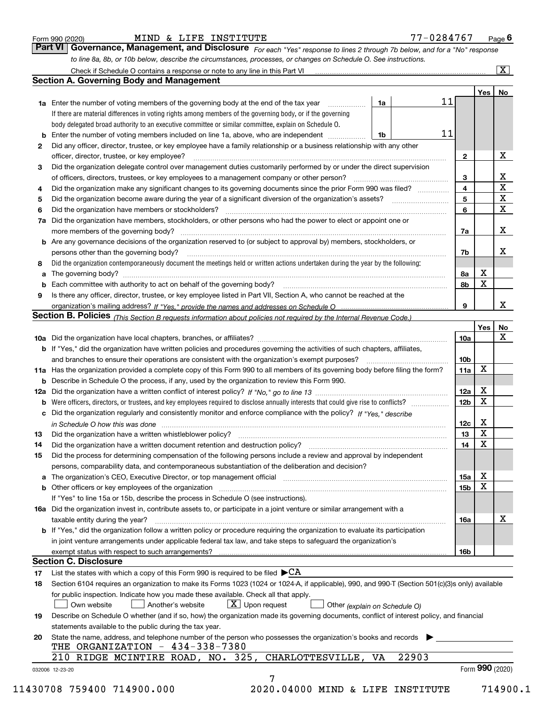|  | Form 990 (2020) |
|--|-----------------|
|  |                 |

| Form 990 (2020) | <b>Part VI Governance</b> | ~    | .   | Managament, and Dieclosure |      | Page |
|-----------------|---------------------------|------|-----|----------------------------|------|------|
|                 |                           |      |     |                            |      |      |
|                 |                           | MIND | 'FE | INSTITUTE                  | 476″ |      |

| orm 990 (2020) |  | MIND & LIFE INSTITUTE |                                                                                                                               | 77-0284767 | Pao |
|----------------|--|-----------------------|-------------------------------------------------------------------------------------------------------------------------------|------------|-----|
|                |  |                       | Part VI   Governance, Management, and Disclosure For each "Yes" response to lines 2 through 7b below, and for a "No" response |            |     |
|                |  |                       | to line 8a, 8b, or 10b below, describe the circumstances, processes, or changes on Schedule O. See instructions.              |            |     |

|                 |                                                                                                                                                                                                                                |      |       |    |                 | Yes             | No                      |
|-----------------|--------------------------------------------------------------------------------------------------------------------------------------------------------------------------------------------------------------------------------|------|-------|----|-----------------|-----------------|-------------------------|
|                 | <b>1a</b> Enter the number of voting members of the governing body at the end of the tax year <i>manumum</i>                                                                                                                   | 1a   |       | 11 |                 |                 |                         |
|                 | If there are material differences in voting rights among members of the governing body, or if the governing                                                                                                                    |      |       |    |                 |                 |                         |
|                 | body delegated broad authority to an executive committee or similar committee, explain on Schedule O.                                                                                                                          |      |       |    |                 |                 |                         |
| b               | Enter the number of voting members included on line 1a, above, who are independent                                                                                                                                             | l 1b |       | 11 |                 |                 |                         |
| $\mathbf{2}$    | Did any officer, director, trustee, or key employee have a family relationship or a business relationship with any other                                                                                                       |      |       |    |                 |                 |                         |
|                 | officer, director, trustee, or key employee?                                                                                                                                                                                   |      |       |    | $\mathbf{2}$    |                 | х                       |
| 3               | Did the organization delegate control over management duties customarily performed by or under the direct supervision                                                                                                          |      |       |    |                 |                 |                         |
|                 |                                                                                                                                                                                                                                |      |       |    | 3               |                 | x                       |
| 4               | Did the organization make any significant changes to its governing documents since the prior Form 990 was filed?                                                                                                               |      |       |    | $\overline{4}$  |                 | X                       |
| 5               |                                                                                                                                                                                                                                |      |       |    | 5               |                 | $\overline{\mathbf{x}}$ |
| 6               | Did the organization have members or stockholders?                                                                                                                                                                             |      |       |    | 6               |                 | X                       |
|                 | 7a Did the organization have members, stockholders, or other persons who had the power to elect or appoint one or                                                                                                              |      |       |    |                 |                 |                         |
|                 |                                                                                                                                                                                                                                |      |       |    | 7a              |                 | X                       |
|                 | <b>b</b> Are any governance decisions of the organization reserved to (or subject to approval by) members, stockholders, or                                                                                                    |      |       |    |                 |                 |                         |
|                 | persons other than the governing body?                                                                                                                                                                                         |      |       |    | 7b              |                 | х                       |
| 8               | Did the organization contemporaneously document the meetings held or written actions undertaken during the year by the following:                                                                                              |      |       |    |                 |                 |                         |
| a               |                                                                                                                                                                                                                                |      |       |    | 8a              | X               |                         |
| b               | Each committee with authority to act on behalf of the governing body? [10] manufacture manufacture with authority to act on behalf of the governing body? [10] manufacture with authority of the state with an interval and th |      |       |    | 8b              | X               |                         |
| 9               | Is there any officer, director, trustee, or key employee listed in Part VII, Section A, who cannot be reached at the                                                                                                           |      |       |    |                 |                 |                         |
|                 |                                                                                                                                                                                                                                |      |       |    | 9               |                 | x                       |
|                 | Section B. Policies (This Section B requests information about policies not required by the Internal Revenue Code.)                                                                                                            |      |       |    |                 |                 |                         |
|                 |                                                                                                                                                                                                                                |      |       |    |                 | Yes             | No                      |
|                 |                                                                                                                                                                                                                                |      |       |    | 10a             |                 | X                       |
|                 | <b>b</b> If "Yes," did the organization have written policies and procedures governing the activities of such chapters, affiliates,                                                                                            |      |       |    |                 |                 |                         |
|                 |                                                                                                                                                                                                                                |      |       |    | 10 <sub>b</sub> |                 |                         |
|                 | 11a Has the organization provided a complete copy of this Form 990 to all members of its governing body before filing the form?                                                                                                |      |       |    | 11a             | X               |                         |
|                 | <b>b</b> Describe in Schedule O the process, if any, used by the organization to review this Form 990.                                                                                                                         |      |       |    |                 |                 |                         |
|                 |                                                                                                                                                                                                                                |      |       |    | 12a             | X               |                         |
| b               |                                                                                                                                                                                                                                |      |       |    | 12 <sub>b</sub> | X               |                         |
| c               | Did the organization regularly and consistently monitor and enforce compliance with the policy? If "Yes," describe                                                                                                             |      |       |    |                 |                 |                         |
|                 |                                                                                                                                                                                                                                |      |       |    | 12c             | X               |                         |
| 13              | in Schedule O how this was done material contracts and the set of the state of the state of the state of the state of the state of the state of the state of the state of the state of the state of the state of the state of  |      |       |    | 13              | X               |                         |
| 14              | Did the organization have a written document retention and destruction policy? manufactured and the organization have a written document retention and destruction policy?                                                     |      |       |    | 14              | $\mathbf X$     |                         |
|                 |                                                                                                                                                                                                                                |      |       |    |                 |                 |                         |
| 15              | Did the process for determining compensation of the following persons include a review and approval by independent<br>persons, comparability data, and contemporaneous substantiation of the deliberation and decision?        |      |       |    |                 |                 |                         |
|                 |                                                                                                                                                                                                                                |      |       |    |                 | X               |                         |
|                 | a The organization's CEO, Executive Director, or top management official manufactured content content of the organization's CEO, Executive Director, or top management official manufactured content of the state of the state |      |       |    | 15a             | $\mathbf X$     |                         |
|                 | <b>b</b> Other officers or key employees of the organization                                                                                                                                                                   |      |       |    | 15b             |                 |                         |
|                 | If "Yes" to line 15a or 15b, describe the process in Schedule O (see instructions).                                                                                                                                            |      |       |    |                 |                 |                         |
|                 | 16a Did the organization invest in, contribute assets to, or participate in a joint venture or similar arrangement with a                                                                                                      |      |       |    |                 |                 |                         |
|                 | taxable entity during the year?                                                                                                                                                                                                |      |       |    | 16a             |                 | x                       |
|                 | b If "Yes," did the organization follow a written policy or procedure requiring the organization to evaluate its participation                                                                                                 |      |       |    |                 |                 |                         |
|                 | in joint venture arrangements under applicable federal tax law, and take steps to safeguard the organization's                                                                                                                 |      |       |    |                 |                 |                         |
|                 | exempt status with respect to such arrangements?                                                                                                                                                                               |      |       |    | 16b             |                 |                         |
|                 | <b>Section C. Disclosure</b>                                                                                                                                                                                                   |      |       |    |                 |                 |                         |
| 17              | List the states with which a copy of this Form 990 is required to be filed $\blacktriangleright$ CA                                                                                                                            |      |       |    |                 |                 |                         |
| 18              | Section 6104 requires an organization to make its Forms 1023 (1024 or 1024-A, if applicable), 990, and 990-T (Section 501(c)(3)s only) available                                                                               |      |       |    |                 |                 |                         |
|                 | for public inspection. Indicate how you made these available. Check all that apply.                                                                                                                                            |      |       |    |                 |                 |                         |
|                 | $X$ Upon request<br>Another's website<br>Own website<br>Other (explain on Schedule O)                                                                                                                                          |      |       |    |                 |                 |                         |
| 19              | Describe on Schedule O whether (and if so, how) the organization made its governing documents, conflict of interest policy, and financial                                                                                      |      |       |    |                 |                 |                         |
|                 | statements available to the public during the tax year.                                                                                                                                                                        |      |       |    |                 |                 |                         |
| 20              | State the name, address, and telephone number of the person who possesses the organization's books and records                                                                                                                 |      |       |    |                 |                 |                         |
|                 | THE ORGANIZATION - 434-338-7380                                                                                                                                                                                                |      |       |    |                 |                 |                         |
|                 | 210 RIDGE MCINTIRE ROAD, NO. 325, CHARLOTTESVILLE,                                                                                                                                                                             | VA   | 22903 |    |                 |                 |                         |
| 032006 12-23-20 |                                                                                                                                                                                                                                |      |       |    |                 | Form 990 (2020) |                         |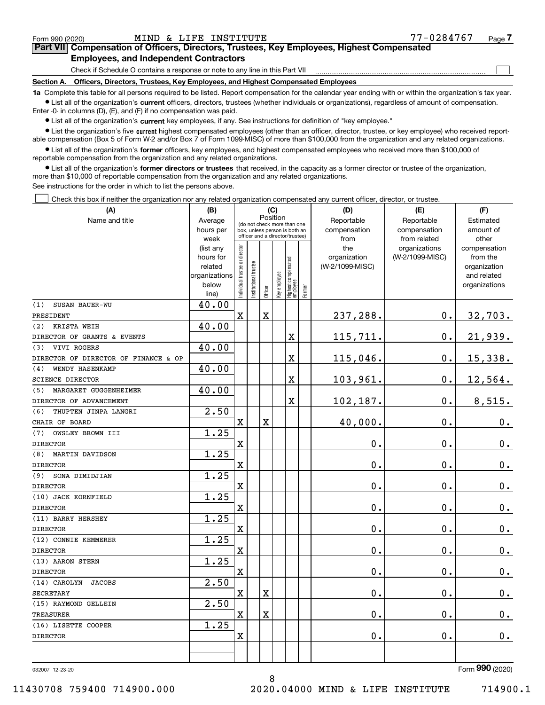$\begin{array}{c} \hline \end{array}$ 

|  |                                               |  | Part VII Compensation of Officers, Directors, Trustees, Key Employees, Highest Compensated |  |  |
|--|-----------------------------------------------|--|--------------------------------------------------------------------------------------------|--|--|
|  | <b>Employees, and Independent Contractors</b> |  |                                                                                            |  |  |

Check if Schedule O contains a response or note to any line in this Part VII

Section A. Officers, Directors, Trustees, Key Employees, and Highest Compensated Employees

1a Complete this table for all persons required to be listed. Report compensation for the calendar year ending with or within the organization's tax year. Ist all of the organization's current officers, directors, trustees (whether individuals or organizations), regardless of amount of compensation.

Enter -0- in columns (D), (E), and (F) if no compensation was paid.

 $\bullet$  List all of the organization's current key employees, if any. See instructions for definition of "key employee."

● List the organization's five current highest compensated employees (other than an officer, director, trustee, or key employee) who received reportable compensation (Box 5 of Form W-2 and/or Box 7 of Form 1099-MISC) of more than \$100,000 from the organization and any related organizations.

List all of the organization's former officers, key employees, and highest compensated employees who received more than \$100,000 of reportable compensation from the organization and any related organizations.

• List all of the organization's former directors or trustees that received, in the capacity as a former director or trustee of the organization, more than \$10,000 of reportable compensation from the organization and any related organizations.

See instructions for the order in which to list the persons above.

Check this box if neither the organization nor any related organization compensated any current officer, director, or trustee.  $\Box$ 

| (A)                                  | (B)                    | (C)<br>Position                |                       |             |              |                                                                  |        | (D)             | (E)                           | (F)                      |
|--------------------------------------|------------------------|--------------------------------|-----------------------|-------------|--------------|------------------------------------------------------------------|--------|-----------------|-------------------------------|--------------------------|
| Name and title                       | Average                |                                |                       |             |              | (do not check more than one                                      |        | Reportable      | Reportable                    | Estimated                |
|                                      | hours per              |                                |                       |             |              | box, unless person is both an<br>officer and a director/trustee) |        | compensation    | compensation                  | amount of                |
|                                      | week                   |                                |                       |             |              |                                                                  |        | from<br>the     | from related<br>organizations | other                    |
|                                      | (list any<br>hours for |                                |                       |             |              |                                                                  |        | organization    | (W-2/1099-MISC)               | compensation<br>from the |
|                                      | related                |                                |                       |             |              |                                                                  |        | (W-2/1099-MISC) |                               | organization             |
|                                      | organizations          |                                |                       |             |              |                                                                  |        |                 |                               | and related              |
|                                      | below                  | Individual trustee or director | Institutional trustee |             | Key employee |                                                                  |        |                 |                               | organizations            |
|                                      | line)                  |                                |                       | Officer     |              | Highest compensated<br> employee                                 | Former |                 |                               |                          |
| (1)<br><b>SUSAN BAUER-WU</b>         | 40.00                  |                                |                       |             |              |                                                                  |        |                 |                               |                          |
| PRESIDENT                            |                        | $\mathbf X$                    |                       | $\mathbf X$ |              |                                                                  |        | 237,288.        | 0.                            | 32,703.                  |
| (2) KRISTA WEIH                      | 40.00                  |                                |                       |             |              |                                                                  |        |                 |                               |                          |
| DIRECTOR OF GRANTS & EVENTS          |                        |                                |                       |             |              | X                                                                |        | 115,711.        | 0.                            | 21,939.                  |
| VIVI ROGERS<br>(3)                   | 40.00                  |                                |                       |             |              |                                                                  |        |                 |                               |                          |
| DIRECTOR OF DIRECTOR OF FINANCE & OP |                        |                                |                       |             |              | X                                                                |        | 115,046.        | 0.                            | 15,338.                  |
| WENDY HASENKAMP<br>(4)               | 40.00                  |                                |                       |             |              |                                                                  |        |                 |                               |                          |
| <b>SCIENCE DIRECTOR</b>              |                        |                                |                       |             |              | X                                                                |        | 103,961.        | 0.                            | 12,564.                  |
| (5)<br>MARGARET GUGGENHEIMER         | 40.00                  |                                |                       |             |              |                                                                  |        |                 |                               |                          |
| DIRECTOR OF ADVANCEMENT              |                        |                                |                       |             |              | X                                                                |        | 102,187.        | 0.                            | 8,515.                   |
| THUPTEN JINPA LANGRI<br>(6)          | 2.50                   |                                |                       |             |              |                                                                  |        |                 |                               |                          |
| CHAIR OF BOARD                       |                        | X                              |                       | X           |              |                                                                  |        | 40,000.         | 0.                            | 0.                       |
| (7)<br>OWSLEY BROWN III              | 1.25                   |                                |                       |             |              |                                                                  |        |                 |                               |                          |
| <b>DIRECTOR</b>                      |                        | $\mathbf X$                    |                       |             |              |                                                                  |        | 0.              | 0.                            | $\mathbf 0$ .            |
| (8)<br>MARTIN DAVIDSON               | 1.25                   |                                |                       |             |              |                                                                  |        |                 |                               |                          |
| <b>DIRECTOR</b>                      |                        | X                              |                       |             |              |                                                                  |        | 0.              | 0.                            | $\mathbf 0$ .            |
| SONA DIMIDJIAN<br>(9)                | 1.25                   |                                |                       |             |              |                                                                  |        |                 |                               |                          |
| <b>DIRECTOR</b>                      |                        | X                              |                       |             |              |                                                                  |        | 0.              | 0.                            | $\mathbf 0$ .            |
| (10) JACK KORNFIELD                  | 1.25                   |                                |                       |             |              |                                                                  |        |                 |                               |                          |
| <b>DIRECTOR</b>                      |                        | X                              |                       |             |              |                                                                  |        | 0.              | 0.                            | 0.                       |
| (11) BARRY HERSHEY                   | 1.25                   |                                |                       |             |              |                                                                  |        |                 |                               |                          |
| <b>DIRECTOR</b>                      |                        | X                              |                       |             |              |                                                                  |        | 0.              | 0.                            | $\mathbf 0$ .            |
| (12) CONNIE KEMMERER                 | 1.25                   |                                |                       |             |              |                                                                  |        |                 |                               |                          |
| <b>DIRECTOR</b>                      |                        | X                              |                       |             |              |                                                                  |        | 0.              | 0.                            | $\mathbf 0$ .            |
| (13) AARON STERN                     | 1.25                   |                                |                       |             |              |                                                                  |        |                 |                               |                          |
| <b>DIRECTOR</b>                      |                        | $\mathbf X$                    |                       |             |              |                                                                  |        | 0.              | 0.                            | $\mathbf 0$ .            |
| (14) CAROLYN<br><b>JACOBS</b>        | 2.50                   |                                |                       |             |              |                                                                  |        |                 |                               |                          |
| <b>SECRETARY</b>                     |                        | X                              |                       | X           |              |                                                                  |        | 0.              | 0.                            | 0.                       |
| (15) RAYMOND GELLEIN                 | 2.50                   |                                |                       |             |              |                                                                  |        |                 |                               |                          |
| <b>TREASURER</b>                     |                        | $\mathbf X$                    |                       | $\mathbf X$ |              |                                                                  |        | 0.              | 0.                            | 0.                       |
| (16) LISETTE COOPER                  | 1.25                   |                                |                       |             |              |                                                                  |        |                 |                               |                          |
| <b>DIRECTOR</b>                      |                        | X                              |                       |             |              |                                                                  |        | 0.              | 0.                            | 0.                       |
|                                      |                        |                                |                       |             |              |                                                                  |        |                 |                               |                          |
|                                      |                        |                                |                       |             |              |                                                                  |        |                 |                               |                          |

8

032007 12-23-20

Form 990 (2020)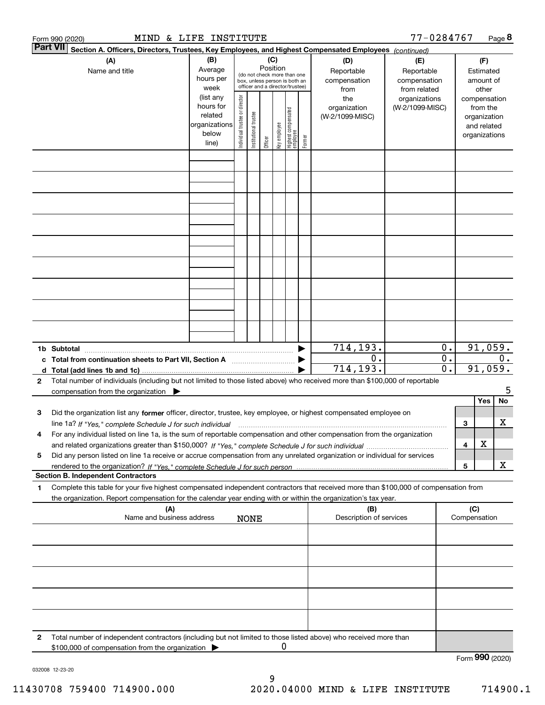|          | MIND & LIFE INSTITUTE<br>Form 990 (2020)                                                                                                                                                                                                                                                                                                                                                         |                                                                      |                                |                                                                                                                    |         |              |                                   |        |                                           | 77-0284767                                        |                                                                  |                     |                                                                          | Page 8  |
|----------|--------------------------------------------------------------------------------------------------------------------------------------------------------------------------------------------------------------------------------------------------------------------------------------------------------------------------------------------------------------------------------------------------|----------------------------------------------------------------------|--------------------------------|--------------------------------------------------------------------------------------------------------------------|---------|--------------|-----------------------------------|--------|-------------------------------------------|---------------------------------------------------|------------------------------------------------------------------|---------------------|--------------------------------------------------------------------------|---------|
| Part VII | Section A. Officers, Directors, Trustees, Key Employees, and Highest Compensated Employees (continued)<br>(B)<br>(A)<br>Average<br>Name and title<br>hours per<br>week                                                                                                                                                                                                                           |                                                                      |                                | (C)<br>Position<br>(do not check more than one<br>box, unless person is both an<br>officer and a director/trustee) |         |              |                                   |        | (D)<br>Reportable<br>compensation<br>from | (E)<br>Reportable<br>compensation<br>from related |                                                                  |                     | (F)<br>Estimated<br>amount of<br>other                                   |         |
|          |                                                                                                                                                                                                                                                                                                                                                                                                  | (list any<br>hours for<br>related<br>organizations<br>below<br>line) | Individual trustee or director | Institutional trustee                                                                                              | Officer | key employee | Highest compensated<br>  employee | Former | the<br>organization<br>(W-2/1099-MISC)    | organizations<br>(W-2/1099-MISC)                  |                                                                  |                     | compensation<br>from the<br>organization<br>and related<br>organizations |         |
|          |                                                                                                                                                                                                                                                                                                                                                                                                  |                                                                      |                                |                                                                                                                    |         |              |                                   |        |                                           |                                                   |                                                                  |                     |                                                                          |         |
|          |                                                                                                                                                                                                                                                                                                                                                                                                  |                                                                      |                                |                                                                                                                    |         |              |                                   |        |                                           |                                                   |                                                                  |                     |                                                                          |         |
|          |                                                                                                                                                                                                                                                                                                                                                                                                  |                                                                      |                                |                                                                                                                    |         |              |                                   |        |                                           |                                                   |                                                                  |                     |                                                                          |         |
|          |                                                                                                                                                                                                                                                                                                                                                                                                  |                                                                      |                                |                                                                                                                    |         |              |                                   |        |                                           |                                                   |                                                                  |                     |                                                                          |         |
|          |                                                                                                                                                                                                                                                                                                                                                                                                  |                                                                      |                                |                                                                                                                    |         |              |                                   |        |                                           |                                                   |                                                                  |                     |                                                                          |         |
|          | 1b Subtotal                                                                                                                                                                                                                                                                                                                                                                                      |                                                                      |                                |                                                                                                                    |         |              |                                   |        | 714, 193.                                 |                                                   | 0.                                                               |                     | 91,059.                                                                  |         |
|          | c Total from continuation sheets to Part VII, Section A<br>Total number of individuals (including but not limited to those listed above) who received more than \$100,000 of reportable                                                                                                                                                                                                          |                                                                      |                                |                                                                                                                    |         |              |                                   |        | 0.<br>714,193.                            |                                                   | $\overline{0}$ .<br>0.<br>$\overline{\mathfrak{o}}$ .<br>91,059. |                     |                                                                          |         |
| 2        | compensation from the organization $\blacktriangleright$                                                                                                                                                                                                                                                                                                                                         |                                                                      |                                |                                                                                                                    |         |              |                                   |        |                                           |                                                   |                                                                  |                     | Yes                                                                      | 5<br>No |
| з<br>4   | Did the organization list any former officer, director, trustee, key employee, or highest compensated employee on<br>line 1a? If "Yes," complete Schedule J for such individual manufactured contained and the 1a? If "Yes," complete Schedule J for such individual<br>For any individual listed on line 1a, is the sum of reportable compensation and other compensation from the organization |                                                                      |                                |                                                                                                                    |         |              |                                   |        |                                           |                                                   |                                                                  | 3                   |                                                                          | x       |
| 5        | Did any person listed on line 1a receive or accrue compensation from any unrelated organization or individual for services                                                                                                                                                                                                                                                                       |                                                                      |                                |                                                                                                                    |         |              |                                   |        |                                           |                                                   |                                                                  | 4<br>5              | X                                                                        | X       |
| 1        | <b>Section B. Independent Contractors</b><br>Complete this table for your five highest compensated independent contractors that received more than \$100,000 of compensation from                                                                                                                                                                                                                |                                                                      |                                |                                                                                                                    |         |              |                                   |        |                                           |                                                   |                                                                  |                     |                                                                          |         |
|          | the organization. Report compensation for the calendar year ending with or within the organization's tax year.<br>(A)<br>Name and business address                                                                                                                                                                                                                                               |                                                                      |                                | <b>NONE</b>                                                                                                        |         |              |                                   |        | (B)<br>Description of services            |                                                   |                                                                  | (C)<br>Compensation |                                                                          |         |
|          |                                                                                                                                                                                                                                                                                                                                                                                                  |                                                                      |                                |                                                                                                                    |         |              |                                   |        |                                           |                                                   |                                                                  |                     |                                                                          |         |
|          |                                                                                                                                                                                                                                                                                                                                                                                                  |                                                                      |                                |                                                                                                                    |         |              |                                   |        |                                           |                                                   |                                                                  |                     |                                                                          |         |
|          |                                                                                                                                                                                                                                                                                                                                                                                                  |                                                                      |                                |                                                                                                                    |         |              |                                   |        |                                           |                                                   |                                                                  |                     |                                                                          |         |
| 2        | Total number of independent contractors (including but not limited to those listed above) who received more than<br>\$100,000 of compensation from the organization                                                                                                                                                                                                                              |                                                                      |                                |                                                                                                                    |         | 0            |                                   |        |                                           |                                                   |                                                                  |                     |                                                                          |         |
|          |                                                                                                                                                                                                                                                                                                                                                                                                  |                                                                      |                                |                                                                                                                    |         |              |                                   |        |                                           |                                                   |                                                                  | Form 990 (2020)     |                                                                          |         |

032008 12-23-20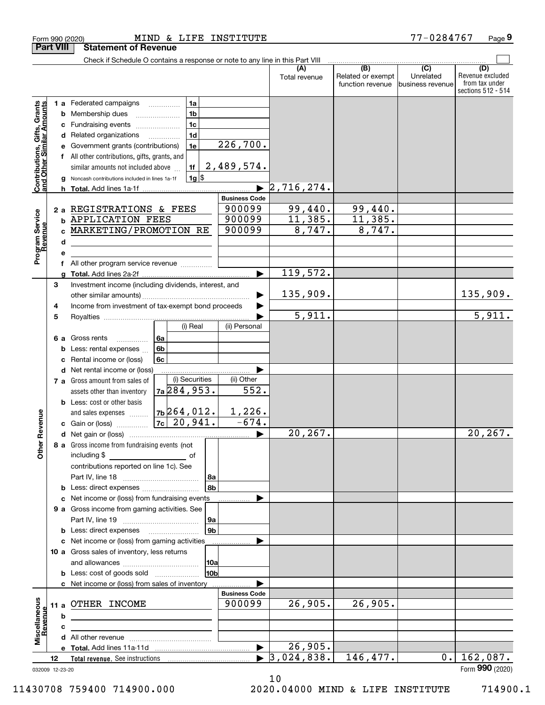|                                                                  |                  | Form 990 (2020)                                                               | MIND & LIFE INSTITUTE |                       |                                  |                           | 77-0284767                    | Page 9                  |
|------------------------------------------------------------------|------------------|-------------------------------------------------------------------------------|-----------------------|-----------------------|----------------------------------|---------------------------|-------------------------------|-------------------------|
|                                                                  | <b>Part VIII</b> | <b>Statement of Revenue</b>                                                   |                       |                       |                                  |                           |                               |                         |
|                                                                  |                  | Check if Schedule O contains a response or note to any line in this Part VIII |                       |                       |                                  |                           |                               |                         |
|                                                                  |                  |                                                                               |                       |                       | (A)<br>Total revenue             | (B)<br>Related or exempt  | $\overline{(C)}$<br>Unrelated | (D)<br>Revenue excluded |
|                                                                  |                  |                                                                               |                       |                       |                                  | function revenue          | business revenue              | from tax under          |
|                                                                  |                  |                                                                               |                       |                       |                                  |                           |                               | sections 512 - 514      |
|                                                                  |                  | <b>1 a</b> Federated campaigns                                                | 1a                    |                       |                                  |                           |                               |                         |
|                                                                  | b                | Membership dues                                                               | 1 <sub>b</sub>        |                       |                                  |                           |                               |                         |
|                                                                  | c                | Fundraising events                                                            | 1 <sub>c</sub>        |                       |                                  |                           |                               |                         |
|                                                                  | d                | Related organizations                                                         | 1 <sub>d</sub>        |                       |                                  |                           |                               |                         |
|                                                                  |                  | Government grants (contributions)                                             | 1e                    | 226,700.              |                                  |                           |                               |                         |
|                                                                  |                  |                                                                               |                       |                       |                                  |                           |                               |                         |
|                                                                  |                  | All other contributions, gifts, grants, and                                   |                       | 2,489,574.            |                                  |                           |                               |                         |
| <b>Contributions, Gifts, Grants</b><br>and Other Similar Amounts |                  | similar amounts not included above                                            | 1f                    |                       |                                  |                           |                               |                         |
|                                                                  | g                | Noncash contributions included in lines 1a-1f                                 | $1g$ \$               |                       |                                  |                           |                               |                         |
|                                                                  |                  |                                                                               |                       |                       | $\blacktriangleright$ 2,716,274. |                           |                               |                         |
|                                                                  |                  |                                                                               |                       | <b>Business Code</b>  |                                  |                           |                               |                         |
|                                                                  |                  | 2 a REGISTRATIONS & FEES                                                      |                       | 900099                | 99,440.                          | $\frac{99,440.11,385.}{}$ |                               |                         |
|                                                                  | b                | <b>APPLICATION FEES</b>                                                       |                       | 900099                | 11,385.                          |                           |                               |                         |
|                                                                  |                  | MARKETING/PROMOTION RE                                                        |                       | 900099                | 8,747.                           | 8,747.                    |                               |                         |
|                                                                  | d                |                                                                               |                       |                       |                                  |                           |                               |                         |
| Program Service<br>Revenue                                       |                  |                                                                               |                       |                       |                                  |                           |                               |                         |
|                                                                  |                  | All other program service revenue                                             |                       |                       |                                  |                           |                               |                         |
|                                                                  |                  |                                                                               |                       |                       | 119,572.                         |                           |                               |                         |
|                                                                  | 3                | Investment income (including dividends, interest, and                         |                       |                       |                                  |                           |                               |                         |
|                                                                  |                  |                                                                               |                       |                       | 135,909.                         |                           |                               | 135,909.                |
|                                                                  | 4                | Income from investment of tax-exempt bond proceeds                            |                       |                       |                                  |                           |                               |                         |
|                                                                  | 5                |                                                                               |                       |                       | $\overline{5,911.}$              |                           |                               | $\overline{5,911.}$     |
|                                                                  |                  |                                                                               | (i) Real              | (ii) Personal         |                                  |                           |                               |                         |
|                                                                  |                  |                                                                               |                       |                       |                                  |                           |                               |                         |
|                                                                  | 6а               | Gross rents                                                                   | l 6a                  |                       |                                  |                           |                               |                         |
|                                                                  | b                | Less: rental expenses                                                         | 6b                    |                       |                                  |                           |                               |                         |
|                                                                  | c                | Rental income or (loss)                                                       | 6c                    |                       |                                  |                           |                               |                         |
|                                                                  | d                | Net rental income or (loss)                                                   |                       |                       |                                  |                           |                               |                         |
|                                                                  |                  | 7 a Gross amount from sales of                                                | (i) Securities        | (ii) Other            |                                  |                           |                               |                         |
|                                                                  |                  | assets other than inventory                                                   | 7a 284, 953.          | 552.                  |                                  |                           |                               |                         |
|                                                                  |                  | <b>b</b> Less: cost or other basis                                            |                       |                       |                                  |                           |                               |                         |
|                                                                  |                  | and sales expenses                                                            | $7b$ 264,012.         | 1,226.                |                                  |                           |                               |                         |
| evenue                                                           |                  | c Gain or (loss)                                                              | $7c$ 20,941.          | $-674.$               |                                  |                           |                               |                         |
|                                                                  |                  |                                                                               |                       |                       | 20, 267.                         |                           |                               | 20,267.                 |
| Other R                                                          |                  | 8 a Gross income from fundraising events (not                                 |                       |                       |                                  |                           |                               |                         |
|                                                                  |                  | including \$                                                                  | <u>of</u> of          |                       |                                  |                           |                               |                         |
|                                                                  |                  | contributions reported on line 1c). See                                       |                       |                       |                                  |                           |                               |                         |
|                                                                  |                  |                                                                               | 8a                    |                       |                                  |                           |                               |                         |
|                                                                  |                  | Less: direct expenses                                                         |                       | 8b                    |                                  |                           |                               |                         |
|                                                                  | с                | Net income or (loss) from fundraising events                                  |                       |                       |                                  |                           |                               |                         |
|                                                                  |                  | 9 a Gross income from gaming activities. See                                  |                       |                       |                                  |                           |                               |                         |
|                                                                  |                  |                                                                               |                       | 9a                    |                                  |                           |                               |                         |
|                                                                  |                  | <b>b</b> Less: direct expenses <b>manually</b>                                |                       | 9 <sub>b</sub>        |                                  |                           |                               |                         |
|                                                                  |                  | c Net income or (loss) from gaming activities                                 |                       |                       |                                  |                           |                               |                         |
|                                                                  |                  | 10 a Gross sales of inventory, less returns                                   |                       |                       |                                  |                           |                               |                         |
|                                                                  |                  |                                                                               |                       |                       |                                  |                           |                               |                         |
|                                                                  |                  |                                                                               | 10a                   | 10 <sub>b</sub>       |                                  |                           |                               |                         |
|                                                                  |                  | <b>b</b> Less: cost of goods sold                                             |                       |                       |                                  |                           |                               |                         |
|                                                                  |                  | c Net income or (loss) from sales of inventory                                |                       |                       |                                  |                           |                               |                         |
|                                                                  |                  |                                                                               |                       | <b>Business Code</b>  |                                  |                           |                               |                         |
|                                                                  | 11a              | OTHER INCOME                                                                  |                       | 900099                | 26,905.                          | 26,905.                   |                               |                         |
|                                                                  | b                |                                                                               |                       |                       |                                  |                           |                               |                         |
| Revenue                                                          | c                |                                                                               |                       |                       |                                  |                           |                               |                         |
| Miscellaneous                                                    |                  |                                                                               |                       |                       |                                  |                           |                               |                         |
|                                                                  |                  |                                                                               |                       | $\blacktriangleright$ | 26,905.                          |                           |                               |                         |
|                                                                  | 12               |                                                                               |                       |                       | 3,024,838.                       | 146,477.                  | 0.                            | 162,087.                |
|                                                                  | 032009 12-23-20  |                                                                               |                       |                       |                                  |                           |                               | Form 990 (2020)         |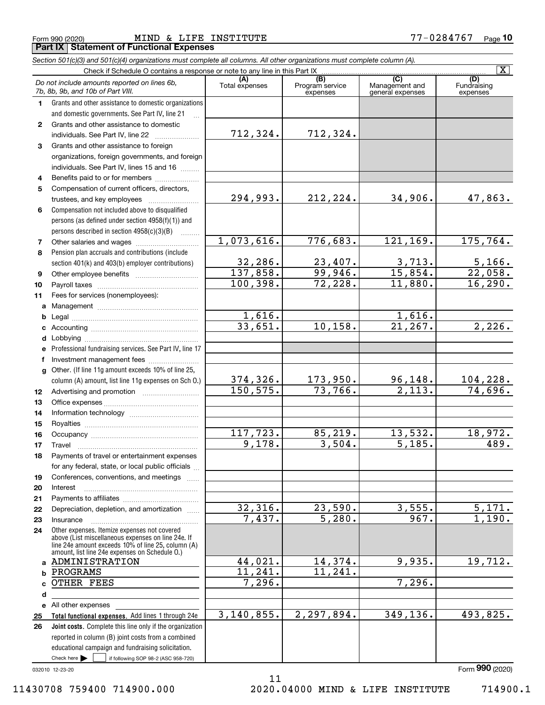#### Form 990 (2020) Page Part IX Statement of Functional Expenses MIND & LIFE INSTITUTE 77-0284767

|              | Section 501(c)(3) and 501(c)(4) organizations must complete all columns. All other organizations must complete column (A).                                 |                |                             |                                    | $\overline{\mathbf{x}}$        |
|--------------|------------------------------------------------------------------------------------------------------------------------------------------------------------|----------------|-----------------------------|------------------------------------|--------------------------------|
|              | Check if Schedule O contains a response or note to any line in this Part IX                                                                                | (A)            | (B)                         | (C)                                |                                |
|              | Do not include amounts reported on lines 6b,<br>7b, 8b, 9b, and 10b of Part VIII.                                                                          | Total expenses | Program service<br>expenses | Management and<br>general expenses | (D)<br>Fundraising<br>expenses |
| 1            | Grants and other assistance to domestic organizations                                                                                                      |                |                             |                                    |                                |
|              | and domestic governments. See Part IV, line 21                                                                                                             |                |                             |                                    |                                |
| $\mathbf{2}$ | Grants and other assistance to domestic                                                                                                                    |                |                             |                                    |                                |
|              | individuals. See Part IV, line 22                                                                                                                          | 712, 324.      | 712,324.                    |                                    |                                |
| 3            | Grants and other assistance to foreign                                                                                                                     |                |                             |                                    |                                |
|              | organizations, foreign governments, and foreign                                                                                                            |                |                             |                                    |                                |
|              | individuals. See Part IV, lines 15 and 16                                                                                                                  |                |                             |                                    |                                |
| 4            | Benefits paid to or for members                                                                                                                            |                |                             |                                    |                                |
| 5            | Compensation of current officers, directors,                                                                                                               |                |                             |                                    |                                |
|              | trustees, and key employees                                                                                                                                | 294, 993.      | 212,224.                    | 34,906.                            | 47,863.                        |
| 6            | Compensation not included above to disqualified                                                                                                            |                |                             |                                    |                                |
|              | persons (as defined under section 4958(f)(1)) and                                                                                                          |                |                             |                                    |                                |
|              | persons described in section 4958(c)(3)(B)<br><b>Barbara</b>                                                                                               |                |                             |                                    |                                |
| 7            |                                                                                                                                                            | 1,073,616.     | 776,683.                    | 121,169.                           | 175,764.                       |
| 8            | Pension plan accruals and contributions (include                                                                                                           |                |                             |                                    |                                |
|              | section 401(k) and 403(b) employer contributions)                                                                                                          | 32,286.        | 23,407.                     | 3,713.                             | 5,166.                         |
| 9            |                                                                                                                                                            | 137,858.       | $\frac{99,946}{$            | 15,854.                            | 22,058.                        |
| 10           |                                                                                                                                                            | 100, 398.      | 72,228.                     | 11,880.                            | 16, 290.                       |
| 11           | Fees for services (nonemployees):                                                                                                                          |                |                             |                                    |                                |
| a            |                                                                                                                                                            |                |                             |                                    |                                |
| b            |                                                                                                                                                            | 1,616.         |                             | 1,616.                             |                                |
| с            |                                                                                                                                                            | 33,651.        | 10, 158.                    | 21,267.                            | 2,226.                         |
| d            |                                                                                                                                                            |                |                             |                                    |                                |
| е            | Professional fundraising services. See Part IV, line 17                                                                                                    |                |                             |                                    |                                |
| f            | Investment management fees                                                                                                                                 |                |                             |                                    |                                |
| g            | Other. (If line 11g amount exceeds 10% of line 25,                                                                                                         |                |                             |                                    |                                |
|              | column (A) amount, list line 11g expenses on Sch O.)                                                                                                       | 374,326.       | 173,950.                    | <u>96,148.</u>                     | 104,228.                       |
| 12           |                                                                                                                                                            | 150, 575.      | 73,766.                     | $\overline{2,113.}$                | 74,696.                        |
| 13           |                                                                                                                                                            |                |                             |                                    |                                |
| 14           |                                                                                                                                                            |                |                             |                                    |                                |
| 15           |                                                                                                                                                            |                |                             |                                    |                                |
| 16           |                                                                                                                                                            | 117,723.       | 85,219.                     | 13,532.                            | 18,972.                        |
| 17           |                                                                                                                                                            | 9,178.         | 3,504.                      | 5,185.                             | 489.                           |
| 18           | Payments of travel or entertainment expenses                                                                                                               |                |                             |                                    |                                |
|              | for any federal, state, or local public officials                                                                                                          |                |                             |                                    |                                |
| 19           | Conferences, conventions, and meetings                                                                                                                     |                |                             |                                    |                                |
| 20           | Interest                                                                                                                                                   |                |                             |                                    |                                |
| 21           |                                                                                                                                                            | 32,316.        |                             |                                    | 5,171.                         |
| 22           | Depreciation, depletion, and amortization                                                                                                                  | 7,437.         | 23,590.<br>5,280.           | 3,555.<br>967.                     | 1,190.                         |
| 23           | Insurance<br>Other expenses. Itemize expenses not covered                                                                                                  |                |                             |                                    |                                |
| 24           | above (List miscellaneous expenses on line 24e. If<br>line 24e amount exceeds 10% of line 25, column (A)<br>amount, list line 24e expenses on Schedule O.) |                |                             |                                    |                                |
| a            | ADMINISTRATION                                                                                                                                             | 44,021.        | 14,374.                     | 9,935.                             | 19,712.                        |
| b            | PROGRAMS                                                                                                                                                   | 11, 241.       | 11,241.                     |                                    |                                |
| C            | OTHER FEES                                                                                                                                                 | 7,296.         |                             | 7,296.                             |                                |
| d            |                                                                                                                                                            |                |                             |                                    |                                |
| е            | All other expenses                                                                                                                                         |                |                             |                                    |                                |
| 25           | Total functional expenses. Add lines 1 through 24e                                                                                                         | 3, 140, 855.   | 2,297,894.                  | 349,136.                           | 493,825.                       |
| 26           | Joint costs. Complete this line only if the organization                                                                                                   |                |                             |                                    |                                |
|              | reported in column (B) joint costs from a combined                                                                                                         |                |                             |                                    |                                |
|              | educational campaign and fundraising solicitation.                                                                                                         |                |                             |                                    |                                |

11

032010 12-23-20

Check here

 $\overline{\phantom{a}}$ 

If following SOP 98-2 (ASC 958-720)

11430708 759400 714900.000 2020.04000 MIND & LIFE INSTITUTE 714900.1

Form 990 (2020)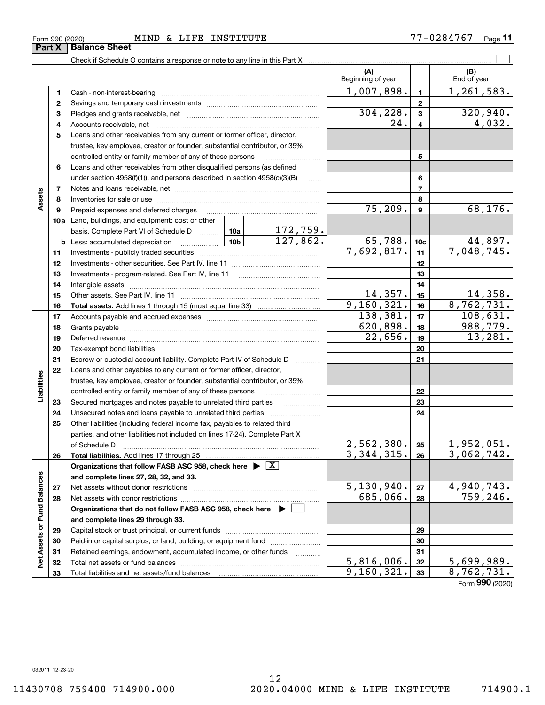Form 990 (2020)

 $_{\rm Form}$  990 (2020) <code>MIND & LIFE INSTITUTE</code>  $77-0284767$   $_{\rm Page}$  $\frac{1}{\sqrt{Part X} \mid \text{Balance Sheet}}$ 

Check if Schedule O contains a response or note to any line in this Part X

| 1,007,898.<br>1,261,583.<br>$\mathbf{1}$<br>1<br>$\mathbf{2}$<br>2<br>304,228.<br>320,940.<br>3<br>3<br>4,032.<br>24.<br>4<br>4<br>5<br>Loans and other receivables from any current or former officer, director,<br>trustee, key employee, creator or founder, substantial contributor, or 35%<br>controlled entity or family member of any of these persons<br>5<br>Loans and other receivables from other disqualified persons (as defined<br>6<br>under section 4958(f)(1)), and persons described in section 4958(c)(3)(B)<br>6<br>1.1.1.1<br>$\overline{7}$<br>7<br>Assets<br>8<br>8<br>68,176.<br>75, 209.<br>9<br>Prepaid expenses and deferred charges<br>9<br><b>10a</b> Land, buildings, and equipment: cost or other<br>$\frac{172,759.}{127,862.}$<br>10a<br>basis. Complete Part VI of Schedule D<br>65,788.<br>$\frac{44,897.}{7,048,745.}$<br>10 <sub>b</sub><br>10 <sub>c</sub><br><b>b</b> Less: accumulated depreciation<br>. 1<br>7,692,817.<br>11<br>11<br>12<br>12<br>13<br>Investments - program-related. See Part IV, line 11<br>13<br>14<br>14<br>14,357.<br>14,358.<br>15<br>15<br>9, 160, 321.<br>8,762,731.<br>16<br>16<br>138,381.<br>108,631.<br>17<br>17<br>620,898.<br>988,779.<br>18<br>18<br>13,281.<br>22,656.<br>19<br>19<br>20<br>20<br>21<br>Escrow or custodial account liability. Complete Part IV of Schedule D<br>21<br>1.1.1.1.1.1.1.1.1.1<br>22<br>Loans and other payables to any current or former officer, director,<br>Liabilities<br>trustee, key employee, creator or founder, substantial contributor, or 35%<br>controlled entity or family member of any of these persons<br>22<br>23<br>Secured mortgages and notes payable to unrelated third parties<br>23<br>24<br>24<br>Other liabilities (including federal income tax, payables to related third<br>25<br>parties, and other liabilities not included on lines 17-24). Complete Part X<br>2,562,380.<br>1,952,051.<br>25<br>of Schedule D<br>$\overline{3,062,742.}$<br>3,344,315.<br>26<br>26<br>Organizations that follow FASB ASC 958, check here $\blacktriangleright \boxed{\text{X}}$<br>Net Assets or Fund Balances<br>and complete lines 27, 28, 32, and 33.<br>5,130,940.<br><u>4,940,743.</u><br>27<br>Net assets without donor restrictions<br>27<br>759, 246.<br>685,066.<br>28<br>28<br>Organizations that do not follow FASB ASC 958, check here $\blacktriangleright$<br>and complete lines 29 through 33.<br>29<br>29<br>Paid-in or capital surplus, or land, building, or equipment fund<br>30<br>30<br>Retained earnings, endowment, accumulated income, or other funds<br>31<br>31<br>5,816,006.<br>$\overline{5,699,989}$ .<br>32<br>32<br>9, 160, 321.<br>8,762,731.<br>33<br>33 |  |  |  |  | (A)<br>Beginning of year | (B)<br>End of year |
|-------------------------------------------------------------------------------------------------------------------------------------------------------------------------------------------------------------------------------------------------------------------------------------------------------------------------------------------------------------------------------------------------------------------------------------------------------------------------------------------------------------------------------------------------------------------------------------------------------------------------------------------------------------------------------------------------------------------------------------------------------------------------------------------------------------------------------------------------------------------------------------------------------------------------------------------------------------------------------------------------------------------------------------------------------------------------------------------------------------------------------------------------------------------------------------------------------------------------------------------------------------------------------------------------------------------------------------------------------------------------------------------------------------------------------------------------------------------------------------------------------------------------------------------------------------------------------------------------------------------------------------------------------------------------------------------------------------------------------------------------------------------------------------------------------------------------------------------------------------------------------------------------------------------------------------------------------------------------------------------------------------------------------------------------------------------------------------------------------------------------------------------------------------------------------------------------------------------------------------------------------------------------------------------------------------------------------------------------------------------------------------------------------------------------------------------------------------------------------------------------------------------------------------------------------------------------------------------------------------------------------------------------------------------------------------------------------------------|--|--|--|--|--------------------------|--------------------|
|                                                                                                                                                                                                                                                                                                                                                                                                                                                                                                                                                                                                                                                                                                                                                                                                                                                                                                                                                                                                                                                                                                                                                                                                                                                                                                                                                                                                                                                                                                                                                                                                                                                                                                                                                                                                                                                                                                                                                                                                                                                                                                                                                                                                                                                                                                                                                                                                                                                                                                                                                                                                                                                                                                                   |  |  |  |  |                          |                    |
|                                                                                                                                                                                                                                                                                                                                                                                                                                                                                                                                                                                                                                                                                                                                                                                                                                                                                                                                                                                                                                                                                                                                                                                                                                                                                                                                                                                                                                                                                                                                                                                                                                                                                                                                                                                                                                                                                                                                                                                                                                                                                                                                                                                                                                                                                                                                                                                                                                                                                                                                                                                                                                                                                                                   |  |  |  |  |                          |                    |
|                                                                                                                                                                                                                                                                                                                                                                                                                                                                                                                                                                                                                                                                                                                                                                                                                                                                                                                                                                                                                                                                                                                                                                                                                                                                                                                                                                                                                                                                                                                                                                                                                                                                                                                                                                                                                                                                                                                                                                                                                                                                                                                                                                                                                                                                                                                                                                                                                                                                                                                                                                                                                                                                                                                   |  |  |  |  |                          |                    |
|                                                                                                                                                                                                                                                                                                                                                                                                                                                                                                                                                                                                                                                                                                                                                                                                                                                                                                                                                                                                                                                                                                                                                                                                                                                                                                                                                                                                                                                                                                                                                                                                                                                                                                                                                                                                                                                                                                                                                                                                                                                                                                                                                                                                                                                                                                                                                                                                                                                                                                                                                                                                                                                                                                                   |  |  |  |  |                          |                    |
|                                                                                                                                                                                                                                                                                                                                                                                                                                                                                                                                                                                                                                                                                                                                                                                                                                                                                                                                                                                                                                                                                                                                                                                                                                                                                                                                                                                                                                                                                                                                                                                                                                                                                                                                                                                                                                                                                                                                                                                                                                                                                                                                                                                                                                                                                                                                                                                                                                                                                                                                                                                                                                                                                                                   |  |  |  |  |                          |                    |
|                                                                                                                                                                                                                                                                                                                                                                                                                                                                                                                                                                                                                                                                                                                                                                                                                                                                                                                                                                                                                                                                                                                                                                                                                                                                                                                                                                                                                                                                                                                                                                                                                                                                                                                                                                                                                                                                                                                                                                                                                                                                                                                                                                                                                                                                                                                                                                                                                                                                                                                                                                                                                                                                                                                   |  |  |  |  |                          |                    |
|                                                                                                                                                                                                                                                                                                                                                                                                                                                                                                                                                                                                                                                                                                                                                                                                                                                                                                                                                                                                                                                                                                                                                                                                                                                                                                                                                                                                                                                                                                                                                                                                                                                                                                                                                                                                                                                                                                                                                                                                                                                                                                                                                                                                                                                                                                                                                                                                                                                                                                                                                                                                                                                                                                                   |  |  |  |  |                          |                    |
|                                                                                                                                                                                                                                                                                                                                                                                                                                                                                                                                                                                                                                                                                                                                                                                                                                                                                                                                                                                                                                                                                                                                                                                                                                                                                                                                                                                                                                                                                                                                                                                                                                                                                                                                                                                                                                                                                                                                                                                                                                                                                                                                                                                                                                                                                                                                                                                                                                                                                                                                                                                                                                                                                                                   |  |  |  |  |                          |                    |
|                                                                                                                                                                                                                                                                                                                                                                                                                                                                                                                                                                                                                                                                                                                                                                                                                                                                                                                                                                                                                                                                                                                                                                                                                                                                                                                                                                                                                                                                                                                                                                                                                                                                                                                                                                                                                                                                                                                                                                                                                                                                                                                                                                                                                                                                                                                                                                                                                                                                                                                                                                                                                                                                                                                   |  |  |  |  |                          |                    |
|                                                                                                                                                                                                                                                                                                                                                                                                                                                                                                                                                                                                                                                                                                                                                                                                                                                                                                                                                                                                                                                                                                                                                                                                                                                                                                                                                                                                                                                                                                                                                                                                                                                                                                                                                                                                                                                                                                                                                                                                                                                                                                                                                                                                                                                                                                                                                                                                                                                                                                                                                                                                                                                                                                                   |  |  |  |  |                          |                    |
|                                                                                                                                                                                                                                                                                                                                                                                                                                                                                                                                                                                                                                                                                                                                                                                                                                                                                                                                                                                                                                                                                                                                                                                                                                                                                                                                                                                                                                                                                                                                                                                                                                                                                                                                                                                                                                                                                                                                                                                                                                                                                                                                                                                                                                                                                                                                                                                                                                                                                                                                                                                                                                                                                                                   |  |  |  |  |                          |                    |
|                                                                                                                                                                                                                                                                                                                                                                                                                                                                                                                                                                                                                                                                                                                                                                                                                                                                                                                                                                                                                                                                                                                                                                                                                                                                                                                                                                                                                                                                                                                                                                                                                                                                                                                                                                                                                                                                                                                                                                                                                                                                                                                                                                                                                                                                                                                                                                                                                                                                                                                                                                                                                                                                                                                   |  |  |  |  |                          |                    |
|                                                                                                                                                                                                                                                                                                                                                                                                                                                                                                                                                                                                                                                                                                                                                                                                                                                                                                                                                                                                                                                                                                                                                                                                                                                                                                                                                                                                                                                                                                                                                                                                                                                                                                                                                                                                                                                                                                                                                                                                                                                                                                                                                                                                                                                                                                                                                                                                                                                                                                                                                                                                                                                                                                                   |  |  |  |  |                          |                    |
|                                                                                                                                                                                                                                                                                                                                                                                                                                                                                                                                                                                                                                                                                                                                                                                                                                                                                                                                                                                                                                                                                                                                                                                                                                                                                                                                                                                                                                                                                                                                                                                                                                                                                                                                                                                                                                                                                                                                                                                                                                                                                                                                                                                                                                                                                                                                                                                                                                                                                                                                                                                                                                                                                                                   |  |  |  |  |                          |                    |
|                                                                                                                                                                                                                                                                                                                                                                                                                                                                                                                                                                                                                                                                                                                                                                                                                                                                                                                                                                                                                                                                                                                                                                                                                                                                                                                                                                                                                                                                                                                                                                                                                                                                                                                                                                                                                                                                                                                                                                                                                                                                                                                                                                                                                                                                                                                                                                                                                                                                                                                                                                                                                                                                                                                   |  |  |  |  |                          |                    |
|                                                                                                                                                                                                                                                                                                                                                                                                                                                                                                                                                                                                                                                                                                                                                                                                                                                                                                                                                                                                                                                                                                                                                                                                                                                                                                                                                                                                                                                                                                                                                                                                                                                                                                                                                                                                                                                                                                                                                                                                                                                                                                                                                                                                                                                                                                                                                                                                                                                                                                                                                                                                                                                                                                                   |  |  |  |  |                          |                    |
|                                                                                                                                                                                                                                                                                                                                                                                                                                                                                                                                                                                                                                                                                                                                                                                                                                                                                                                                                                                                                                                                                                                                                                                                                                                                                                                                                                                                                                                                                                                                                                                                                                                                                                                                                                                                                                                                                                                                                                                                                                                                                                                                                                                                                                                                                                                                                                                                                                                                                                                                                                                                                                                                                                                   |  |  |  |  |                          |                    |
|                                                                                                                                                                                                                                                                                                                                                                                                                                                                                                                                                                                                                                                                                                                                                                                                                                                                                                                                                                                                                                                                                                                                                                                                                                                                                                                                                                                                                                                                                                                                                                                                                                                                                                                                                                                                                                                                                                                                                                                                                                                                                                                                                                                                                                                                                                                                                                                                                                                                                                                                                                                                                                                                                                                   |  |  |  |  |                          |                    |
|                                                                                                                                                                                                                                                                                                                                                                                                                                                                                                                                                                                                                                                                                                                                                                                                                                                                                                                                                                                                                                                                                                                                                                                                                                                                                                                                                                                                                                                                                                                                                                                                                                                                                                                                                                                                                                                                                                                                                                                                                                                                                                                                                                                                                                                                                                                                                                                                                                                                                                                                                                                                                                                                                                                   |  |  |  |  |                          |                    |
|                                                                                                                                                                                                                                                                                                                                                                                                                                                                                                                                                                                                                                                                                                                                                                                                                                                                                                                                                                                                                                                                                                                                                                                                                                                                                                                                                                                                                                                                                                                                                                                                                                                                                                                                                                                                                                                                                                                                                                                                                                                                                                                                                                                                                                                                                                                                                                                                                                                                                                                                                                                                                                                                                                                   |  |  |  |  |                          |                    |
|                                                                                                                                                                                                                                                                                                                                                                                                                                                                                                                                                                                                                                                                                                                                                                                                                                                                                                                                                                                                                                                                                                                                                                                                                                                                                                                                                                                                                                                                                                                                                                                                                                                                                                                                                                                                                                                                                                                                                                                                                                                                                                                                                                                                                                                                                                                                                                                                                                                                                                                                                                                                                                                                                                                   |  |  |  |  |                          |                    |
|                                                                                                                                                                                                                                                                                                                                                                                                                                                                                                                                                                                                                                                                                                                                                                                                                                                                                                                                                                                                                                                                                                                                                                                                                                                                                                                                                                                                                                                                                                                                                                                                                                                                                                                                                                                                                                                                                                                                                                                                                                                                                                                                                                                                                                                                                                                                                                                                                                                                                                                                                                                                                                                                                                                   |  |  |  |  |                          |                    |
|                                                                                                                                                                                                                                                                                                                                                                                                                                                                                                                                                                                                                                                                                                                                                                                                                                                                                                                                                                                                                                                                                                                                                                                                                                                                                                                                                                                                                                                                                                                                                                                                                                                                                                                                                                                                                                                                                                                                                                                                                                                                                                                                                                                                                                                                                                                                                                                                                                                                                                                                                                                                                                                                                                                   |  |  |  |  |                          |                    |
|                                                                                                                                                                                                                                                                                                                                                                                                                                                                                                                                                                                                                                                                                                                                                                                                                                                                                                                                                                                                                                                                                                                                                                                                                                                                                                                                                                                                                                                                                                                                                                                                                                                                                                                                                                                                                                                                                                                                                                                                                                                                                                                                                                                                                                                                                                                                                                                                                                                                                                                                                                                                                                                                                                                   |  |  |  |  |                          |                    |
|                                                                                                                                                                                                                                                                                                                                                                                                                                                                                                                                                                                                                                                                                                                                                                                                                                                                                                                                                                                                                                                                                                                                                                                                                                                                                                                                                                                                                                                                                                                                                                                                                                                                                                                                                                                                                                                                                                                                                                                                                                                                                                                                                                                                                                                                                                                                                                                                                                                                                                                                                                                                                                                                                                                   |  |  |  |  |                          |                    |
|                                                                                                                                                                                                                                                                                                                                                                                                                                                                                                                                                                                                                                                                                                                                                                                                                                                                                                                                                                                                                                                                                                                                                                                                                                                                                                                                                                                                                                                                                                                                                                                                                                                                                                                                                                                                                                                                                                                                                                                                                                                                                                                                                                                                                                                                                                                                                                                                                                                                                                                                                                                                                                                                                                                   |  |  |  |  |                          |                    |
|                                                                                                                                                                                                                                                                                                                                                                                                                                                                                                                                                                                                                                                                                                                                                                                                                                                                                                                                                                                                                                                                                                                                                                                                                                                                                                                                                                                                                                                                                                                                                                                                                                                                                                                                                                                                                                                                                                                                                                                                                                                                                                                                                                                                                                                                                                                                                                                                                                                                                                                                                                                                                                                                                                                   |  |  |  |  |                          |                    |
|                                                                                                                                                                                                                                                                                                                                                                                                                                                                                                                                                                                                                                                                                                                                                                                                                                                                                                                                                                                                                                                                                                                                                                                                                                                                                                                                                                                                                                                                                                                                                                                                                                                                                                                                                                                                                                                                                                                                                                                                                                                                                                                                                                                                                                                                                                                                                                                                                                                                                                                                                                                                                                                                                                                   |  |  |  |  |                          |                    |
|                                                                                                                                                                                                                                                                                                                                                                                                                                                                                                                                                                                                                                                                                                                                                                                                                                                                                                                                                                                                                                                                                                                                                                                                                                                                                                                                                                                                                                                                                                                                                                                                                                                                                                                                                                                                                                                                                                                                                                                                                                                                                                                                                                                                                                                                                                                                                                                                                                                                                                                                                                                                                                                                                                                   |  |  |  |  |                          |                    |
|                                                                                                                                                                                                                                                                                                                                                                                                                                                                                                                                                                                                                                                                                                                                                                                                                                                                                                                                                                                                                                                                                                                                                                                                                                                                                                                                                                                                                                                                                                                                                                                                                                                                                                                                                                                                                                                                                                                                                                                                                                                                                                                                                                                                                                                                                                                                                                                                                                                                                                                                                                                                                                                                                                                   |  |  |  |  |                          |                    |
|                                                                                                                                                                                                                                                                                                                                                                                                                                                                                                                                                                                                                                                                                                                                                                                                                                                                                                                                                                                                                                                                                                                                                                                                                                                                                                                                                                                                                                                                                                                                                                                                                                                                                                                                                                                                                                                                                                                                                                                                                                                                                                                                                                                                                                                                                                                                                                                                                                                                                                                                                                                                                                                                                                                   |  |  |  |  |                          |                    |
|                                                                                                                                                                                                                                                                                                                                                                                                                                                                                                                                                                                                                                                                                                                                                                                                                                                                                                                                                                                                                                                                                                                                                                                                                                                                                                                                                                                                                                                                                                                                                                                                                                                                                                                                                                                                                                                                                                                                                                                                                                                                                                                                                                                                                                                                                                                                                                                                                                                                                                                                                                                                                                                                                                                   |  |  |  |  |                          |                    |
|                                                                                                                                                                                                                                                                                                                                                                                                                                                                                                                                                                                                                                                                                                                                                                                                                                                                                                                                                                                                                                                                                                                                                                                                                                                                                                                                                                                                                                                                                                                                                                                                                                                                                                                                                                                                                                                                                                                                                                                                                                                                                                                                                                                                                                                                                                                                                                                                                                                                                                                                                                                                                                                                                                                   |  |  |  |  |                          |                    |
|                                                                                                                                                                                                                                                                                                                                                                                                                                                                                                                                                                                                                                                                                                                                                                                                                                                                                                                                                                                                                                                                                                                                                                                                                                                                                                                                                                                                                                                                                                                                                                                                                                                                                                                                                                                                                                                                                                                                                                                                                                                                                                                                                                                                                                                                                                                                                                                                                                                                                                                                                                                                                                                                                                                   |  |  |  |  |                          |                    |
|                                                                                                                                                                                                                                                                                                                                                                                                                                                                                                                                                                                                                                                                                                                                                                                                                                                                                                                                                                                                                                                                                                                                                                                                                                                                                                                                                                                                                                                                                                                                                                                                                                                                                                                                                                                                                                                                                                                                                                                                                                                                                                                                                                                                                                                                                                                                                                                                                                                                                                                                                                                                                                                                                                                   |  |  |  |  |                          |                    |
|                                                                                                                                                                                                                                                                                                                                                                                                                                                                                                                                                                                                                                                                                                                                                                                                                                                                                                                                                                                                                                                                                                                                                                                                                                                                                                                                                                                                                                                                                                                                                                                                                                                                                                                                                                                                                                                                                                                                                                                                                                                                                                                                                                                                                                                                                                                                                                                                                                                                                                                                                                                                                                                                                                                   |  |  |  |  |                          |                    |
|                                                                                                                                                                                                                                                                                                                                                                                                                                                                                                                                                                                                                                                                                                                                                                                                                                                                                                                                                                                                                                                                                                                                                                                                                                                                                                                                                                                                                                                                                                                                                                                                                                                                                                                                                                                                                                                                                                                                                                                                                                                                                                                                                                                                                                                                                                                                                                                                                                                                                                                                                                                                                                                                                                                   |  |  |  |  |                          |                    |
|                                                                                                                                                                                                                                                                                                                                                                                                                                                                                                                                                                                                                                                                                                                                                                                                                                                                                                                                                                                                                                                                                                                                                                                                                                                                                                                                                                                                                                                                                                                                                                                                                                                                                                                                                                                                                                                                                                                                                                                                                                                                                                                                                                                                                                                                                                                                                                                                                                                                                                                                                                                                                                                                                                                   |  |  |  |  |                          |                    |
|                                                                                                                                                                                                                                                                                                                                                                                                                                                                                                                                                                                                                                                                                                                                                                                                                                                                                                                                                                                                                                                                                                                                                                                                                                                                                                                                                                                                                                                                                                                                                                                                                                                                                                                                                                                                                                                                                                                                                                                                                                                                                                                                                                                                                                                                                                                                                                                                                                                                                                                                                                                                                                                                                                                   |  |  |  |  |                          |                    |
|                                                                                                                                                                                                                                                                                                                                                                                                                                                                                                                                                                                                                                                                                                                                                                                                                                                                                                                                                                                                                                                                                                                                                                                                                                                                                                                                                                                                                                                                                                                                                                                                                                                                                                                                                                                                                                                                                                                                                                                                                                                                                                                                                                                                                                                                                                                                                                                                                                                                                                                                                                                                                                                                                                                   |  |  |  |  |                          |                    |
|                                                                                                                                                                                                                                                                                                                                                                                                                                                                                                                                                                                                                                                                                                                                                                                                                                                                                                                                                                                                                                                                                                                                                                                                                                                                                                                                                                                                                                                                                                                                                                                                                                                                                                                                                                                                                                                                                                                                                                                                                                                                                                                                                                                                                                                                                                                                                                                                                                                                                                                                                                                                                                                                                                                   |  |  |  |  |                          |                    |
|                                                                                                                                                                                                                                                                                                                                                                                                                                                                                                                                                                                                                                                                                                                                                                                                                                                                                                                                                                                                                                                                                                                                                                                                                                                                                                                                                                                                                                                                                                                                                                                                                                                                                                                                                                                                                                                                                                                                                                                                                                                                                                                                                                                                                                                                                                                                                                                                                                                                                                                                                                                                                                                                                                                   |  |  |  |  |                          |                    |
|                                                                                                                                                                                                                                                                                                                                                                                                                                                                                                                                                                                                                                                                                                                                                                                                                                                                                                                                                                                                                                                                                                                                                                                                                                                                                                                                                                                                                                                                                                                                                                                                                                                                                                                                                                                                                                                                                                                                                                                                                                                                                                                                                                                                                                                                                                                                                                                                                                                                                                                                                                                                                                                                                                                   |  |  |  |  |                          |                    |
|                                                                                                                                                                                                                                                                                                                                                                                                                                                                                                                                                                                                                                                                                                                                                                                                                                                                                                                                                                                                                                                                                                                                                                                                                                                                                                                                                                                                                                                                                                                                                                                                                                                                                                                                                                                                                                                                                                                                                                                                                                                                                                                                                                                                                                                                                                                                                                                                                                                                                                                                                                                                                                                                                                                   |  |  |  |  |                          |                    |
|                                                                                                                                                                                                                                                                                                                                                                                                                                                                                                                                                                                                                                                                                                                                                                                                                                                                                                                                                                                                                                                                                                                                                                                                                                                                                                                                                                                                                                                                                                                                                                                                                                                                                                                                                                                                                                                                                                                                                                                                                                                                                                                                                                                                                                                                                                                                                                                                                                                                                                                                                                                                                                                                                                                   |  |  |  |  |                          |                    |

 $\boxed{\phantom{1}}$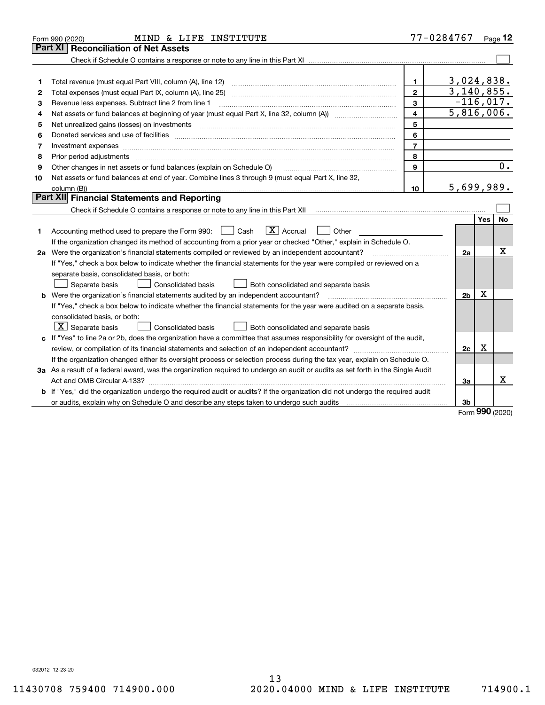|    | MIND & LIFE INSTITUTE<br>Form 990 (2020)                                                                                        |                | 77-0284767     |     | Page $12$ |  |  |
|----|---------------------------------------------------------------------------------------------------------------------------------|----------------|----------------|-----|-----------|--|--|
|    | Part XI<br><b>Reconciliation of Net Assets</b>                                                                                  |                |                |     |           |  |  |
|    |                                                                                                                                 |                |                |     |           |  |  |
|    |                                                                                                                                 |                |                |     |           |  |  |
| 1  |                                                                                                                                 | 1.             | 3,024,838.     |     |           |  |  |
| 2  |                                                                                                                                 | $\mathbf{2}$   | 3,140,855.     |     |           |  |  |
| 3  | Revenue less expenses. Subtract line 2 from line 1                                                                              | $-116,017.$    |                |     |           |  |  |
| 4  |                                                                                                                                 | 4              | 5,816,006.     |     |           |  |  |
| 5  | Net unrealized gains (losses) on investments                                                                                    | 5              |                |     |           |  |  |
| 6  |                                                                                                                                 | 6              |                |     |           |  |  |
| 7  | Investment expenses www.communication.com/www.communication.com/www.communication.com/www.com                                   | $\overline{7}$ |                |     |           |  |  |
| 8  | Prior period adjustments                                                                                                        | 8              |                |     |           |  |  |
| 9  | Other changes in net assets or fund balances (explain on Schedule O)                                                            | 9              |                |     | 0.        |  |  |
| 10 | Net assets or fund balances at end of year. Combine lines 3 through 9 (must equal Part X, line 32,                              |                |                |     |           |  |  |
|    |                                                                                                                                 | 10             | 5,699,989.     |     |           |  |  |
|    | Part XII Financial Statements and Reporting                                                                                     |                |                |     |           |  |  |
|    |                                                                                                                                 |                |                |     |           |  |  |
|    |                                                                                                                                 |                |                | Yes | No        |  |  |
| 1  | $\boxed{\text{X}}$ Accrual<br>Accounting method used to prepare the Form 990: <u>June</u> Cash<br>Other<br>$\mathbf{1}$         |                |                |     |           |  |  |
|    | If the organization changed its method of accounting from a prior year or checked "Other," explain in Schedule O.               |                |                |     |           |  |  |
|    | 2a Were the organization's financial statements compiled or reviewed by an independent accountant?                              |                | 2a             |     | X         |  |  |
|    | If "Yes," check a box below to indicate whether the financial statements for the year were compiled or reviewed on a            |                |                |     |           |  |  |
|    | separate basis, consolidated basis, or both:                                                                                    |                |                |     |           |  |  |
|    | Separate basis<br>Both consolidated and separate basis<br>Consolidated basis                                                    |                |                |     |           |  |  |
|    | <b>b</b> Were the organization's financial statements audited by an independent accountant?                                     |                | 2 <sub>b</sub> | X   |           |  |  |
|    | If "Yes," check a box below to indicate whether the financial statements for the year were audited on a separate basis,         |                |                |     |           |  |  |
|    | consolidated basis, or both:                                                                                                    |                |                |     |           |  |  |
|    | $\lfloor x \rfloor$ Separate basis<br><b>Consolidated basis</b><br>Both consolidated and separate basis                         |                |                |     |           |  |  |
|    | c If "Yes" to line 2a or 2b, does the organization have a committee that assumes responsibility for oversight of the audit,     |                |                |     |           |  |  |
|    |                                                                                                                                 |                | 2c             | Χ   |           |  |  |
|    | If the organization changed either its oversight process or selection process during the tax year, explain on Schedule O.       |                |                |     |           |  |  |
|    | 3a As a result of a federal award, was the organization required to undergo an audit or audits as set forth in the Single Audit |                |                |     |           |  |  |
|    |                                                                                                                                 |                | За             |     | х         |  |  |
|    | b If "Yes," did the organization undergo the required audit or audits? If the organization did not undergo the required audit   |                |                |     |           |  |  |
|    | or audits, explain why on Schedule O and describe any steps taken to undergo such audits contains and the second                |                | 3b             |     |           |  |  |
|    |                                                                                                                                 |                |                | nnn |           |  |  |

Form 990 (2020)

032012 12-23-20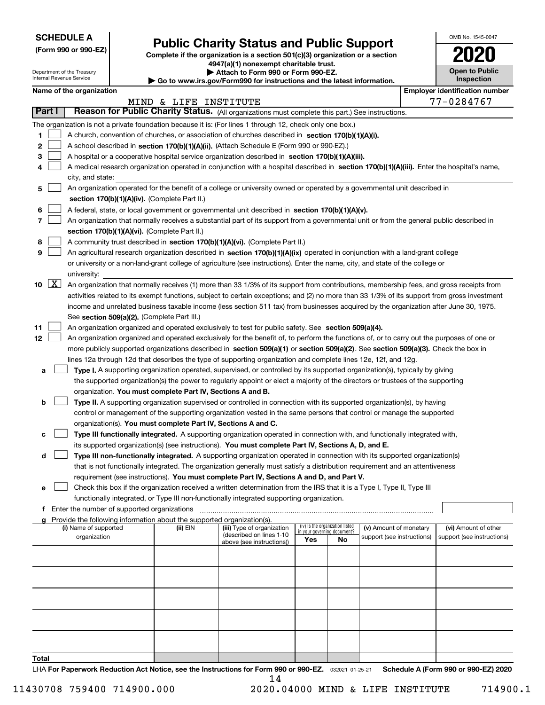| <b>SCHEDULE A</b> |  |
|-------------------|--|
|-------------------|--|

Department of the Treasury Internal Revenue Service

# Public Charity Status and Public Support

(Form 990 or 990-EZ) Complete if the organization is a section 501(c)(3) organization or a section 4947(a)(1) nonexempt charitable trust.

| Attach to Form 990 or Form 990-EZ.

| Go to www.irs.gov/Form990 for instructions and the latest information.

| OMB No. 1545-0047                   |
|-------------------------------------|
| 020                                 |
| <b>Open to Public</b><br>Inspection |

|       |        | Name of the organization                                                                                                                     |                       |                            |                                 |    |                                                      |  | <b>Employer identification number</b>              |  |  |
|-------|--------|----------------------------------------------------------------------------------------------------------------------------------------------|-----------------------|----------------------------|---------------------------------|----|------------------------------------------------------|--|----------------------------------------------------|--|--|
|       |        |                                                                                                                                              | MIND & LIFE INSTITUTE |                            |                                 |    |                                                      |  | 77-0284767                                         |  |  |
|       | Part I | Reason for Public Charity Status. (All organizations must complete this part.) See instructions.                                             |                       |                            |                                 |    |                                                      |  |                                                    |  |  |
|       |        | The organization is not a private foundation because it is: (For lines 1 through 12, check only one box.)                                    |                       |                            |                                 |    |                                                      |  |                                                    |  |  |
| 1     |        | A church, convention of churches, or association of churches described in section 170(b)(1)(A)(i).                                           |                       |                            |                                 |    |                                                      |  |                                                    |  |  |
| 2     |        | A school described in section 170(b)(1)(A)(ii). (Attach Schedule E (Form 990 or 990-EZ).)                                                    |                       |                            |                                 |    |                                                      |  |                                                    |  |  |
| з     |        | A hospital or a cooperative hospital service organization described in section 170(b)(1)(A)(iii).                                            |                       |                            |                                 |    |                                                      |  |                                                    |  |  |
|       |        | A medical research organization operated in conjunction with a hospital described in section 170(b)(1)(A)(iii). Enter the hospital's name,   |                       |                            |                                 |    |                                                      |  |                                                    |  |  |
|       |        | city, and state:                                                                                                                             |                       |                            |                                 |    |                                                      |  |                                                    |  |  |
| 5     |        | An organization operated for the benefit of a college or university owned or operated by a governmental unit described in                    |                       |                            |                                 |    |                                                      |  |                                                    |  |  |
|       |        | section 170(b)(1)(A)(iv). (Complete Part II.)                                                                                                |                       |                            |                                 |    |                                                      |  |                                                    |  |  |
| 6     |        | A federal, state, or local government or governmental unit described in section 170(b)(1)(A)(v).                                             |                       |                            |                                 |    |                                                      |  |                                                    |  |  |
| 7     |        | An organization that normally receives a substantial part of its support from a governmental unit or from the general public described in    |                       |                            |                                 |    |                                                      |  |                                                    |  |  |
|       |        | section 170(b)(1)(A)(vi). (Complete Part II.)                                                                                                |                       |                            |                                 |    |                                                      |  |                                                    |  |  |
| 8     |        | A community trust described in section 170(b)(1)(A)(vi). (Complete Part II.)                                                                 |                       |                            |                                 |    |                                                      |  |                                                    |  |  |
| 9     |        | An agricultural research organization described in section 170(b)(1)(A)(ix) operated in conjunction with a land-grant college                |                       |                            |                                 |    |                                                      |  |                                                    |  |  |
|       |        | or university or a non-land-grant college of agriculture (see instructions). Enter the name, city, and state of the college or               |                       |                            |                                 |    |                                                      |  |                                                    |  |  |
|       |        | university:                                                                                                                                  |                       |                            |                                 |    |                                                      |  |                                                    |  |  |
|       | 10 $X$ | An organization that normally receives (1) more than 33 1/3% of its support from contributions, membership fees, and gross receipts from     |                       |                            |                                 |    |                                                      |  |                                                    |  |  |
|       |        | activities related to its exempt functions, subject to certain exceptions; and (2) no more than 33 1/3% of its support from gross investment |                       |                            |                                 |    |                                                      |  |                                                    |  |  |
|       |        | income and unrelated business taxable income (less section 511 tax) from businesses acquired by the organization after June 30, 1975.        |                       |                            |                                 |    |                                                      |  |                                                    |  |  |
|       |        | See section 509(a)(2). (Complete Part III.)                                                                                                  |                       |                            |                                 |    |                                                      |  |                                                    |  |  |
| 11    |        | An organization organized and operated exclusively to test for public safety. See section 509(a)(4).                                         |                       |                            |                                 |    |                                                      |  |                                                    |  |  |
| 12    |        | An organization organized and operated exclusively for the benefit of, to perform the functions of, or to carry out the purposes of one or   |                       |                            |                                 |    |                                                      |  |                                                    |  |  |
|       |        | more publicly supported organizations described in section 509(a)(1) or section 509(a)(2). See section 509(a)(3). Check the box in           |                       |                            |                                 |    |                                                      |  |                                                    |  |  |
|       |        | lines 12a through 12d that describes the type of supporting organization and complete lines 12e, 12f, and 12g.                               |                       |                            |                                 |    |                                                      |  |                                                    |  |  |
| а     |        | Type I. A supporting organization operated, supervised, or controlled by its supported organization(s), typically by giving                  |                       |                            |                                 |    |                                                      |  |                                                    |  |  |
|       |        | the supported organization(s) the power to regularly appoint or elect a majority of the directors or trustees of the supporting              |                       |                            |                                 |    |                                                      |  |                                                    |  |  |
|       |        | organization. You must complete Part IV, Sections A and B.                                                                                   |                       |                            |                                 |    |                                                      |  |                                                    |  |  |
| b     |        | Type II. A supporting organization supervised or controlled in connection with its supported organization(s), by having                      |                       |                            |                                 |    |                                                      |  |                                                    |  |  |
|       |        | control or management of the supporting organization vested in the same persons that control or manage the supported                         |                       |                            |                                 |    |                                                      |  |                                                    |  |  |
|       |        | organization(s). You must complete Part IV, Sections A and C.                                                                                |                       |                            |                                 |    |                                                      |  |                                                    |  |  |
| с     |        | Type III functionally integrated. A supporting organization operated in connection with, and functionally integrated with,                   |                       |                            |                                 |    |                                                      |  |                                                    |  |  |
|       |        | its supported organization(s) (see instructions). You must complete Part IV, Sections A, D, and E.                                           |                       |                            |                                 |    |                                                      |  |                                                    |  |  |
| d     |        | Type III non-functionally integrated. A supporting organization operated in connection with its supported organization(s)                    |                       |                            |                                 |    |                                                      |  |                                                    |  |  |
|       |        | that is not functionally integrated. The organization generally must satisfy a distribution requirement and an attentiveness                 |                       |                            |                                 |    |                                                      |  |                                                    |  |  |
|       |        | requirement (see instructions). You must complete Part IV, Sections A and D, and Part V.                                                     |                       |                            |                                 |    |                                                      |  |                                                    |  |  |
| е     |        | Check this box if the organization received a written determination from the IRS that it is a Type I, Type II, Type III                      |                       |                            |                                 |    |                                                      |  |                                                    |  |  |
|       |        | functionally integrated, or Type III non-functionally integrated supporting organization.                                                    |                       |                            |                                 |    |                                                      |  |                                                    |  |  |
|       |        | f Enter the number of supported organizations                                                                                                |                       |                            |                                 |    |                                                      |  |                                                    |  |  |
|       |        | g Provide the following information about the supported organization(s).<br>(i) Name of supported                                            |                       | (iii) Type of organization | (iv) Is the organization listed |    |                                                      |  |                                                    |  |  |
|       |        | organization                                                                                                                                 | (ii) EIN              | (described on lines 1-10   | in your governing document?     |    | (v) Amount of monetary<br>support (see instructions) |  | (vi) Amount of other<br>support (see instructions) |  |  |
|       |        |                                                                                                                                              |                       | above (see instructions))  | Yes                             | No |                                                      |  |                                                    |  |  |
|       |        |                                                                                                                                              |                       |                            |                                 |    |                                                      |  |                                                    |  |  |
|       |        |                                                                                                                                              |                       |                            |                                 |    |                                                      |  |                                                    |  |  |
|       |        |                                                                                                                                              |                       |                            |                                 |    |                                                      |  |                                                    |  |  |
|       |        |                                                                                                                                              |                       |                            |                                 |    |                                                      |  |                                                    |  |  |
|       |        |                                                                                                                                              |                       |                            |                                 |    |                                                      |  |                                                    |  |  |
|       |        |                                                                                                                                              |                       |                            |                                 |    |                                                      |  |                                                    |  |  |
|       |        |                                                                                                                                              |                       |                            |                                 |    |                                                      |  |                                                    |  |  |
|       |        |                                                                                                                                              |                       |                            |                                 |    |                                                      |  |                                                    |  |  |
|       |        |                                                                                                                                              |                       |                            |                                 |    |                                                      |  |                                                    |  |  |
| Total |        |                                                                                                                                              |                       |                            |                                 |    |                                                      |  |                                                    |  |  |
|       |        |                                                                                                                                              |                       |                            |                                 |    |                                                      |  |                                                    |  |  |

LHA For Paperwork Reduction Act Notice, see the Instructions for Form 990 or 990-EZ. 032021 01-25-21 Schedule A (Form 990 or 990-EZ) 2020 14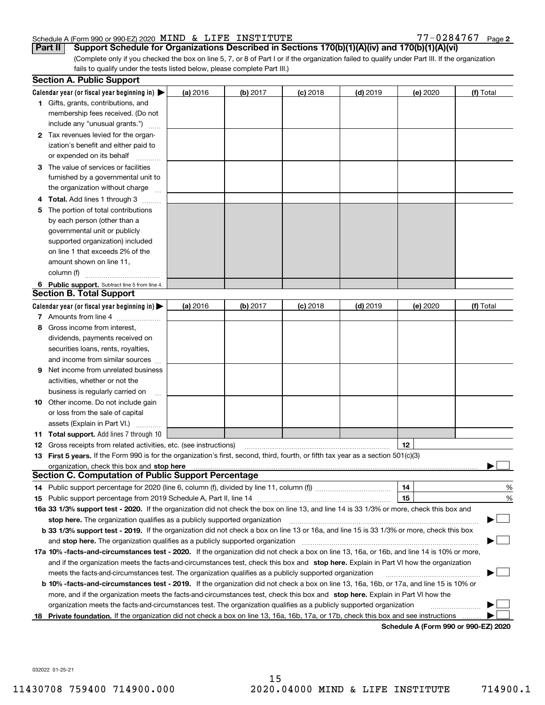#### Schedule A (Form 990 or 990-EZ) 2020 Page MIND & LIFE INSTITUTE 77-0284767

 $77 - 0284767$  Page 2

(Complete only if you checked the box on line 5, 7, or 8 of Part I or if the organization failed to qualify under Part III. If the organization fails to qualify under the tests listed below, please complete Part III.) Part II | Support Schedule for Organizations Described in Sections 170(b)(1)(A)(iv) and 170(b)(1)(A)(vi)

|    | <b>Section A. Public Support</b>                                                                                                               |          |          |            |            |                                      |           |
|----|------------------------------------------------------------------------------------------------------------------------------------------------|----------|----------|------------|------------|--------------------------------------|-----------|
|    | Calendar year (or fiscal year beginning in) $\blacktriangleright$                                                                              | (a) 2016 | (b) 2017 | $(c)$ 2018 | $(d)$ 2019 | (e) 2020                             | (f) Total |
|    | <b>1</b> Gifts, grants, contributions, and                                                                                                     |          |          |            |            |                                      |           |
|    | membership fees received. (Do not                                                                                                              |          |          |            |            |                                      |           |
|    | include any "unusual grants.")                                                                                                                 |          |          |            |            |                                      |           |
|    | 2 Tax revenues levied for the organ-                                                                                                           |          |          |            |            |                                      |           |
|    | ization's benefit and either paid to                                                                                                           |          |          |            |            |                                      |           |
|    | or expended on its behalf                                                                                                                      |          |          |            |            |                                      |           |
| з  | The value of services or facilities                                                                                                            |          |          |            |            |                                      |           |
|    | furnished by a governmental unit to                                                                                                            |          |          |            |            |                                      |           |
|    | the organization without charge                                                                                                                |          |          |            |            |                                      |           |
|    | 4 Total. Add lines 1 through 3                                                                                                                 |          |          |            |            |                                      |           |
| 5  | The portion of total contributions                                                                                                             |          |          |            |            |                                      |           |
|    | by each person (other than a                                                                                                                   |          |          |            |            |                                      |           |
|    | governmental unit or publicly                                                                                                                  |          |          |            |            |                                      |           |
|    | supported organization) included                                                                                                               |          |          |            |            |                                      |           |
|    | on line 1 that exceeds 2% of the                                                                                                               |          |          |            |            |                                      |           |
|    | amount shown on line 11.                                                                                                                       |          |          |            |            |                                      |           |
|    | column (f)                                                                                                                                     |          |          |            |            |                                      |           |
|    | 6 Public support. Subtract line 5 from line 4.                                                                                                 |          |          |            |            |                                      |           |
|    | <b>Section B. Total Support</b>                                                                                                                |          |          |            |            |                                      |           |
|    | Calendar year (or fiscal year beginning in)                                                                                                    | (a) 2016 | (b) 2017 | $(c)$ 2018 | $(d)$ 2019 | (e) 2020                             | (f) Total |
|    | 7 Amounts from line 4                                                                                                                          |          |          |            |            |                                      |           |
| 8  | Gross income from interest,                                                                                                                    |          |          |            |            |                                      |           |
|    | dividends, payments received on                                                                                                                |          |          |            |            |                                      |           |
|    | securities loans, rents, royalties,                                                                                                            |          |          |            |            |                                      |           |
|    | and income from similar sources                                                                                                                |          |          |            |            |                                      |           |
| 9  | Net income from unrelated business                                                                                                             |          |          |            |            |                                      |           |
|    | activities, whether or not the                                                                                                                 |          |          |            |            |                                      |           |
|    | business is regularly carried on                                                                                                               |          |          |            |            |                                      |           |
|    | <b>10</b> Other income. Do not include gain                                                                                                    |          |          |            |            |                                      |           |
|    | or loss from the sale of capital                                                                                                               |          |          |            |            |                                      |           |
|    | assets (Explain in Part VI.)                                                                                                                   |          |          |            |            |                                      |           |
|    | <b>11 Total support.</b> Add lines 7 through 10                                                                                                |          |          |            |            |                                      |           |
|    | 12 Gross receipts from related activities, etc. (see instructions)                                                                             |          |          |            |            | 12                                   |           |
|    | 13 First 5 years. If the Form 990 is for the organization's first, second, third, fourth, or fifth tax year as a section 501(c)(3)             |          |          |            |            |                                      |           |
|    |                                                                                                                                                |          |          |            |            |                                      |           |
|    | <b>Section C. Computation of Public Support Percentage</b>                                                                                     |          |          |            |            |                                      |           |
|    |                                                                                                                                                |          |          |            |            | 14                                   | %         |
|    | 15 Public support percentage from 2019 Schedule A, Part II, line 14                                                                            |          |          |            |            | 15                                   | %         |
|    | 16a 33 1/3% support test - 2020. If the organization did not check the box on line 13, and line 14 is 33 1/3% or more, check this box and      |          |          |            |            |                                      |           |
|    | stop here. The organization qualifies as a publicly supported organization                                                                     |          |          |            |            |                                      |           |
|    | b 33 1/3% support test - 2019. If the organization did not check a box on line 13 or 16a, and line 15 is 33 1/3% or more, check this box       |          |          |            |            |                                      |           |
|    | and stop here. The organization qualifies as a publicly supported organization                                                                 |          |          |            |            |                                      |           |
|    | 17a 10% -facts-and-circumstances test - 2020. If the organization did not check a box on line 13, 16a, or 16b, and line 14 is 10% or more,     |          |          |            |            |                                      |           |
|    | and if the organization meets the facts-and-circumstances test, check this box and stop here. Explain in Part VI how the organization          |          |          |            |            |                                      |           |
|    | meets the facts-and-circumstances test. The organization qualifies as a publicly supported organization                                        |          |          |            |            |                                      |           |
|    | <b>b 10% -facts-and-circumstances test - 2019.</b> If the organization did not check a box on line 13, 16a, 16b, or 17a, and line 15 is 10% or |          |          |            |            |                                      |           |
|    | more, and if the organization meets the facts-and-circumstances test, check this box and stop here. Explain in Part VI how the                 |          |          |            |            |                                      |           |
|    | organization meets the facts-and-circumstances test. The organization qualifies as a publicly supported organization                           |          |          |            |            |                                      |           |
| 18 | Private foundation. If the organization did not check a box on line 13, 16a, 16b, 17a, or 17b, check this box and see instructions             |          |          |            |            |                                      |           |
|    |                                                                                                                                                |          |          |            |            | Schedule A (Form 990 or 990-F7) 2020 |           |

Schedule A (Form 990 or 990-EZ) 2020

032022 01-25-21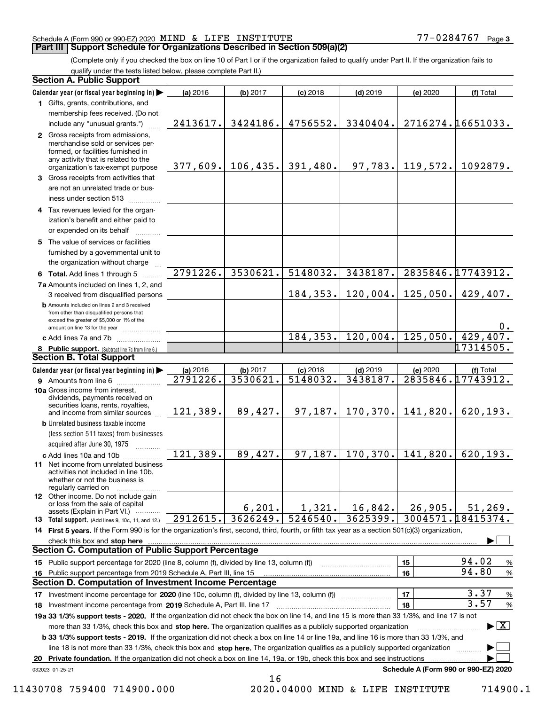### Schedule A (Form 990 or 990-EZ) 2020 Page MIND & LIFE INSTITUTE 77-0284767

### **Part III | Support Schedule for Organizations Described in Section 509(a)(2)**

 $77 - 0284767$  Page 3

(Complete only if you checked the box on line 10 of Part I or if the organization failed to qualify under Part II. If the organization fails to qualify under the tests listed below, please complete Part II.)

| <b>Section A. Public Support</b>                                                                                                                                                                                               |                        |                      |                        |                        |          |                                          |
|--------------------------------------------------------------------------------------------------------------------------------------------------------------------------------------------------------------------------------|------------------------|----------------------|------------------------|------------------------|----------|------------------------------------------|
| Calendar year (or fiscal year beginning in)                                                                                                                                                                                    | (a) 2016               | (b) 2017             | $(c)$ 2018             | $(d)$ 2019             | (e) 2020 | (f) Total                                |
| 1 Gifts, grants, contributions, and                                                                                                                                                                                            |                        |                      |                        |                        |          |                                          |
| membership fees received. (Do not                                                                                                                                                                                              |                        |                      |                        |                        |          |                                          |
| include any "unusual grants.")                                                                                                                                                                                                 | 2413617.               | 3424186.             | 4756552.               | 3340404.               |          | 2716274.16651033.                        |
| 2 Gross receipts from admissions,<br>merchandise sold or services per-<br>formed, or facilities furnished in<br>any activity that is related to the<br>organization's tax-exempt purpose                                       | 377,609.               | 106, 435.            | 391,480.               | 97,783.                | 119,572. | 1092879.                                 |
| 3 Gross receipts from activities that                                                                                                                                                                                          |                        |                      |                        |                        |          |                                          |
| are not an unrelated trade or bus-                                                                                                                                                                                             |                        |                      |                        |                        |          |                                          |
| iness under section 513                                                                                                                                                                                                        |                        |                      |                        |                        |          |                                          |
| 4 Tax revenues levied for the organ-<br>ization's benefit and either paid to                                                                                                                                                   |                        |                      |                        |                        |          |                                          |
| or expended on its behalf                                                                                                                                                                                                      |                        |                      |                        |                        |          |                                          |
| 5 The value of services or facilities                                                                                                                                                                                          |                        |                      |                        |                        |          |                                          |
| furnished by a governmental unit to                                                                                                                                                                                            |                        |                      |                        |                        |          |                                          |
| the organization without charge                                                                                                                                                                                                |                        |                      |                        |                        |          |                                          |
| 6 Total. Add lines 1 through 5                                                                                                                                                                                                 | 2791226.               | 3530621.             | 5148032.               | 3438187.               |          | 2835846.17743912.                        |
| 7a Amounts included on lines 1, 2, and                                                                                                                                                                                         |                        |                      |                        |                        |          |                                          |
| 3 received from disqualified persons                                                                                                                                                                                           |                        |                      | 184,353.               | 120,004.               | 125,050. | 429,407.                                 |
| <b>b</b> Amounts included on lines 2 and 3 received<br>from other than disqualified persons that<br>exceed the greater of \$5,000 or 1% of the                                                                                 |                        |                      |                        |                        |          |                                          |
| amount on line 13 for the year                                                                                                                                                                                                 |                        |                      |                        |                        |          | $0$ .                                    |
| c Add lines 7a and 7b                                                                                                                                                                                                          |                        |                      |                        | $184, 353.$ 120,004.   | 125,050. | 429,407.<br>17314505.                    |
| 8 Public support. (Subtract line 7c from line 6.)<br><b>Section B. Total Support</b>                                                                                                                                           |                        |                      |                        |                        |          |                                          |
|                                                                                                                                                                                                                                |                        |                      |                        |                        |          |                                          |
| Calendar year (or fiscal year beginning in)                                                                                                                                                                                    | (a) 2016<br>2791226.   | (b) 2017<br>3530621. | $(c)$ 2018<br>5148032. | $(d)$ 2019<br>3438187. | (e) 2020 | (f) Total<br>2835846.17743912.           |
| 9 Amounts from line 6<br>10a Gross income from interest,                                                                                                                                                                       |                        |                      |                        |                        |          |                                          |
| dividends, payments received on<br>securities loans, rents, royalties,<br>and income from similar sources                                                                                                                      | 121,389.               | 89,427.              | 97, 187.               | 170, 370.              | 141,820. | 620, 193.                                |
| <b>b</b> Unrelated business taxable income<br>(less section 511 taxes) from businesses                                                                                                                                         |                        |                      |                        |                        |          |                                          |
| acquired after June 30, 1975<br>.                                                                                                                                                                                              |                        |                      |                        |                        |          |                                          |
| c Add lines 10a and 10b                                                                                                                                                                                                        | $12\overline{1,389}$ . | 89,427.              | 97, 187.               | 170, 370.              | 141,820. | 620, 193.                                |
| 11 Net income from unrelated business<br>activities not included in line 10b,<br>whether or not the business is<br>regularly carried on                                                                                        |                        |                      |                        |                        |          |                                          |
| <b>12</b> Other income. Do not include gain<br>or loss from the sale of capital<br>assets (Explain in Part VI.)                                                                                                                |                        | 6, 201.              | 1,321.                 | 16,842.                | 26,905.  | 51, 269.                                 |
| 13 Total support. (Add lines 9, 10c, 11, and 12.)                                                                                                                                                                              | 2912615.               | 3626249.             | 5246540.               | 3625399.               |          | 3004571.18415374.                        |
| 14 First 5 years. If the Form 990 is for the organization's first, second, third, fourth, or fifth tax year as a section 501(c)(3) organization,                                                                               |                        |                      |                        |                        |          |                                          |
| check this box and stop here with the continuum control to the control of the change of the change of the change of the change of the change of the change of the change of the change of the change of the change of the chan |                        |                      |                        |                        |          |                                          |
| <b>Section C. Computation of Public Support Percentage</b>                                                                                                                                                                     |                        |                      |                        |                        |          |                                          |
| 15 Public support percentage for 2020 (line 8, column (f), divided by line 13, column (f))                                                                                                                                     |                        |                      |                        |                        | 15       | 94.02<br>%                               |
| 16 Public support percentage from 2019 Schedule A, Part III, line 15                                                                                                                                                           |                        |                      |                        |                        | 16       | 94.80<br>%                               |
| Section D. Computation of Investment Income Percentage                                                                                                                                                                         |                        |                      |                        |                        |          |                                          |
| 17 Investment income percentage for 2020 (line 10c, column (f), divided by line 13, column (f)) <i></i>                                                                                                                        |                        |                      |                        |                        | 17       | 3.37<br>%                                |
| 18 Investment income percentage from 2019 Schedule A, Part III, line 17                                                                                                                                                        |                        |                      |                        |                        | 18       | 3.57<br>$\%$                             |
| 19a 33 1/3% support tests - 2020. If the organization did not check the box on line 14, and line 15 is more than 33 1/3%, and line 17 is not                                                                                   |                        |                      |                        |                        |          |                                          |
| more than 33 1/3%, check this box and stop here. The organization qualifies as a publicly supported organization                                                                                                               |                        |                      |                        |                        |          | $\blacktriangleright$ $\boxed{\text{X}}$ |
| <b>b 33 1/3% support tests - 2019.</b> If the organization did not check a box on line 14 or line 19a, and line 16 is more than 33 1/3%, and                                                                                   |                        |                      |                        |                        |          |                                          |
| line 18 is not more than 33 1/3%, check this box and stop here. The organization qualifies as a publicly supported organization                                                                                                |                        |                      |                        |                        |          |                                          |
| Private foundation. If the organization did not check a box on line 14, 19a, or 19b, check this box and see instructions<br>20                                                                                                 |                        |                      |                        |                        |          |                                          |
| 032023 01-25-21                                                                                                                                                                                                                |                        |                      |                        |                        |          | Schedule A (Form 990 or 990-EZ) 2020     |
|                                                                                                                                                                                                                                |                        | 16                   |                        |                        |          |                                          |

 <sup>11430708 759400 714900.000 2020.04000</sup> MIND & LIFE INSTITUTE 714900.1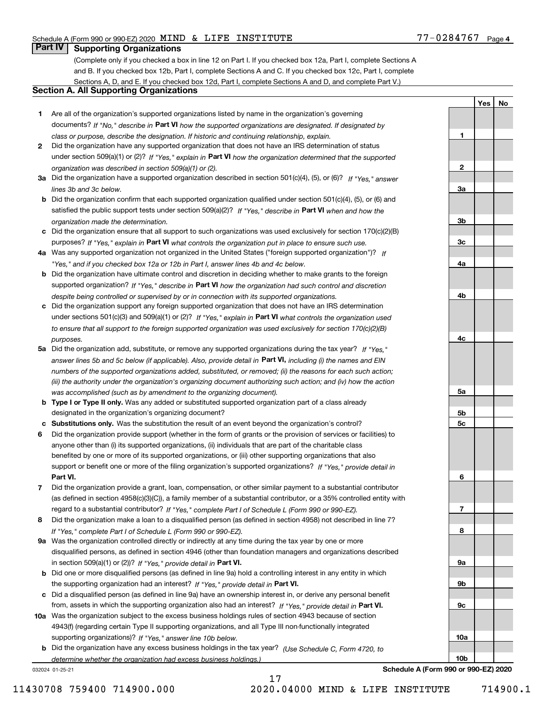1

2

3a

3b

3c

4a

4b

4c

5a

5b 5c

6

7

8

9a

9b

9c

10a

10b

Yes | No

# **Part IV Supporting Organizations**

(Complete only if you checked a box in line 12 on Part I. If you checked box 12a, Part I, complete Sections A and B. If you checked box 12b, Part I, complete Sections A and C. If you checked box 12c, Part I, complete Sections A, D, and E. If you checked box 12d, Part I, complete Sections A and D, and complete Part V.)

#### Section A. All Supporting Organizations

- 1 Are all of the organization's supported organizations listed by name in the organization's governing documents? If "No," describe in Part VI how the supported organizations are designated. If designated by class or purpose, describe the designation. If historic and continuing relationship, explain.
- 2 Did the organization have any supported organization that does not have an IRS determination of status under section 509(a)(1) or (2)? If "Yes," explain in Part VI how the organization determined that the supported organization was described in section 509(a)(1) or (2).
- 3a Did the organization have a supported organization described in section 501(c)(4), (5), or (6)? If "Yes," answer lines 3b and 3c below.
- b Did the organization confirm that each supported organization qualified under section 501(c)(4), (5), or (6) and satisfied the public support tests under section 509(a)(2)? If "Yes," describe in Part VI when and how the organization made the determination.
- c Did the organization ensure that all support to such organizations was used exclusively for section 170(c)(2)(B) purposes? If "Yes," explain in Part VI what controls the organization put in place to ensure such use.
- 4a Was any supported organization not organized in the United States ("foreign supported organization")? If "Yes," and if you checked box 12a or 12b in Part I, answer lines 4b and 4c below.
- b Did the organization have ultimate control and discretion in deciding whether to make grants to the foreign supported organization? If "Yes," describe in Part VI how the organization had such control and discretion despite being controlled or supervised by or in connection with its supported organizations.
- c Did the organization support any foreign supported organization that does not have an IRS determination under sections 501(c)(3) and 509(a)(1) or (2)? If "Yes," explain in Part VI what controls the organization used to ensure that all support to the foreign supported organization was used exclusively for section 170(c)(2)(B) purposes.
- 5a Did the organization add, substitute, or remove any supported organizations during the tax year? If "Yes," answer lines 5b and 5c below (if applicable). Also, provide detail in **Part VI,** including (i) the names and EIN numbers of the supported organizations added, substituted, or removed; (ii) the reasons for each such action; (iii) the authority under the organization's organizing document authorizing such action; and (iv) how the action was accomplished (such as by amendment to the organizing document).
- **b Type I or Type II only.** Was any added or substituted supported organization part of a class already designated in the organization's organizing document?
- c Substitutions only. Was the substitution the result of an event beyond the organization's control?
- 6 Did the organization provide support (whether in the form of grants or the provision of services or facilities) to Part VI. support or benefit one or more of the filing organization's supported organizations? If "Yes," provide detail in anyone other than (i) its supported organizations, (ii) individuals that are part of the charitable class benefited by one or more of its supported organizations, or (iii) other supporting organizations that also
- 7 Did the organization provide a grant, loan, compensation, or other similar payment to a substantial contributor regard to a substantial contributor? If "Yes," complete Part I of Schedule L (Form 990 or 990-EZ). (as defined in section 4958(c)(3)(C)), a family member of a substantial contributor, or a 35% controlled entity with
- 8 Did the organization make a loan to a disqualified person (as defined in section 4958) not described in line 7? If "Yes," complete Part I of Schedule L (Form 990 or 990-EZ).
- **9a** Was the organization controlled directly or indirectly at any time during the tax year by one or more in section 509(a)(1) or (2))? If "Yes," provide detail in Part VI. disqualified persons, as defined in section 4946 (other than foundation managers and organizations described
- b Did one or more disqualified persons (as defined in line 9a) hold a controlling interest in any entity in which the supporting organization had an interest? If "Yes," provide detail in Part VI.
- c Did a disqualified person (as defined in line 9a) have an ownership interest in, or derive any personal benefit from, assets in which the supporting organization also had an interest? If "Yes," provide detail in Part VI.
- 10a Was the organization subject to the excess business holdings rules of section 4943 because of section supporting organizations)? If "Yes," answer line 10b below. 4943(f) (regarding certain Type II supporting organizations, and all Type III non-functionally integrated
- **b** Did the organization have any excess business holdings in the tax year? (Use Schedule C, Form 4720, to determine whether the organization had excess business holdings.)

17

032024 01-25-21

Schedule A (Form 990 or 990-EZ) 2020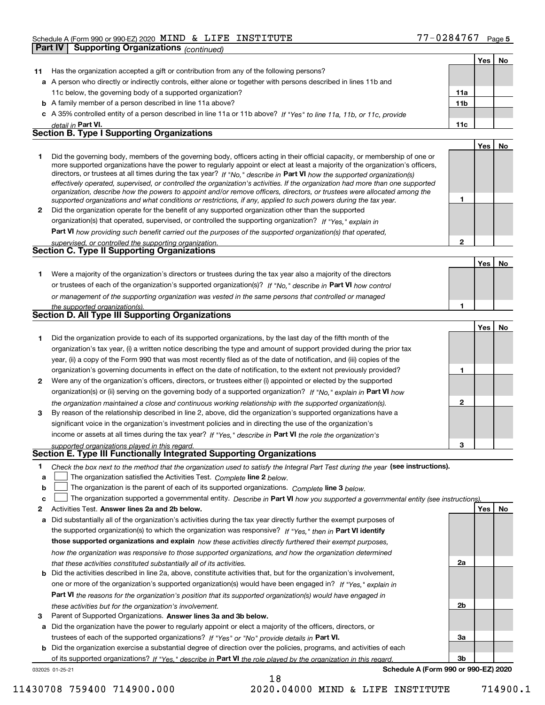|    | <b>Supporting Organizations (continued)</b><br>Part IV                                                                                                                                                                                                                                                                                                                                                                                                                                                                   |              |     |    |
|----|--------------------------------------------------------------------------------------------------------------------------------------------------------------------------------------------------------------------------------------------------------------------------------------------------------------------------------------------------------------------------------------------------------------------------------------------------------------------------------------------------------------------------|--------------|-----|----|
|    |                                                                                                                                                                                                                                                                                                                                                                                                                                                                                                                          |              | Yes | No |
| 11 | Has the organization accepted a gift or contribution from any of the following persons?                                                                                                                                                                                                                                                                                                                                                                                                                                  |              |     |    |
|    | a A person who directly or indirectly controls, either alone or together with persons described in lines 11b and                                                                                                                                                                                                                                                                                                                                                                                                         |              |     |    |
|    | 11c below, the governing body of a supported organization?                                                                                                                                                                                                                                                                                                                                                                                                                                                               | 11a          |     |    |
|    | <b>b</b> A family member of a person described in line 11a above?                                                                                                                                                                                                                                                                                                                                                                                                                                                        | 11b          |     |    |
|    | c A 35% controlled entity of a person described in line 11a or 11b above? If "Yes" to line 11a, 11b, or 11c, provide                                                                                                                                                                                                                                                                                                                                                                                                     |              |     |    |
|    | detail in Part VI.                                                                                                                                                                                                                                                                                                                                                                                                                                                                                                       | 11c          |     |    |
|    | <b>Section B. Type I Supporting Organizations</b>                                                                                                                                                                                                                                                                                                                                                                                                                                                                        |              |     |    |
|    |                                                                                                                                                                                                                                                                                                                                                                                                                                                                                                                          |              | Yes | No |
| 1  | Did the governing body, members of the governing body, officers acting in their official capacity, or membership of one or<br>more supported organizations have the power to regularly appoint or elect at least a majority of the organization's officers,<br>directors, or trustees at all times during the tax year? If "No," describe in Part VI how the supported organization(s)<br>effectively operated, supervised, or controlled the organization's activities. If the organization had more than one supported |              |     |    |
|    | organization, describe how the powers to appoint and/or remove officers, directors, or trustees were allocated among the<br>supported organizations and what conditions or restrictions, if any, applied to such powers during the tax year.                                                                                                                                                                                                                                                                             | 1            |     |    |
| 2  | Did the organization operate for the benefit of any supported organization other than the supported                                                                                                                                                                                                                                                                                                                                                                                                                      |              |     |    |
|    | organization(s) that operated, supervised, or controlled the supporting organization? If "Yes," explain in                                                                                                                                                                                                                                                                                                                                                                                                               |              |     |    |
|    |                                                                                                                                                                                                                                                                                                                                                                                                                                                                                                                          |              |     |    |
|    | Part VI how providing such benefit carried out the purposes of the supported organization(s) that operated,<br>supervised, or controlled the supporting organization.                                                                                                                                                                                                                                                                                                                                                    | 2            |     |    |
|    | <b>Section C. Type II Supporting Organizations</b>                                                                                                                                                                                                                                                                                                                                                                                                                                                                       |              |     |    |
|    |                                                                                                                                                                                                                                                                                                                                                                                                                                                                                                                          |              | Yes | No |
| 1  | Were a majority of the organization's directors or trustees during the tax year also a majority of the directors                                                                                                                                                                                                                                                                                                                                                                                                         |              |     |    |
|    | or trustees of each of the organization's supported organization(s)? If "No," describe in Part VI how control                                                                                                                                                                                                                                                                                                                                                                                                            |              |     |    |
|    |                                                                                                                                                                                                                                                                                                                                                                                                                                                                                                                          |              |     |    |
|    | or management of the supporting organization was vested in the same persons that controlled or managed                                                                                                                                                                                                                                                                                                                                                                                                                   | 1            |     |    |
|    | the supported organization(s).<br><b>Section D. All Type III Supporting Organizations</b>                                                                                                                                                                                                                                                                                                                                                                                                                                |              |     |    |
|    |                                                                                                                                                                                                                                                                                                                                                                                                                                                                                                                          |              | Yes | No |
| 1  | Did the organization provide to each of its supported organizations, by the last day of the fifth month of the                                                                                                                                                                                                                                                                                                                                                                                                           |              |     |    |
|    | organization's tax year, (i) a written notice describing the type and amount of support provided during the prior tax                                                                                                                                                                                                                                                                                                                                                                                                    |              |     |    |
|    | year, (ii) a copy of the Form 990 that was most recently filed as of the date of notification, and (iii) copies of the                                                                                                                                                                                                                                                                                                                                                                                                   |              |     |    |
|    | organization's governing documents in effect on the date of notification, to the extent not previously provided?                                                                                                                                                                                                                                                                                                                                                                                                         | 1            |     |    |
| 2  | Were any of the organization's officers, directors, or trustees either (i) appointed or elected by the supported                                                                                                                                                                                                                                                                                                                                                                                                         |              |     |    |
|    |                                                                                                                                                                                                                                                                                                                                                                                                                                                                                                                          |              |     |    |
|    | organization(s) or (ii) serving on the governing body of a supported organization? If "No," explain in Part VI how                                                                                                                                                                                                                                                                                                                                                                                                       | $\mathbf{2}$ |     |    |
| 3  | the organization maintained a close and continuous working relationship with the supported organization(s).<br>By reason of the relationship described in line 2, above, did the organization's supported organizations have a                                                                                                                                                                                                                                                                                           |              |     |    |
|    | significant voice in the organization's investment policies and in directing the use of the organization's                                                                                                                                                                                                                                                                                                                                                                                                               |              |     |    |
|    | income or assets at all times during the tax year? If "Yes," describe in Part VI the role the organization's                                                                                                                                                                                                                                                                                                                                                                                                             |              |     |    |
|    |                                                                                                                                                                                                                                                                                                                                                                                                                                                                                                                          |              |     |    |
|    | supported organizations played in this regard.<br>Section E. Type III Functionally Integrated Supporting Organizations                                                                                                                                                                                                                                                                                                                                                                                                   | 3            |     |    |
| 1  | Check the box next to the method that the organization used to satisfy the Integral Part Test during the year (see instructions).                                                                                                                                                                                                                                                                                                                                                                                        |              |     |    |
| а  | The organization satisfied the Activities Test. Complete line 2 below.                                                                                                                                                                                                                                                                                                                                                                                                                                                   |              |     |    |
| b  | The organization is the parent of each of its supported organizations. Complete line 3 below.                                                                                                                                                                                                                                                                                                                                                                                                                            |              |     |    |
| c  |                                                                                                                                                                                                                                                                                                                                                                                                                                                                                                                          |              |     |    |
| 2  | The organization supported a governmental entity. Describe in Part VI how you supported a governmental entity (see instructions)<br>Activities Test. Answer lines 2a and 2b below.                                                                                                                                                                                                                                                                                                                                       |              | Yes |    |
|    | Did substantially all of the organization's activities during the tax year directly further the exempt purposes of                                                                                                                                                                                                                                                                                                                                                                                                       |              |     | No |
| а  |                                                                                                                                                                                                                                                                                                                                                                                                                                                                                                                          |              |     |    |
|    | the supported organization(s) to which the organization was responsive? If "Yes." then in Part VI identify                                                                                                                                                                                                                                                                                                                                                                                                               |              |     |    |
|    | those supported organizations and explain how these activities directly furthered their exempt purposes,                                                                                                                                                                                                                                                                                                                                                                                                                 |              |     |    |
|    | how the organization was responsive to those supported organizations, and how the organization determined                                                                                                                                                                                                                                                                                                                                                                                                                |              |     |    |
|    | that these activities constituted substantially all of its activities.                                                                                                                                                                                                                                                                                                                                                                                                                                                   | 2a           |     |    |
| b  | Did the activities described in line 2a, above, constitute activities that, but for the organization's involvement,                                                                                                                                                                                                                                                                                                                                                                                                      |              |     |    |
|    | one or more of the organization's supported organization(s) would have been engaged in? If "Yes," explain in                                                                                                                                                                                                                                                                                                                                                                                                             |              |     |    |

Part VI the reasons for the organization's position that its supported organization(s) would have engaged in these activities but for the organization's involvement.

3 Parent of Supported Organizations. Answer lines 3a and 3b below.

a Did the organization have the power to regularly appoint or elect a majority of the officers, directors, or trustees of each of the supported organizations? If "Yes" or "No" provide details in Part VI.

b Did the organization exercise a substantial degree of direction over the policies, programs, and activities of each of its supported organizations? If "Yes," describe in Part VI the role played by the organization in this regard.

18

032025 01-25-21

Schedule A (Form 990 or 990-EZ) 2020

2b

3a

3b

11430708 759400 714900.000 2020.04000 MIND & LIFE INSTITUTE 714900.1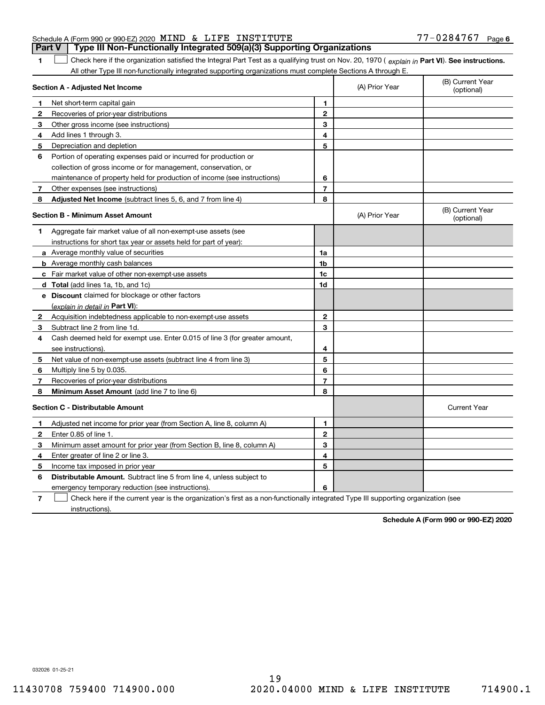| Schedule A (Form 990 or 990-EZ) 2020 $\,$ MIND $\,$ & $\,$ LIFE $\,$ INSTITUTE |  |                                                                                  | $77 - 0284767$ Page 6 |  |
|--------------------------------------------------------------------------------|--|----------------------------------------------------------------------------------|-----------------------|--|
|                                                                                |  | Part V   Type III Non-Functionally Integrated 509(a)(3) Supporting Organizations |                       |  |

Check here if the organization satisfied the Integral Part Test as a qualifying trust on Nov. 20, 1970 ( explain in Part VI). See instructions. All other Type III non-functionally integrated supporting organizations must complete Sections A through E.  $\begin{array}{c} \hline \end{array}$ 

|                | Section A - Adjusted Net Income                                                                                                   |                | (A) Prior Year | (B) Current Year<br>(optional) |
|----------------|-----------------------------------------------------------------------------------------------------------------------------------|----------------|----------------|--------------------------------|
| 1              | Net short-term capital gain                                                                                                       | 1              |                |                                |
| $\mathbf{2}$   | Recoveries of prior-year distributions                                                                                            | $\overline{2}$ |                |                                |
| 3              | Other gross income (see instructions)                                                                                             | 3              |                |                                |
| 4              | Add lines 1 through 3.                                                                                                            | 4              |                |                                |
| 5              | Depreciation and depletion                                                                                                        | 5              |                |                                |
| 6              | Portion of operating expenses paid or incurred for production or                                                                  |                |                |                                |
|                | collection of gross income or for management, conservation, or                                                                    |                |                |                                |
|                | maintenance of property held for production of income (see instructions)                                                          | 6              |                |                                |
| 7              | Other expenses (see instructions)                                                                                                 | $\overline{7}$ |                |                                |
| 8              | Adjusted Net Income (subtract lines 5, 6, and 7 from line 4)                                                                      | 8              |                |                                |
|                | <b>Section B - Minimum Asset Amount</b>                                                                                           |                | (A) Prior Year | (B) Current Year<br>(optional) |
| 1              | Aggregate fair market value of all non-exempt-use assets (see                                                                     |                |                |                                |
|                | instructions for short tax year or assets held for part of year):                                                                 |                |                |                                |
|                | a Average monthly value of securities                                                                                             | 1a             |                |                                |
|                | <b>b</b> Average monthly cash balances                                                                                            | 1b             |                |                                |
|                | c Fair market value of other non-exempt-use assets                                                                                | 1c             |                |                                |
|                | d Total (add lines 1a, 1b, and 1c)                                                                                                | 1d             |                |                                |
|                | e Discount claimed for blockage or other factors                                                                                  |                |                |                                |
|                | (explain in detail in Part VI):                                                                                                   |                |                |                                |
| 2              | Acquisition indebtedness applicable to non-exempt-use assets                                                                      | $\mathbf 2$    |                |                                |
| 3              | Subtract line 2 from line 1d.                                                                                                     | 3              |                |                                |
| 4              | Cash deemed held for exempt use. Enter 0.015 of line 3 (for greater amount,                                                       |                |                |                                |
|                | see instructions)                                                                                                                 | 4              |                |                                |
| 5              | Net value of non-exempt-use assets (subtract line 4 from line 3)                                                                  | 5              |                |                                |
| 6              | Multiply line 5 by 0.035.                                                                                                         | 6              |                |                                |
| 7              | Recoveries of prior-year distributions                                                                                            | $\overline{7}$ |                |                                |
| 8              | Minimum Asset Amount (add line 7 to line 6)                                                                                       | 8              |                |                                |
|                | <b>Section C - Distributable Amount</b>                                                                                           |                |                | <b>Current Year</b>            |
| 1.             | Adjusted net income for prior year (from Section A, line 8, column A)                                                             | 1              |                |                                |
| 2              | Enter 0.85 of line 1.                                                                                                             | $\overline{2}$ |                |                                |
| 3              | Minimum asset amount for prior year (from Section B, line 8, column A)                                                            | 3              |                |                                |
| 4              | Enter greater of line 2 or line 3.                                                                                                | 4              |                |                                |
| 5              | Income tax imposed in prior year                                                                                                  | 5              |                |                                |
| 6              | <b>Distributable Amount.</b> Subtract line 5 from line 4, unless subject to                                                       |                |                |                                |
|                | emergency temporary reduction (see instructions).                                                                                 | 6              |                |                                |
| $\overline{7}$ | Check here if the current year is the organization's first as a non-functionally integrated Type III supporting organization (see |                |                |                                |

7 instructions).

Schedule A (Form 990 or 990-EZ) 2020

032026 01-25-21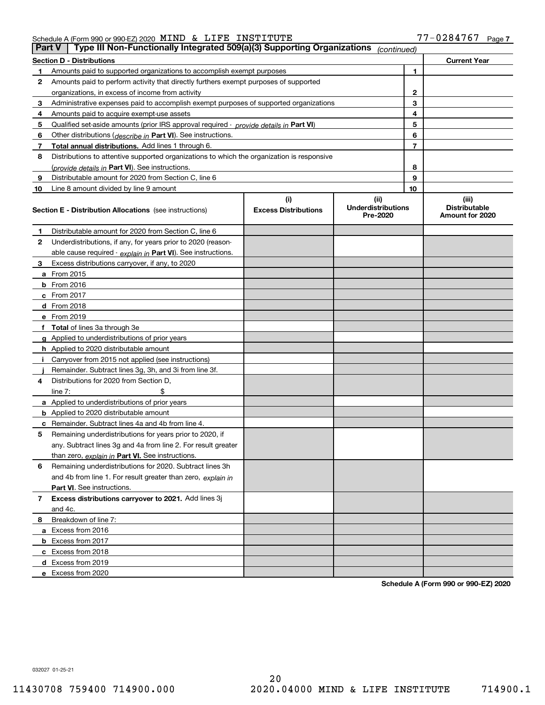| -0284<br>INSTITUTE<br>LIFE<br>Schedule A (Form 990 or 990-EZ) 2020 $\text{MIND}$ & | $1767$ .<br>Page |
|------------------------------------------------------------------------------------|------------------|
|------------------------------------------------------------------------------------|------------------|

| <b>Part V</b> | Type III Non-Functionally Integrated 509(a)(3) Supporting Organizations                    |                             | (continued)                           |                |                                         |
|---------------|--------------------------------------------------------------------------------------------|-----------------------------|---------------------------------------|----------------|-----------------------------------------|
|               | <b>Section D - Distributions</b>                                                           |                             |                                       |                | <b>Current Year</b>                     |
|               | Amounts paid to supported organizations to accomplish exempt purposes                      |                             |                                       | 1              |                                         |
| 2             | Amounts paid to perform activity that directly furthers exempt purposes of supported       |                             |                                       |                |                                         |
|               | organizations, in excess of income from activity                                           |                             |                                       | 2              |                                         |
| з             | Administrative expenses paid to accomplish exempt purposes of supported organizations      |                             |                                       | 3              |                                         |
| 4             | Amounts paid to acquire exempt-use assets                                                  |                             |                                       | 4              |                                         |
| 5             | Qualified set-aside amounts (prior IRS approval required - provide details in Part VI)     |                             |                                       | 5              |                                         |
| 6             | Other distributions ( <i>describe in</i> Part VI). See instructions.                       |                             |                                       | 6              |                                         |
| 7             | Total annual distributions. Add lines 1 through 6.                                         |                             |                                       | $\overline{7}$ |                                         |
| 8             | Distributions to attentive supported organizations to which the organization is responsive |                             |                                       |                |                                         |
|               | (provide details in <b>Part VI</b> ). See instructions.                                    |                             |                                       | 8              |                                         |
| 9             | Distributable amount for 2020 from Section C, line 6                                       |                             |                                       | 9              |                                         |
| 10            | Line 8 amount divided by line 9 amount                                                     |                             |                                       | 10             |                                         |
|               |                                                                                            | (i)                         | (iii)                                 |                | (iii)                                   |
|               | <b>Section E - Distribution Allocations</b> (see instructions)                             | <b>Excess Distributions</b> | <b>Underdistributions</b><br>Pre-2020 |                | <b>Distributable</b><br>Amount for 2020 |
| 1             | Distributable amount for 2020 from Section C, line 6                                       |                             |                                       |                |                                         |
| 2             | Underdistributions, if any, for years prior to 2020 (reason-                               |                             |                                       |                |                                         |
|               | able cause required - explain in Part VI). See instructions.                               |                             |                                       |                |                                         |
| з             | Excess distributions carryover, if any, to 2020                                            |                             |                                       |                |                                         |
|               | <b>a</b> From 2015                                                                         |                             |                                       |                |                                         |
|               | $b$ From 2016                                                                              |                             |                                       |                |                                         |
|               | $c$ From 2017                                                                              |                             |                                       |                |                                         |
|               | <b>d</b> From 2018                                                                         |                             |                                       |                |                                         |
|               | e From 2019                                                                                |                             |                                       |                |                                         |
|               | f Total of lines 3a through 3e                                                             |                             |                                       |                |                                         |
|               | <b>g</b> Applied to underdistributions of prior years                                      |                             |                                       |                |                                         |
|               | <b>h</b> Applied to 2020 distributable amount                                              |                             |                                       |                |                                         |
|               | Carryover from 2015 not applied (see instructions)                                         |                             |                                       |                |                                         |
|               | Remainder. Subtract lines 3g, 3h, and 3i from line 3f.                                     |                             |                                       |                |                                         |
| 4             | Distributions for 2020 from Section D,                                                     |                             |                                       |                |                                         |
|               | line $7:$                                                                                  |                             |                                       |                |                                         |
|               | <b>a</b> Applied to underdistributions of prior years                                      |                             |                                       |                |                                         |
|               | <b>b</b> Applied to 2020 distributable amount                                              |                             |                                       |                |                                         |
| с             | Remainder. Subtract lines 4a and 4b from line 4.                                           |                             |                                       |                |                                         |
| 5             | Remaining underdistributions for years prior to 2020, if                                   |                             |                                       |                |                                         |
|               | any. Subtract lines 3g and 4a from line 2. For result greater                              |                             |                                       |                |                                         |
|               | than zero, explain in Part VI. See instructions.                                           |                             |                                       |                |                                         |
| 6             | Remaining underdistributions for 2020. Subtract lines 3h                                   |                             |                                       |                |                                         |
|               | and 4b from line 1. For result greater than zero, explain in                               |                             |                                       |                |                                         |
|               | Part VI. See instructions.                                                                 |                             |                                       |                |                                         |
| 7             | Excess distributions carryover to 2021. Add lines 3j                                       |                             |                                       |                |                                         |
|               | and 4c.                                                                                    |                             |                                       |                |                                         |
| 8             | Breakdown of line 7:                                                                       |                             |                                       |                |                                         |
|               | a Excess from 2016                                                                         |                             |                                       |                |                                         |
|               | <b>b</b> Excess from 2017                                                                  |                             |                                       |                |                                         |
|               | c Excess from 2018                                                                         |                             |                                       |                |                                         |
|               | d Excess from 2019                                                                         |                             |                                       |                |                                         |
|               | e Excess from 2020                                                                         |                             |                                       |                |                                         |

Schedule A (Form 990 or 990-EZ) 2020

032027 01-25-21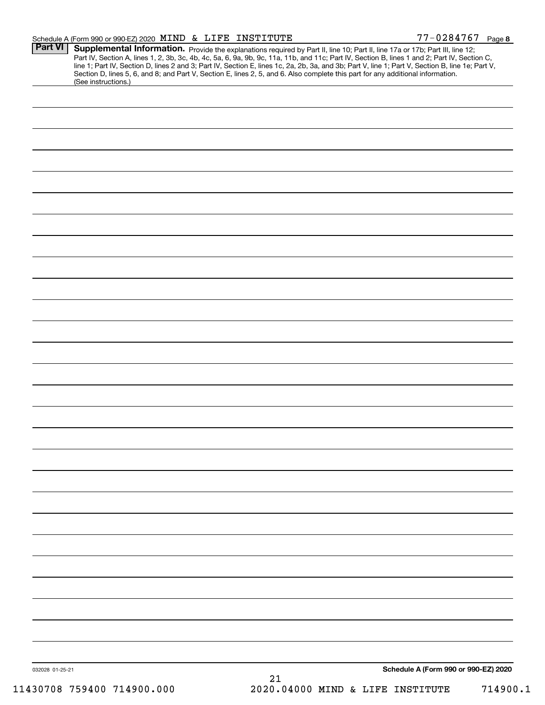| -0284767_<br>INSTITUTE<br>Schedule A (Form 990 or 990-EZ) 2020 $\,$ MIND $\,$ & $\,$ LIFE | Page 8 |
|-------------------------------------------------------------------------------------------|--------|
|-------------------------------------------------------------------------------------------|--------|

| (See instructions.)        | Part IV, Section A, lines 1, 2, 3b, 3c, 4b, 4c, 5a, 6, 9a, 9b, 9c, 11a, 11b, and 11c; Part IV, Section B, lines 1 and 2; Part IV, Section C,<br>line 1; Part IV, Section D, lines 2 and 3; Part IV, Section E, lines 1c, 2a, 2b, 3a, and 3b; Part V, line 1; Part V, Section B, line 1e; Part V,<br>Section D, lines 5, 6, and 8; and Part V, Section E, lines 2, 5, and 6. Also complete this part for any additional information. |
|----------------------------|-------------------------------------------------------------------------------------------------------------------------------------------------------------------------------------------------------------------------------------------------------------------------------------------------------------------------------------------------------------------------------------------------------------------------------------|
|                            |                                                                                                                                                                                                                                                                                                                                                                                                                                     |
|                            |                                                                                                                                                                                                                                                                                                                                                                                                                                     |
|                            |                                                                                                                                                                                                                                                                                                                                                                                                                                     |
|                            |                                                                                                                                                                                                                                                                                                                                                                                                                                     |
|                            |                                                                                                                                                                                                                                                                                                                                                                                                                                     |
|                            |                                                                                                                                                                                                                                                                                                                                                                                                                                     |
|                            |                                                                                                                                                                                                                                                                                                                                                                                                                                     |
|                            |                                                                                                                                                                                                                                                                                                                                                                                                                                     |
|                            |                                                                                                                                                                                                                                                                                                                                                                                                                                     |
|                            |                                                                                                                                                                                                                                                                                                                                                                                                                                     |
|                            |                                                                                                                                                                                                                                                                                                                                                                                                                                     |
|                            |                                                                                                                                                                                                                                                                                                                                                                                                                                     |
|                            |                                                                                                                                                                                                                                                                                                                                                                                                                                     |
|                            |                                                                                                                                                                                                                                                                                                                                                                                                                                     |
|                            |                                                                                                                                                                                                                                                                                                                                                                                                                                     |
|                            |                                                                                                                                                                                                                                                                                                                                                                                                                                     |
|                            |                                                                                                                                                                                                                                                                                                                                                                                                                                     |
|                            |                                                                                                                                                                                                                                                                                                                                                                                                                                     |
|                            |                                                                                                                                                                                                                                                                                                                                                                                                                                     |
|                            |                                                                                                                                                                                                                                                                                                                                                                                                                                     |
|                            |                                                                                                                                                                                                                                                                                                                                                                                                                                     |
|                            |                                                                                                                                                                                                                                                                                                                                                                                                                                     |
|                            |                                                                                                                                                                                                                                                                                                                                                                                                                                     |
|                            |                                                                                                                                                                                                                                                                                                                                                                                                                                     |
|                            |                                                                                                                                                                                                                                                                                                                                                                                                                                     |
|                            |                                                                                                                                                                                                                                                                                                                                                                                                                                     |
|                            |                                                                                                                                                                                                                                                                                                                                                                                                                                     |
|                            |                                                                                                                                                                                                                                                                                                                                                                                                                                     |
|                            |                                                                                                                                                                                                                                                                                                                                                                                                                                     |
|                            |                                                                                                                                                                                                                                                                                                                                                                                                                                     |
|                            |                                                                                                                                                                                                                                                                                                                                                                                                                                     |
|                            |                                                                                                                                                                                                                                                                                                                                                                                                                                     |
|                            |                                                                                                                                                                                                                                                                                                                                                                                                                                     |
|                            |                                                                                                                                                                                                                                                                                                                                                                                                                                     |
|                            |                                                                                                                                                                                                                                                                                                                                                                                                                                     |
|                            |                                                                                                                                                                                                                                                                                                                                                                                                                                     |
|                            |                                                                                                                                                                                                                                                                                                                                                                                                                                     |
|                            |                                                                                                                                                                                                                                                                                                                                                                                                                                     |
|                            |                                                                                                                                                                                                                                                                                                                                                                                                                                     |
|                            |                                                                                                                                                                                                                                                                                                                                                                                                                                     |
|                            |                                                                                                                                                                                                                                                                                                                                                                                                                                     |
|                            |                                                                                                                                                                                                                                                                                                                                                                                                                                     |
|                            |                                                                                                                                                                                                                                                                                                                                                                                                                                     |
| 032028 01-25-21            | Schedule A (Form 990 or 990-EZ) 2020                                                                                                                                                                                                                                                                                                                                                                                                |
| 11430708 759400 714900.000 | 21<br>2020.04000 MIND & LIFE INSTITUTE<br>714900.1                                                                                                                                                                                                                                                                                                                                                                                  |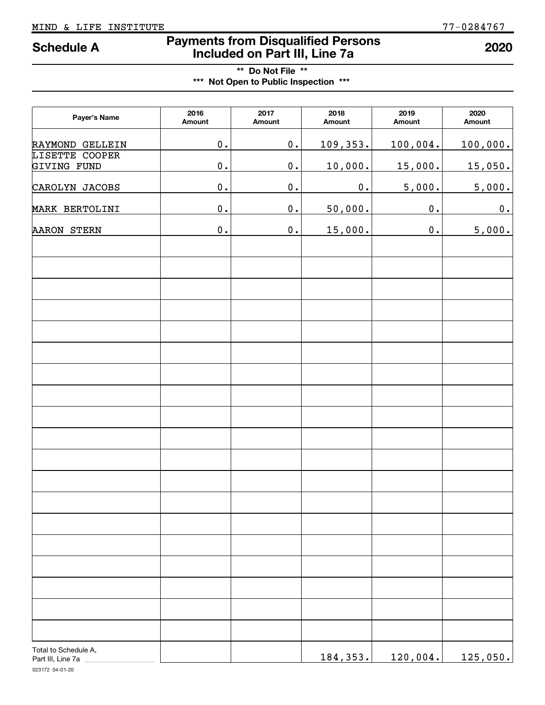# Payments from Disqualified Persons Included on Part III, Line 7a Schedule A <sup>2020</sup>

# \*\* Do Not File \*\* \*\*\* Not Open to Public Inspection \*\*\*

| Payer's Name                              | 2016<br>Amount | 2017<br>Amount | 2018<br>Amount | 2019<br>Amount | 2020<br>Amount |
|-------------------------------------------|----------------|----------------|----------------|----------------|----------------|
| RAYMOND GELLEIN                           | $\mathbf 0$ .  | 0.             | 109,353.       | 100,004.       | 100,000.       |
| LISETTE COOPER<br>GIVING FUND             | $\mathbf 0$ .  | 0.             | 10,000.        | 15,000.        | 15,050.        |
| CAROLYN JACOBS                            | $\mathbf 0$ .  | 0.             | 0.             | 5,000.         | 5,000.         |
| MARK BERTOLINI                            | $\mathbf 0$ .  | 0.             | 50,000.        | 0.             | 0.             |
| <b>AARON STERN</b>                        | $\mathbf 0$ .  | 0.             | 15,000.        | $\mathbf 0$ .  | 5,000.         |
|                                           |                |                |                |                |                |
|                                           |                |                |                |                |                |
|                                           |                |                |                |                |                |
|                                           |                |                |                |                |                |
|                                           |                |                |                |                |                |
|                                           |                |                |                |                |                |
|                                           |                |                |                |                |                |
|                                           |                |                |                |                |                |
|                                           |                |                |                |                |                |
|                                           |                |                |                |                |                |
|                                           |                |                |                |                |                |
|                                           |                |                |                |                |                |
|                                           |                |                |                |                |                |
|                                           |                |                |                |                |                |
|                                           |                |                |                |                |                |
| Total to Schedule A,<br>Part III, Line 7a |                |                | 184, 353.      | 120,004.       | 125,050.       |

023172 04-01-20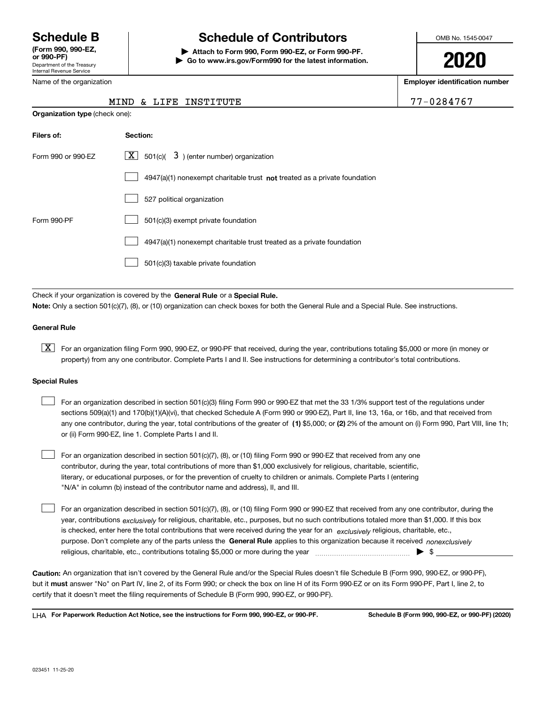Department of the Treasury Internal Revenue Service (Form 990, 990-EZ,

# Schedule B The Schedule of Contributors

Attach to Form 990, Form 990-EZ, or Form 990-PF. | Go to www.irs.gov/Form990 for the latest information. OMB No. 1545-0047

2020

Employer identification number

77-0284767

| Internal Revenue Service |  |  |  |  |
|--------------------------|--|--|--|--|
| Name of the organization |  |  |  |  |

| MIND & LIFE INSTITUTE |  |
|-----------------------|--|
|-----------------------|--|

| <b>Organization type (check one):</b> |                                                                                    |  |  |  |  |
|---------------------------------------|------------------------------------------------------------------------------------|--|--|--|--|
| Filers of:                            | Section:                                                                           |  |  |  |  |
| Form 990 or 990-EZ                    | $\lfloor x \rfloor$ 501(c)( 3) (enter number) organization                         |  |  |  |  |
|                                       | $4947(a)(1)$ nonexempt charitable trust <b>not</b> treated as a private foundation |  |  |  |  |
|                                       | 527 political organization                                                         |  |  |  |  |
| Form 990-PF                           | 501(c)(3) exempt private foundation                                                |  |  |  |  |
|                                       | 4947(a)(1) nonexempt charitable trust treated as a private foundation              |  |  |  |  |
|                                       | 501(c)(3) taxable private foundation                                               |  |  |  |  |
|                                       |                                                                                    |  |  |  |  |

Check if your organization is covered by the General Rule or a Special Rule. Note: Only a section 501(c)(7), (8), or (10) organization can check boxes for both the General Rule and a Special Rule. See instructions.

#### General Rule

[X] For an organization filing Form 990, 990-EZ, or 990-PF that received, during the year, contributions totaling \$5,000 or more (in money or property) from any one contributor. Complete Parts I and II. See instructions for determining a contributor's total contributions.

#### Special Rules

| For an organization described in section 501(c)(3) filing Form 990 or 990-EZ that met the 33 1/3% support test of the regulations under               |
|-------------------------------------------------------------------------------------------------------------------------------------------------------|
| sections 509(a)(1) and 170(b)(1)(A)(vi), that checked Schedule A (Form 990 or 990-EZ), Part II, line 13, 16a, or 16b, and that received from          |
| any one contributor, during the year, total contributions of the greater of (1) \$5,000; or (2) 2% of the amount on (i) Form 990, Part VIII, line 1h; |
| or (ii) Form 990-EZ, line 1. Complete Parts I and II.                                                                                                 |

For an organization described in section 501(c)(7), (8), or (10) filing Form 990 or 990-EZ that received from any one contributor, during the year, total contributions of more than \$1,000 exclusively for religious, charitable, scientific, literary, or educational purposes, or for the prevention of cruelty to children or animals. Complete Parts I (entering "N/A" in column (b) instead of the contributor name and address), II, and III.  $\begin{array}{c} \hline \end{array}$ 

purpose. Don't complete any of the parts unless the General Rule applies to this organization because it received nonexclusively year, contributions <sub>exclusively</sub> for religious, charitable, etc., purposes, but no such contributions totaled more than \$1,000. If this box is checked, enter here the total contributions that were received during the year for an exclusively religious, charitable, etc., For an organization described in section 501(c)(7), (8), or (10) filing Form 990 or 990-EZ that received from any one contributor, during the religious, charitable, etc., contributions totaling \$5,000 or more during the year  $\Box$ — $\Box$   $\Box$  $\begin{array}{c} \hline \end{array}$ 

Caution: An organization that isn't covered by the General Rule and/or the Special Rules doesn't file Schedule B (Form 990, 990-EZ, or 990-PF), but it **must** answer "No" on Part IV, line 2, of its Form 990; or check the box on line H of its Form 990-EZ or on its Form 990-PF, Part I, line 2, to certify that it doesn't meet the filing requirements of Schedule B (Form 990, 990-EZ, or 990-PF).

LHA For Paperwork Reduction Act Notice, see the instructions for Form 990, 990-EZ, or 990-PF. Schedule B (Form 990, 990-EZ, or 990-PF) (2020)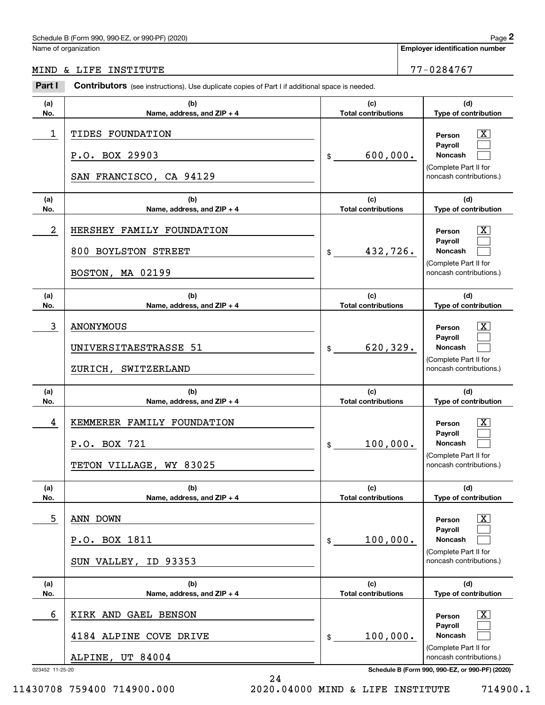Name of organization

Employer identification number

MIND & LIFE INSTITUTE **12000** 177-0284767

| Part I               | Contributors (see instructions). Use duplicate copies of Part I if additional space is needed.     |                                              |                                                                                                                                     |
|----------------------|----------------------------------------------------------------------------------------------------|----------------------------------------------|-------------------------------------------------------------------------------------------------------------------------------------|
| (a)                  | (b)                                                                                                | (c)                                          | (d)                                                                                                                                 |
| No.<br>1             | Name, address, and ZIP + 4<br>TIDES FOUNDATION<br>P.O. BOX 29903<br>SAN FRANCISCO, CA 94129        | <b>Total contributions</b><br>600,000.<br>\$ | Type of contribution<br>X<br>Person<br>Payroll<br>Noncash<br>(Complete Part II for<br>noncash contributions.)                       |
| (a)                  | (b)                                                                                                | (c)                                          | (d)                                                                                                                                 |
| No.<br>2             | Name, address, and ZIP + 4<br>HERSHEY FAMILY FOUNDATION<br>800 BOYLSTON STREET<br>BOSTON, MA 02199 | <b>Total contributions</b><br>432,726.<br>\$ | Type of contribution<br>х<br>Person<br>Payroll<br>Noncash<br>(Complete Part II for<br>noncash contributions.)                       |
| (a)<br>No.           | (b)<br>Name, address, and ZIP + 4                                                                  | (c)<br><b>Total contributions</b>            | (d)<br>Type of contribution                                                                                                         |
| 3                    | <b>ANONYMOUS</b><br>UNIVERSITAESTRASSE 51<br>ZURICH, SWITZERLAND                                   | 620,329.<br>\$                               | х<br>Person<br>Payroll<br>Noncash<br>(Complete Part II for<br>noncash contributions.)                                               |
| (a)<br>No.           | (b)<br>Name, address, and ZIP + 4                                                                  | (c)<br><b>Total contributions</b>            | (d)<br>Type of contribution                                                                                                         |
| 4                    | KEMMERER FAMILY FOUNDATION<br>P.O. BOX 721<br>TETON VILLAGE, WY 83025                              | 100,000.<br>\$                               | х<br>Person<br>Payroll<br>Noncash<br>(Complete Part II for<br>noncash contributions.)                                               |
| (a)<br>No.           | (b)<br>Name, address, and ZIP + 4                                                                  | (c)<br><b>Total contributions</b>            | (d)<br>Type of contribution                                                                                                         |
| 5                    | ANN DOWN<br>P.O. BOX 1811<br>SUN VALLEY, ID 93353                                                  | 100,000.<br>\$                               | Person<br>Payroll<br>Noncash<br>(Complete Part II for<br>noncash contributions.)                                                    |
| (a)<br>No.           | (b)<br>Name, address, and ZIP + 4                                                                  | (c)<br><b>Total contributions</b>            | (d)<br>Type of contribution                                                                                                         |
| 6<br>023452 11-25-20 | KIRK AND GAEL BENSON<br>4184 ALPINE COVE DRIVE<br>ALPINE, UT 84004                                 | 100,000.<br>\$                               | Person<br>Payroll<br>Noncash<br>(Complete Part II for<br>noncash contributions.)<br>Schedule B (Form 990, 990-EZ, or 990-PF) (2020) |

11430708 759400 714900.000 2020.04000 MIND & LIFE INSTITUTE 714900.1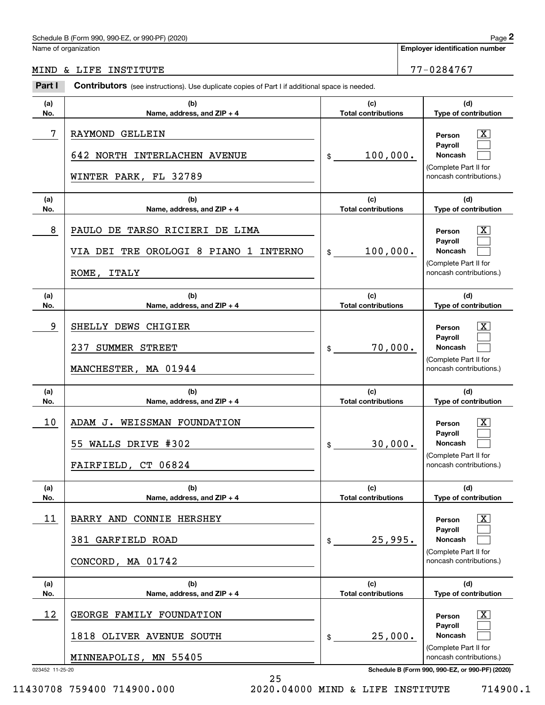Name of organization

Employer identification number

MIND & LIFE INSTITUTE 77-0284767

#### 023452 11-25-20 Schedule B (Form 990, 990-EZ, or 990-PF) (2020) (a) No. (b) Name, address, and ZIP + 4 (c) Total contributions (d) Type of contribution Person Payroll Noncash (a) No. (b) Name, address, and ZIP + 4 (c) Total contributions (d) Type of contribution Person Payroll Noncash (a) No. (b) Name, address, and ZIP + 4 (c) Total contributions (d) Type of contribution Person Payroll Noncash (a) No. (b) Name, address, and ZIP + 4 (c) Total contributions (d) Type of contribution Person Payroll Noncash (a) No. (b) Name, address, and ZIP + 4 (c) Total contributions (d) Type of contribution Person Payroll Noncash (a) No. (b) Name, address, and ZIP + 4 (c) Total contributions (d) Type of contribution Person Payroll Noncash Part I Contributors (see instructions). Use duplicate copies of Part I if additional space is needed. \$ (Complete Part II for noncash contributions.) \$ (Complete Part II for noncash contributions.) \$ (Complete Part II for noncash contributions.) \$ (Complete Part II for noncash contributions.) \$ (Complete Part II for noncash contributions.) \$ (Complete Part II for noncash contributions.)  $\lceil \text{X} \rceil$  $\begin{array}{c} \hline \end{array}$  $\begin{array}{c} \hline \end{array}$  $\boxed{\text{X}}$  $\begin{array}{c} \hline \end{array}$  $\begin{array}{c} \hline \end{array}$  $|X|$  $\begin{array}{c} \hline \end{array}$  $\begin{array}{c} \hline \end{array}$  $|X|$  $\begin{array}{c} \hline \end{array}$  $\begin{array}{c} \hline \end{array}$  $|X|$  $\begin{array}{c} \hline \end{array}$  $\begin{array}{c} \hline \end{array}$  $\boxed{\text{X}}$  $\begin{array}{c} \hline \end{array}$  $\begin{array}{c} \hline \end{array}$ 7 X RAYMOND GELLEIN 100,000. 642 NORTH INTERLACHEN AVENUE WINTER PARK, FL 32789 8 X PAULO DE TARSO RICIERI DE LIMA 100,000. VIA DEI TRE OROLOGI 8 PIANO 1 INTERNO ROME, ITALY 9 X SHELLY DEWS CHIGIER 70,000. 237 SUMMER STREET MANCHESTER, MA 01944 10 X ADAM J. WEISSMAN FOUNDATION 30,000. 55 WALLS DRIVE #302 FAIRFIELD, CT 06824 11 X BARRY AND CONNIE HERSHEY 25,995. 381 GARFIELD ROAD CONCORD, MA 01742  $12$  GEORGE FAMILY FOUNDATION  $\overline{\text{X}}$ 25,000. 1818 OLIVER AVENUE SOUTH MINNEAPOLIS, MN 55405

11430708 759400 714900.000 2020.04000 MIND & LIFE INSTITUTE 714900.1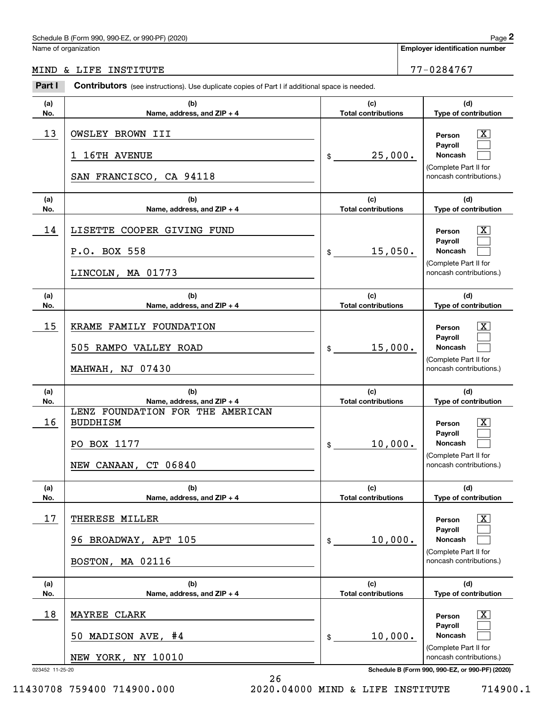Name of organization

Employer identification number

MIND & LIFE INSTITUTE 77-0284767

| Part I          | <b>Contributors</b> (see instructions). Use duplicate copies of Part I if additional space is needed. |                                   |                                                                                                                    |
|-----------------|-------------------------------------------------------------------------------------------------------|-----------------------------------|--------------------------------------------------------------------------------------------------------------------|
| (a)<br>No.      | (b)<br>Name, address, and ZIP + 4                                                                     | (c)<br><b>Total contributions</b> | (d)<br>Type of contribution                                                                                        |
| 13              | OWSLEY BROWN III<br>16TH AVENUE<br>ı<br>SAN FRANCISCO, CA 94118                                       | 25,000.<br>\$                     | $\overline{\mathbf{X}}$<br>Person<br>Payroll<br><b>Noncash</b><br>(Complete Part II for<br>noncash contributions.) |
| (a)<br>No.      | (b)<br>Name, address, and ZIP + 4                                                                     | (c)<br><b>Total contributions</b> | (d)<br>Type of contribution                                                                                        |
| 14              | LISETTE COOPER GIVING FUND<br>P.O. BOX 558<br>LINCOLN, MA 01773                                       | 15,050.<br>\$                     | $\boxed{\text{X}}$<br>Person<br>Payroll<br><b>Noncash</b><br>(Complete Part II for<br>noncash contributions.)      |
| (a)<br>No.      | (b)<br>Name, address, and ZIP + 4                                                                     | (c)<br><b>Total contributions</b> | (d)<br>Type of contribution                                                                                        |
| 15              | KRAME FAMILY FOUNDATION<br>505 RAMPO VALLEY ROAD<br><b>MAHWAH, NJ 07430</b>                           | 15,000.<br>\$                     | $\overline{\mathbf{X}}$<br>Person<br>Payroll<br><b>Noncash</b><br>(Complete Part II for<br>noncash contributions.) |
| (a)<br>No.      | (b)<br>Name, address, and ZIP + 4                                                                     | (c)<br><b>Total contributions</b> | (d)<br>Type of contribution                                                                                        |
| 16              | LENZ FOUNDATION FOR THE AMERICAN<br><b>BUDDHISM</b><br>PO BOX 1177<br>NEW CANAAN, CT 06840            | 10,000.<br>\$                     | $\overline{\mathbf{X}}$<br>Person<br>Payroll<br><b>Noncash</b><br>(Complete Part II for<br>noncash contributions.) |
| (a)<br>No.      | (b)<br>Name, address, and ZIP + 4                                                                     | (c)<br><b>Total contributions</b> | (d)<br>Type of contribution                                                                                        |
| 17              | THERESE MILLER<br>BROADWAY, APT 105<br>96.<br>BOSTON, MA 02116                                        | 10,000.<br>\$                     | $\mathbf{X}$<br>Person<br>Payroll<br><b>Noncash</b><br>(Complete Part II for<br>noncash contributions.)            |
| (a)<br>No.      | (b)<br>Name, address, and ZIP + 4                                                                     | (c)<br><b>Total contributions</b> | (d)<br>Type of contribution                                                                                        |
| 18              | <b>MAYREE CLARK</b><br>MADISON AVE, #4<br>50.<br>NEW YORK, NY 10010                                   | 10,000.<br>\$                     | $\mathbf{X}$<br>Person<br>Payroll<br>Noncash<br>(Complete Part II for<br>noncash contributions.)                   |
| 023452 11-25-20 |                                                                                                       |                                   | Schedule B (Form 990, 990-EZ, or 990-PF) (2020)                                                                    |

11430708 759400 714900.000 2020.04000 MIND & LIFE INSTITUTE 714900.1

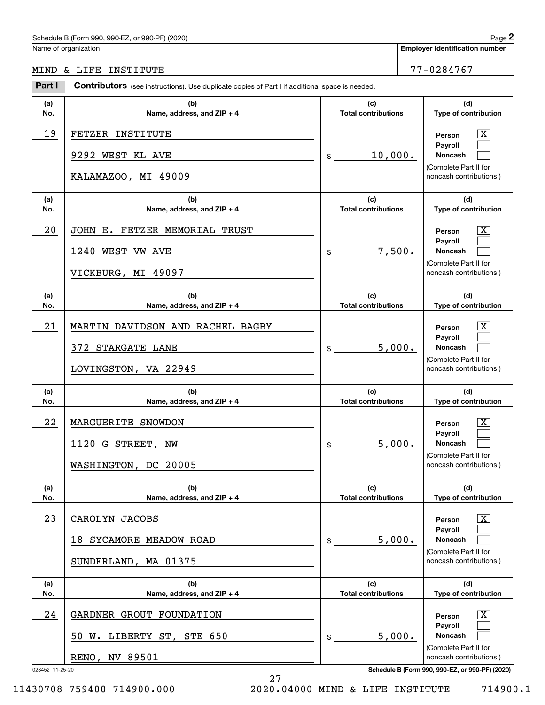Name of organization

Employer identification number

#### $P_{\text{out}}$   $P_{\text{out}}$ MIND & LIFE INSTITUTE **1990 CONTROL** 277-0284767

| Part I          | <b>Contributors</b> (see instructions). Use duplicate copies of Part I if additional space is needed. |                                   |                                                                                              |
|-----------------|-------------------------------------------------------------------------------------------------------|-----------------------------------|----------------------------------------------------------------------------------------------|
| (a)<br>No.      | (b)<br>Name, address, and ZIP + 4                                                                     | (c)<br><b>Total contributions</b> | (d)<br>Type of contribution                                                                  |
| 19              | FETZER INSTITUTE<br>9292 WEST KL AVE<br>KALAMAZOO, MI 49009                                           | 10,000.<br>$\frac{1}{2}$          | x<br>Person<br>Payroll<br><b>Noncash</b><br>(Complete Part II for<br>noncash contributions.) |
| (a)<br>No.      | (b)<br>Name, address, and ZIP + 4                                                                     | (c)<br><b>Total contributions</b> | (d)<br>Type of contribution                                                                  |
| 20              | JOHN E. FETZER MEMORIAL TRUST<br>1240 WEST VW AVE<br>VICKBURG, MI 49097                               | 7,500.<br>$\frac{1}{2}$           | x<br>Person<br>Payroll<br><b>Noncash</b><br>(Complete Part II for<br>noncash contributions.) |
| (a)<br>No.      | (b)<br>Name, address, and ZIP + 4                                                                     | (c)<br><b>Total contributions</b> | (d)<br>Type of contribution                                                                  |
| 21              | MARTIN DAVIDSON AND RACHEL BAGBY<br>372 STARGATE LANE<br>LOVINGSTON, VA 22949                         | 5,000.<br>$\frac{1}{2}$           | x<br>Person<br>Payroll<br><b>Noncash</b><br>(Complete Part II for<br>noncash contributions.) |
| (a)<br>No.      | (b)<br>Name, address, and $ZIP + 4$                                                                   | (c)<br><b>Total contributions</b> | (d)<br>Type of contribution                                                                  |
| 22              | MARGUERITE SNOWDON<br>1120 G STREET, NW<br>WASHINGTON, DC 20005                                       | 5,000.<br>$\frac{1}{2}$           | x<br>Person<br>Payroll<br><b>Noncash</b><br>(Complete Part II for<br>noncash contributions.) |
| (a)<br>No.      | (b)<br>Name, address, and ZIP + 4                                                                     | (c)<br><b>Total contributions</b> | (d)<br>Type of contribution                                                                  |
| 23              | CAROLYN JACOBS<br>SYCAMORE MEADOW ROAD<br>18<br>MA 01375<br>SUNDERLAND,                               | 5,000.<br>$\frac{1}{2}$           | X<br>Person<br>Payroll<br>Noncash<br>(Complete Part II for<br>noncash contributions.)        |
| (a)<br>No.      | (b)<br>Name, address, and ZIP + 4                                                                     | (c)<br><b>Total contributions</b> | (d)<br>Type of contribution                                                                  |
| 24              | GARDNER GROUT FOUNDATION<br>LIBERTY ST, STE 650<br>50<br>w.                                           | 5,000.<br>$\frac{1}{2}$           | X<br>Person<br>Payroll<br>Noncash<br>(Complete Part II for                                   |
| 023452 11-25-20 | NV 89501<br>RENO,                                                                                     |                                   | noncash contributions.)<br>Schedule B (Form 990, 990-EZ, or 990-PF) (2020)                   |

27

11430708 759400 714900.000 2020.04000 MIND & LIFE INSTITUTE 714900.1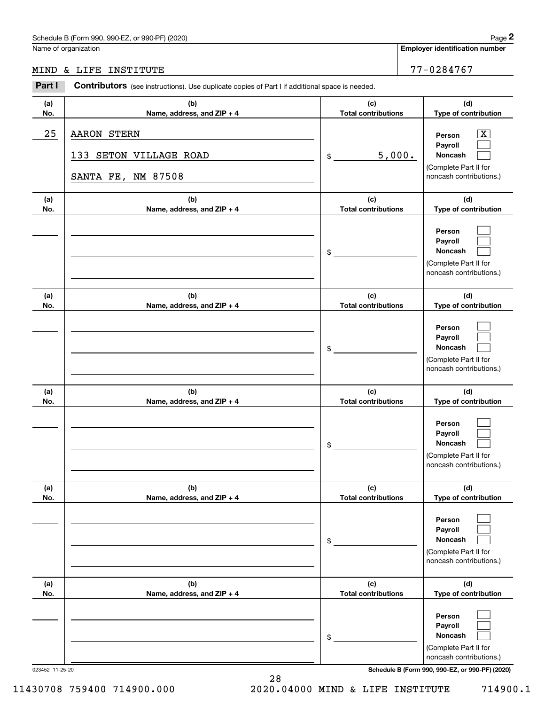Name of organization

MIND & LIFE INSTITUTE 77-0284767

Employer identification number

| Part I          | <b>Contributors</b> (see instructions). Use duplicate copies of Part I if additional space is needed. |                                   |                                                                                                                                     |
|-----------------|-------------------------------------------------------------------------------------------------------|-----------------------------------|-------------------------------------------------------------------------------------------------------------------------------------|
| (a)<br>No.      | (b)<br>Name, address, and ZIP + 4                                                                     | (c)<br><b>Total contributions</b> | (d)<br>Type of contribution                                                                                                         |
| 25              | <b>AARON STERN</b><br>133 SETON VILLAGE ROAD<br>NM 87508<br>SANTA FE,                                 | 5,000.<br>\$                      | $\overline{\mathbf{X}}$<br>Person<br>Payroll<br>Noncash<br>(Complete Part II for<br>noncash contributions.)                         |
| (a)<br>No.      | (b)<br>Name, address, and ZIP + 4                                                                     | (c)<br><b>Total contributions</b> | (d)<br>Type of contribution                                                                                                         |
|                 |                                                                                                       | \$                                | Person<br>Payroll<br>Noncash<br>(Complete Part II for<br>noncash contributions.)                                                    |
| (a)<br>No.      | (b)<br>Name, address, and ZIP + 4                                                                     | (c)<br><b>Total contributions</b> | (d)<br>Type of contribution                                                                                                         |
|                 |                                                                                                       | \$                                | Person<br>Payroll<br>Noncash<br>(Complete Part II for<br>noncash contributions.)                                                    |
| (a)<br>No.      | (b)<br>Name, address, and ZIP + 4                                                                     | (c)<br><b>Total contributions</b> | (d)<br>Type of contribution                                                                                                         |
|                 |                                                                                                       | \$                                | Person<br>Payroll<br>Noncash<br>(Complete Part II for<br>noncash contributions.)                                                    |
| (a)<br>No.      | (b)<br>Name, address, and ZIP + 4                                                                     | (c)<br><b>Total contributions</b> | (d)<br>Type of contribution                                                                                                         |
|                 |                                                                                                       | \$                                | Person<br>Payroll<br>Noncash<br>(Complete Part II for<br>noncash contributions.)                                                    |
| (a)<br>No.      | (b)<br>Name, address, and ZIP + 4                                                                     | (c)<br><b>Total contributions</b> | (d)<br>Type of contribution                                                                                                         |
| 023452 11-25-20 |                                                                                                       | \$                                | Person<br>Payroll<br>Noncash<br>(Complete Part II for<br>noncash contributions.)<br>Schedule B (Form 990, 990-EZ, or 990-PF) (2020) |

28 11430708 759400 714900.000 2020.04000 MIND & LIFE INSTITUTE 714900.1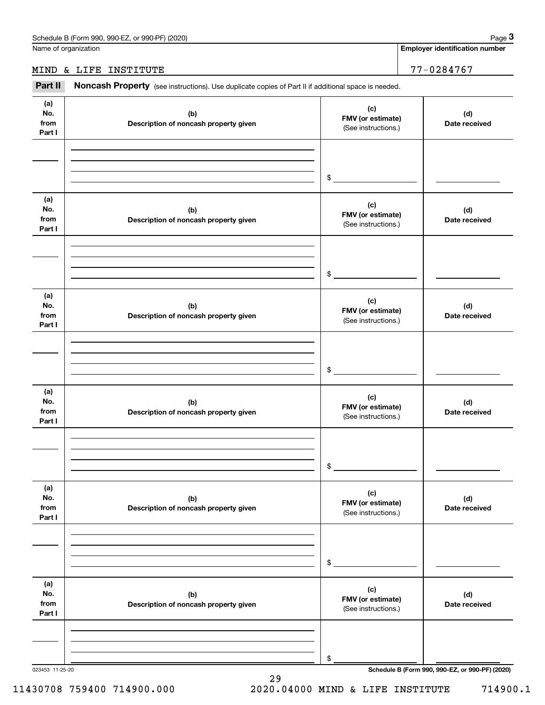Page 3

Employer identification number

### MIND & LIFE INSTITUTE 77-0284767

Part II Noncash Property (see instructions). Use duplicate copies of Part II if additional space is needed.

| (a)<br>No.<br>from<br>Part I | (b)<br>Description of noncash property given | (c)<br>FMV (or estimate)<br>(See instructions.) | (d)<br>Date received |
|------------------------------|----------------------------------------------|-------------------------------------------------|----------------------|
|                              |                                              | $\frac{1}{2}$                                   |                      |
| (a)<br>No.<br>from<br>Part I | (b)<br>Description of noncash property given | (c)<br>FMV (or estimate)<br>(See instructions.) | (d)<br>Date received |
|                              |                                              | $\frac{1}{2}$                                   |                      |
| (a)<br>No.<br>from<br>Part I | (b)<br>Description of noncash property given | (c)<br>FMV (or estimate)<br>(See instructions.) | (d)<br>Date received |
|                              |                                              | $\frac{1}{2}$                                   |                      |
| (a)<br>No.<br>from<br>Part I | (b)<br>Description of noncash property given | (c)<br>FMV (or estimate)<br>(See instructions.) | (d)<br>Date received |
|                              |                                              | $\mathsf{\$}$                                   |                      |
| (a)<br>No.<br>from<br>Part I | (b)<br>Description of noncash property given | (c)<br>FMV (or estimate)<br>(See instructions.) | (d)<br>Date received |
|                              |                                              | \$                                              |                      |
| (a)<br>No.<br>from<br>Part I | (b)<br>Description of noncash property given | (c)<br>FMV (or estimate)<br>(See instructions.) | (d)<br>Date received |
|                              |                                              | \$                                              |                      |

29

11430708 759400 714900.000 2020.04000 MIND & LIFE INSTITUTE 714900.1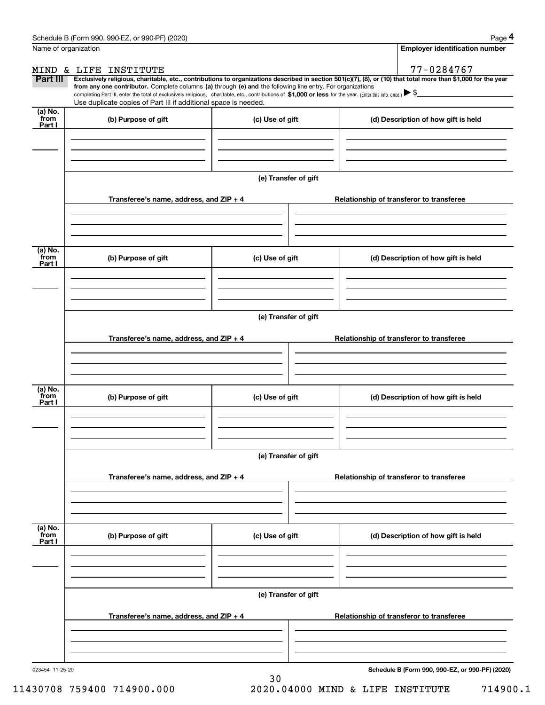| Name of organization        |                                                                                                                                                                                                                                                                                                                                                                                                                                                                                                                  |                      | <b>Employer identification number</b>           |
|-----------------------------|------------------------------------------------------------------------------------------------------------------------------------------------------------------------------------------------------------------------------------------------------------------------------------------------------------------------------------------------------------------------------------------------------------------------------------------------------------------------------------------------------------------|----------------------|-------------------------------------------------|
|                             | MIND & LIFE INSTITUTE                                                                                                                                                                                                                                                                                                                                                                                                                                                                                            |                      | 77-0284767                                      |
| Part III                    | Exclusively religious, charitable, etc., contributions to organizations described in section 501(c)(7), (8), or (10) that total more than \$1,000 for the year<br>from any one contributor. Complete columns (a) through (e) and the following line entry. For organizations<br>completing Part III, enter the total of exclusively religious, charitable, etc., contributions of \$1,000 or less for the year. (Enter this info. once.) ▶ \$<br>Use duplicate copies of Part III if additional space is needed. |                      |                                                 |
| (a) No.<br>from<br>Part I   | (b) Purpose of gift                                                                                                                                                                                                                                                                                                                                                                                                                                                                                              | (c) Use of gift      | (d) Description of how gift is held             |
|                             |                                                                                                                                                                                                                                                                                                                                                                                                                                                                                                                  | (e) Transfer of gift |                                                 |
|                             | Transferee's name, address, and ZIP + 4                                                                                                                                                                                                                                                                                                                                                                                                                                                                          |                      | Relationship of transferor to transferee        |
| (a) No.<br>from<br>Part I   | (b) Purpose of gift                                                                                                                                                                                                                                                                                                                                                                                                                                                                                              | (c) Use of gift      | (d) Description of how gift is held             |
|                             |                                                                                                                                                                                                                                                                                                                                                                                                                                                                                                                  |                      |                                                 |
|                             |                                                                                                                                                                                                                                                                                                                                                                                                                                                                                                                  | (e) Transfer of gift |                                                 |
|                             | Transferee's name, address, and ZIP + 4                                                                                                                                                                                                                                                                                                                                                                                                                                                                          |                      | Relationship of transferor to transferee        |
| (a) No.<br>from<br>Part I   | (b) Purpose of gift                                                                                                                                                                                                                                                                                                                                                                                                                                                                                              | (c) Use of gift      | (d) Description of how gift is held             |
|                             | Transferee's name, address, and ZIP + 4                                                                                                                                                                                                                                                                                                                                                                                                                                                                          | (e) Transfer of gift | Relationship of transferor to transferee        |
|                             |                                                                                                                                                                                                                                                                                                                                                                                                                                                                                                                  |                      |                                                 |
| $(a)$ No.<br>from<br>Part I | (b) Purpose of gift                                                                                                                                                                                                                                                                                                                                                                                                                                                                                              | (c) Use of gift      | (d) Description of how gift is held             |
|                             |                                                                                                                                                                                                                                                                                                                                                                                                                                                                                                                  |                      |                                                 |
|                             |                                                                                                                                                                                                                                                                                                                                                                                                                                                                                                                  | (e) Transfer of gift |                                                 |
|                             | Transferee's name, address, and ZIP + 4                                                                                                                                                                                                                                                                                                                                                                                                                                                                          |                      | Relationship of transferor to transferee        |
| 023454 11-25-20             |                                                                                                                                                                                                                                                                                                                                                                                                                                                                                                                  |                      | Schedule B (Form 990, 990-EZ, or 990-PF) (2020) |

30 11430708 759400 714900.000 2020.04000 MIND & LIFE INSTITUTE 714900.1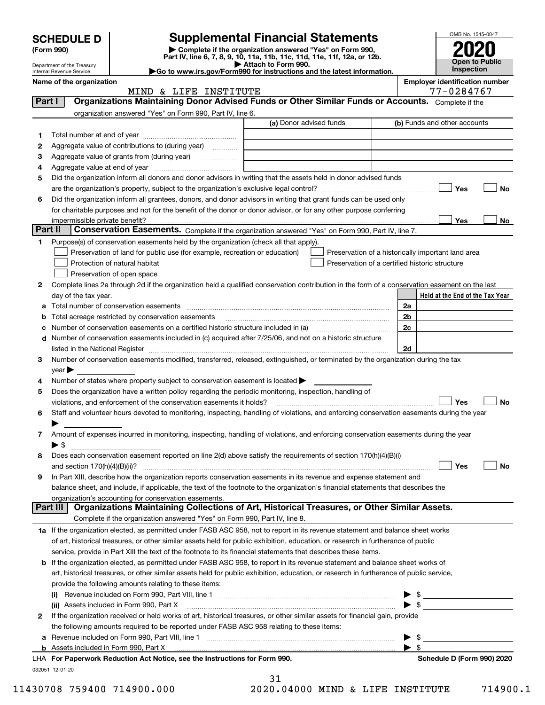|         | <b>SCHEDULE D</b>                                      |                                                                                                        | <b>Supplemental Financial Statements</b>                                                                                                       |                          | OMB No. 1545-0047                     |
|---------|--------------------------------------------------------|--------------------------------------------------------------------------------------------------------|------------------------------------------------------------------------------------------------------------------------------------------------|--------------------------|---------------------------------------|
|         | (Form 990)                                             |                                                                                                        |                                                                                                                                                |                          |                                       |
|         |                                                        |                                                                                                        | Complete if the organization answered "Yes" on Form 990,<br>Part IV, line 6, 7, 8, 9, 10, 11a, 11b, 11c, 11d, 11e, 11f, 12a, or 12b.           |                          | Open to Public                        |
|         | Department of the Treasury<br>Internal Revenue Service |                                                                                                        | Attach to Form 990.<br>Go to www.irs.gov/Form990 for instructions and the latest information.                                                  |                          | Inspection                            |
|         | Name of the organization                               |                                                                                                        |                                                                                                                                                |                          | <b>Employer identification number</b> |
|         |                                                        | MIND & LIFE INSTITUTE                                                                                  |                                                                                                                                                |                          | 77-0284767                            |
| Part I  |                                                        |                                                                                                        | Organizations Maintaining Donor Advised Funds or Other Similar Funds or Accounts. Complete if the                                              |                          |                                       |
|         |                                                        | organization answered "Yes" on Form 990, Part IV, line 6.                                              | (a) Donor advised funds                                                                                                                        |                          | (b) Funds and other accounts          |
|         |                                                        |                                                                                                        |                                                                                                                                                |                          |                                       |
| 1       |                                                        |                                                                                                        |                                                                                                                                                |                          |                                       |
| 2       |                                                        | Aggregate value of contributions to (during year)                                                      |                                                                                                                                                |                          |                                       |
| 3<br>4  |                                                        |                                                                                                        |                                                                                                                                                |                          |                                       |
| 5       |                                                        |                                                                                                        | Did the organization inform all donors and donor advisors in writing that the assets held in donor advised funds                               |                          |                                       |
|         |                                                        |                                                                                                        |                                                                                                                                                |                          | Yes<br>No                             |
| 6       |                                                        |                                                                                                        | Did the organization inform all grantees, donors, and donor advisors in writing that grant funds can be used only                              |                          |                                       |
|         |                                                        |                                                                                                        | for charitable purposes and not for the benefit of the donor or donor advisor, or for any other purpose conferring                             |                          |                                       |
|         |                                                        |                                                                                                        |                                                                                                                                                |                          | Yes<br>No                             |
| Part II |                                                        |                                                                                                        | Conservation Easements. Complete if the organization answered "Yes" on Form 990, Part IV, line 7.                                              |                          |                                       |
| 1.      |                                                        | Purpose(s) of conservation easements held by the organization (check all that apply).                  |                                                                                                                                                |                          |                                       |
|         |                                                        | Preservation of land for public use (for example, recreation or education)                             | Preservation of a historically important land area                                                                                             |                          |                                       |
|         |                                                        | Protection of natural habitat                                                                          | Preservation of a certified historic structure                                                                                                 |                          |                                       |
|         |                                                        | Preservation of open space                                                                             |                                                                                                                                                |                          |                                       |
| 2       |                                                        |                                                                                                        | Complete lines 2a through 2d if the organization held a qualified conservation contribution in the form of a conservation easement on the last |                          |                                       |
|         | day of the tax year.                                   |                                                                                                        |                                                                                                                                                |                          | Held at the End of the Tax Year       |
| a       |                                                        |                                                                                                        |                                                                                                                                                | 2a                       |                                       |
| b       |                                                        | Total acreage restricted by conservation easements                                                     |                                                                                                                                                | 2b                       |                                       |
| с       |                                                        |                                                                                                        |                                                                                                                                                | 2c                       |                                       |
| d       |                                                        |                                                                                                        | Number of conservation easements included in (c) acquired after 7/25/06, and not on a historic structure                                       | 2d                       |                                       |
| 3       |                                                        |                                                                                                        | Number of conservation easements modified, transferred, released, extinguished, or terminated by the organization during the tax               |                          |                                       |
|         | $\mathsf{year}$                                        |                                                                                                        |                                                                                                                                                |                          |                                       |
| 4       |                                                        | Number of states where property subject to conservation easement is located >                          |                                                                                                                                                |                          |                                       |
| 5       |                                                        | Does the organization have a written policy regarding the periodic monitoring, inspection, handling of |                                                                                                                                                |                          |                                       |
|         |                                                        | violations, and enforcement of the conservation easements it holds?                                    |                                                                                                                                                |                          | <b>No</b><br>Yes                      |
| 6       |                                                        |                                                                                                        | Staff and volunteer hours devoted to monitoring, inspecting, handling of violations, and enforcing conservation easements during the year      |                          |                                       |
|         |                                                        |                                                                                                        |                                                                                                                                                |                          |                                       |
| 7       |                                                        |                                                                                                        | Amount of expenses incurred in monitoring, inspecting, handling of violations, and enforcing conservation easements during the year            |                          |                                       |
|         | $\blacktriangleright$ \$                               |                                                                                                        |                                                                                                                                                |                          |                                       |
| 8       |                                                        |                                                                                                        | Does each conservation easement reported on line 2(d) above satisfy the requirements of section 170(h)(4)(B)(i)                                |                          |                                       |
|         | and section $170(h)(4)(B)(ii)?$                        |                                                                                                        |                                                                                                                                                |                          | Yes<br>No                             |
| 9       |                                                        |                                                                                                        | In Part XIII, describe how the organization reports conservation easements in its revenue and expense statement and                            |                          |                                       |
|         |                                                        |                                                                                                        | balance sheet, and include, if applicable, the text of the footnote to the organization's financial statements that describes the              |                          |                                       |
|         | Part III                                               | organization's accounting for conservation easements.                                                  | Organizations Maintaining Collections of Art, Historical Treasures, or Other Similar Assets.                                                   |                          |                                       |
|         |                                                        | Complete if the organization answered "Yes" on Form 990, Part IV, line 8.                              |                                                                                                                                                |                          |                                       |
|         |                                                        |                                                                                                        | 1a If the organization elected, as permitted under FASB ASC 958, not to report in its revenue statement and balance sheet works                |                          |                                       |
|         |                                                        |                                                                                                        | of art, historical treasures, or other similar assets held for public exhibition, education, or research in furtherance of public              |                          |                                       |
|         |                                                        |                                                                                                        | service, provide in Part XIII the text of the footnote to its financial statements that describes these items.                                 |                          |                                       |
|         |                                                        |                                                                                                        | <b>b</b> If the organization elected, as permitted under FASB ASC 958, to report in its revenue statement and balance sheet works of           |                          |                                       |
|         |                                                        |                                                                                                        | art, historical treasures, or other similar assets held for public exhibition, education, or research in furtherance of public service,        |                          |                                       |
|         |                                                        | provide the following amounts relating to these items:                                                 |                                                                                                                                                |                          |                                       |
|         | (i)                                                    |                                                                                                        |                                                                                                                                                |                          | $\mathbb{S}$ and $\mathbb{S}$         |
|         |                                                        | (ii) Assets included in Form 990, Part X                                                               |                                                                                                                                                | $\blacktriangleright$ \$ |                                       |
| 2       |                                                        |                                                                                                        | If the organization received or held works of art, historical treasures, or other similar assets for financial gain, provide                   |                          |                                       |
|         |                                                        | the following amounts required to be reported under FASB ASC 958 relating to these items:              |                                                                                                                                                |                          |                                       |
| а       |                                                        |                                                                                                        |                                                                                                                                                | -\$                      |                                       |
|         |                                                        |                                                                                                        |                                                                                                                                                | $\blacktriangleright$ \$ |                                       |

|                 | LHA For Paperwork Reduction Act Notice, see the Instructions for Form 990. |
|-----------------|----------------------------------------------------------------------------|
| 032051 12-01-20 |                                                                            |

|  | 11430708 759400 714900.000 | 2020.04000 MIND & LIFE INSTITUTE |  | 714900. |
|--|----------------------------|----------------------------------|--|---------|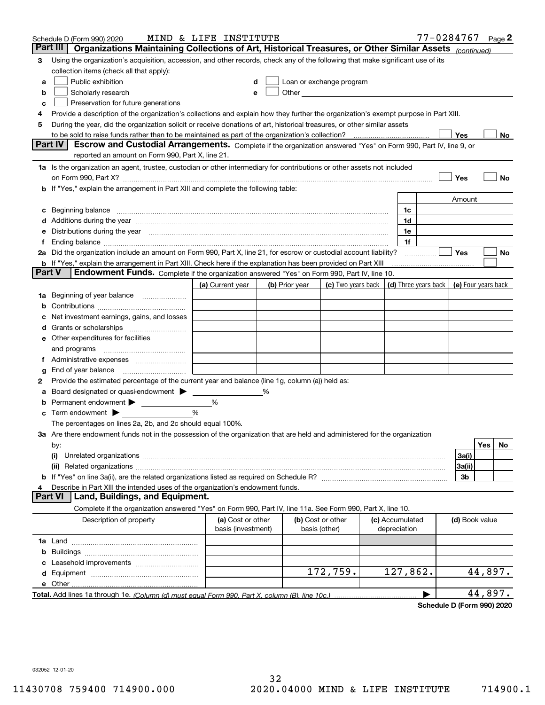|        | Schedule D (Form 990) 2020                                                                                                                                                                                                     | MIND & LIFE INSTITUTE |   |                |                                                                                                                                                                                                                               |                                            | 77-0284767 |                |         | Page $2$ |
|--------|--------------------------------------------------------------------------------------------------------------------------------------------------------------------------------------------------------------------------------|-----------------------|---|----------------|-------------------------------------------------------------------------------------------------------------------------------------------------------------------------------------------------------------------------------|--------------------------------------------|------------|----------------|---------|----------|
|        | Part III<br>Organizations Maintaining Collections of Art, Historical Treasures, or Other Similar Assets (continued)                                                                                                            |                       |   |                |                                                                                                                                                                                                                               |                                            |            |                |         |          |
| 3      | Using the organization's acquisition, accession, and other records, check any of the following that make significant use of its                                                                                                |                       |   |                |                                                                                                                                                                                                                               |                                            |            |                |         |          |
|        | collection items (check all that apply):                                                                                                                                                                                       |                       |   |                |                                                                                                                                                                                                                               |                                            |            |                |         |          |
| a      | Public exhibition                                                                                                                                                                                                              |                       |   |                | Loan or exchange program                                                                                                                                                                                                      |                                            |            |                |         |          |
| b      | Scholarly research                                                                                                                                                                                                             |                       |   |                | Other and the contract of the contract of the contract of the contract of the contract of the contract of the contract of the contract of the contract of the contract of the contract of the contract of the contract of the |                                            |            |                |         |          |
| с      | Preservation for future generations                                                                                                                                                                                            |                       |   |                |                                                                                                                                                                                                                               |                                            |            |                |         |          |
| 4      | Provide a description of the organization's collections and explain how they further the organization's exempt purpose in Part XIII.                                                                                           |                       |   |                |                                                                                                                                                                                                                               |                                            |            |                |         |          |
| 5      | During the year, did the organization solicit or receive donations of art, historical treasures, or other similar assets                                                                                                       |                       |   |                |                                                                                                                                                                                                                               |                                            |            |                |         |          |
|        | to be sold to raise funds rather than to be maintained as part of the organization's collection?                                                                                                                               |                       |   |                |                                                                                                                                                                                                                               |                                            |            | Yes            |         | No       |
|        | <b>Part IV</b><br>Escrow and Custodial Arrangements. Complete if the organization answered "Yes" on Form 990, Part IV, line 9, or                                                                                              |                       |   |                |                                                                                                                                                                                                                               |                                            |            |                |         |          |
|        | reported an amount on Form 990, Part X, line 21.                                                                                                                                                                               |                       |   |                |                                                                                                                                                                                                                               |                                            |            |                |         |          |
|        | 1a Is the organization an agent, trustee, custodian or other intermediary for contributions or other assets not included                                                                                                       |                       |   |                |                                                                                                                                                                                                                               |                                            |            |                |         |          |
|        | on Form 990, Part X? [11] matter contracts and contracts and contracts are contracted as a form 990, Part X?                                                                                                                   |                       |   |                |                                                                                                                                                                                                                               |                                            |            | Yes            |         | No       |
|        | <b>b</b> If "Yes," explain the arrangement in Part XIII and complete the following table:                                                                                                                                      |                       |   |                |                                                                                                                                                                                                                               |                                            |            |                |         |          |
|        |                                                                                                                                                                                                                                |                       |   |                |                                                                                                                                                                                                                               |                                            |            | Amount         |         |          |
| c      | Beginning balance <b>contract to the contract of the contract of the contract of the contract of the contract of t</b>                                                                                                         |                       |   |                |                                                                                                                                                                                                                               | 1c                                         |            |                |         |          |
|        | Additions during the year manufactured and an account of the state of the state of the state of the state of the state of the state of the state of the state of the state of the state of the state of the state of the state |                       |   |                |                                                                                                                                                                                                                               | 1d                                         |            |                |         |          |
|        | Distributions during the year manufactured and continuum and control of the year manufactured and control of the year manufactured and control of the year manufactured and control of the state of the state of the state of  |                       |   |                |                                                                                                                                                                                                                               | 1e                                         |            |                |         |          |
| Ť.,    |                                                                                                                                                                                                                                |                       |   |                |                                                                                                                                                                                                                               | 1f                                         |            |                |         |          |
|        | 2a Did the organization include an amount on Form 990, Part X, line 21, for escrow or custodial account liability?                                                                                                             |                       |   |                |                                                                                                                                                                                                                               |                                            |            | Yes            |         | No       |
|        | <b>b</b> If "Yes," explain the arrangement in Part XIII. Check here if the explanation has been provided on Part XIII                                                                                                          |                       |   |                |                                                                                                                                                                                                                               |                                            |            |                |         |          |
| Part V | Endowment Funds. Complete if the organization answered "Yes" on Form 990, Part IV, line 10.                                                                                                                                    |                       |   |                |                                                                                                                                                                                                                               |                                            |            |                |         |          |
|        |                                                                                                                                                                                                                                | (a) Current year      |   | (b) Prior year | (c) Two years back                                                                                                                                                                                                            | (d) Three years back   (e) Four years back |            |                |         |          |
| 1a     | Beginning of year balance                                                                                                                                                                                                      |                       |   |                |                                                                                                                                                                                                                               |                                            |            |                |         |          |
|        |                                                                                                                                                                                                                                |                       |   |                |                                                                                                                                                                                                                               |                                            |            |                |         |          |
|        | Net investment earnings, gains, and losses                                                                                                                                                                                     |                       |   |                |                                                                                                                                                                                                                               |                                            |            |                |         |          |
| d      |                                                                                                                                                                                                                                |                       |   |                |                                                                                                                                                                                                                               |                                            |            |                |         |          |
|        | e Other expenditures for facilities                                                                                                                                                                                            |                       |   |                |                                                                                                                                                                                                                               |                                            |            |                |         |          |
|        | and programs                                                                                                                                                                                                                   |                       |   |                |                                                                                                                                                                                                                               |                                            |            |                |         |          |
|        |                                                                                                                                                                                                                                |                       |   |                |                                                                                                                                                                                                                               |                                            |            |                |         |          |
| g      | End of year balance                                                                                                                                                                                                            |                       |   |                |                                                                                                                                                                                                                               |                                            |            |                |         |          |
| 2      | Provide the estimated percentage of the current year end balance (line 1g, column (a)) held as:                                                                                                                                |                       |   |                |                                                                                                                                                                                                                               |                                            |            |                |         |          |
| а      | Board designated or quasi-endowment                                                                                                                                                                                            |                       | % |                |                                                                                                                                                                                                                               |                                            |            |                |         |          |
|        | Permanent endowment > <u>example</u>                                                                                                                                                                                           | %<br>%                |   |                |                                                                                                                                                                                                                               |                                            |            |                |         |          |
| c      | Term endowment $\blacktriangleright$                                                                                                                                                                                           |                       |   |                |                                                                                                                                                                                                                               |                                            |            |                |         |          |
|        | The percentages on lines 2a, 2b, and 2c should equal 100%.                                                                                                                                                                     |                       |   |                |                                                                                                                                                                                                                               |                                            |            |                |         |          |
|        | 3a Are there endowment funds not in the possession of the organization that are held and administered for the organization                                                                                                     |                       |   |                |                                                                                                                                                                                                                               |                                            |            |                | Yes     | No.      |
|        | by:<br>(i)                                                                                                                                                                                                                     |                       |   |                |                                                                                                                                                                                                                               |                                            |            | 3a(i)          |         |          |
|        |                                                                                                                                                                                                                                |                       |   |                |                                                                                                                                                                                                                               |                                            |            | 3a(ii)         |         |          |
|        |                                                                                                                                                                                                                                |                       |   |                |                                                                                                                                                                                                                               |                                            |            | 3b             |         |          |
|        | Describe in Part XIII the intended uses of the organization's endowment funds.                                                                                                                                                 |                       |   |                |                                                                                                                                                                                                                               |                                            |            |                |         |          |
|        | Land, Buildings, and Equipment.<br>Part VI                                                                                                                                                                                     |                       |   |                |                                                                                                                                                                                                                               |                                            |            |                |         |          |
|        | Complete if the organization answered "Yes" on Form 990, Part IV, line 11a. See Form 990, Part X, line 10.                                                                                                                     |                       |   |                |                                                                                                                                                                                                                               |                                            |            |                |         |          |
|        | Description of property                                                                                                                                                                                                        | (a) Cost or other     |   |                | (b) Cost or other                                                                                                                                                                                                             | (c) Accumulated                            |            | (d) Book value |         |          |
|        |                                                                                                                                                                                                                                | basis (investment)    |   |                | basis (other)                                                                                                                                                                                                                 | depreciation                               |            |                |         |          |
|        |                                                                                                                                                                                                                                |                       |   |                |                                                                                                                                                                                                                               |                                            |            |                |         |          |
| b      |                                                                                                                                                                                                                                |                       |   |                |                                                                                                                                                                                                                               |                                            |            |                |         |          |
|        |                                                                                                                                                                                                                                |                       |   |                |                                                                                                                                                                                                                               |                                            |            |                |         |          |
|        |                                                                                                                                                                                                                                |                       |   |                | 172,759.                                                                                                                                                                                                                      | 127,862.                                   |            |                | 44,897. |          |
|        |                                                                                                                                                                                                                                |                       |   |                |                                                                                                                                                                                                                               |                                            |            |                |         |          |
|        |                                                                                                                                                                                                                                |                       |   |                |                                                                                                                                                                                                                               |                                            |            |                | 44,897. |          |
|        |                                                                                                                                                                                                                                |                       |   |                |                                                                                                                                                                                                                               |                                            |            |                |         |          |

Schedule D (Form 990) 2020

032052 12-01-20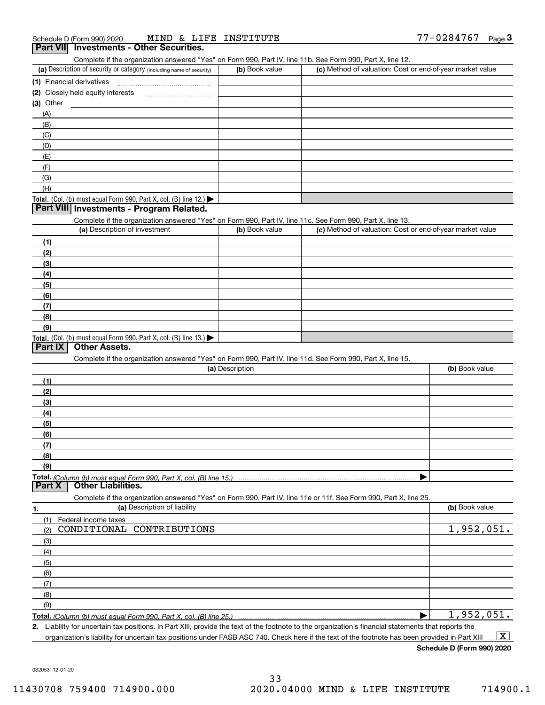| MIND & LIFE INSTITUTE<br>Schedule D (Form 990) 2020                                                               |                 |                                                           | $77 - 0284767$ Page 3 |
|-------------------------------------------------------------------------------------------------------------------|-----------------|-----------------------------------------------------------|-----------------------|
| Part VII Investments - Other Securities.                                                                          |                 |                                                           |                       |
| Complete if the organization answered "Yes" on Form 990, Part IV, line 11b. See Form 990, Part X, line 12.        |                 |                                                           |                       |
| (a) Description of security or category (including name of security)                                              | (b) Book value  | (c) Method of valuation: Cost or end-of-year market value |                       |
|                                                                                                                   |                 |                                                           |                       |
|                                                                                                                   |                 |                                                           |                       |
| $(3)$ Other                                                                                                       |                 |                                                           |                       |
| (A)                                                                                                               |                 |                                                           |                       |
| (B)                                                                                                               |                 |                                                           |                       |
| (C)                                                                                                               |                 |                                                           |                       |
| (D)                                                                                                               |                 |                                                           |                       |
| (E)                                                                                                               |                 |                                                           |                       |
| (F)                                                                                                               |                 |                                                           |                       |
| (G)                                                                                                               |                 |                                                           |                       |
| (H)                                                                                                               |                 |                                                           |                       |
| Total. (Col. (b) must equal Form 990, Part X, col. (B) line 12.) $\blacktriangleright$                            |                 |                                                           |                       |
| Part VIII Investments - Program Related.                                                                          |                 |                                                           |                       |
| Complete if the organization answered "Yes" on Form 990, Part IV, line 11c. See Form 990, Part X, line 13.        |                 |                                                           |                       |
| (a) Description of investment                                                                                     | (b) Book value  | (c) Method of valuation: Cost or end-of-year market value |                       |
| (1)                                                                                                               |                 |                                                           |                       |
| (2)                                                                                                               |                 |                                                           |                       |
| (3)                                                                                                               |                 |                                                           |                       |
| (4)                                                                                                               |                 |                                                           |                       |
| (5)                                                                                                               |                 |                                                           |                       |
| (6)                                                                                                               |                 |                                                           |                       |
| (7)                                                                                                               |                 |                                                           |                       |
| (8)                                                                                                               |                 |                                                           |                       |
| (9)                                                                                                               |                 |                                                           |                       |
| Total. (Col. (b) must equal Form 990, Part X, col. (B) line 13.)                                                  |                 |                                                           |                       |
| Part IX<br><b>Other Assets.</b>                                                                                   |                 |                                                           |                       |
| Complete if the organization answered "Yes" on Form 990, Part IV, line 11d. See Form 990, Part X, line 15.        |                 |                                                           |                       |
|                                                                                                                   | (a) Description |                                                           | (b) Book value        |
| (1)                                                                                                               |                 |                                                           |                       |
| (2)                                                                                                               |                 |                                                           |                       |
| (3)                                                                                                               |                 |                                                           |                       |
| (4)                                                                                                               |                 |                                                           |                       |
| (5)                                                                                                               |                 |                                                           |                       |
| (6)                                                                                                               |                 |                                                           |                       |
| (7)                                                                                                               |                 |                                                           |                       |
| (8)                                                                                                               |                 |                                                           |                       |
| (9)                                                                                                               |                 |                                                           |                       |
|                                                                                                                   |                 |                                                           |                       |
| <b>Other Liabilities.</b><br>Part <sub>X</sub>                                                                    |                 |                                                           |                       |
| Complete if the organization answered "Yes" on Form 990, Part IV, line 11e or 11f. See Form 990, Part X, line 25. |                 |                                                           |                       |

1. **(a)** Description of liability **Book value Example 20** (a) Book value Total. (Column (b) must equal Form 990, Part X, col. (B) line 25.) (1) Federal income taxes (2) (3) (4) (5) (6) (7) (8) (9) | CONDITIONAL CONTRIBUTIONS 1,952,051. 1,952,051.

2. Liability for uncertain tax positions. In Part XIII, provide the text of the footnote to the organization's financial statements that reports the organization's liability for uncertain tax positions under FASB ASC 740. Check here if the text of the footnote has been provided in Part XIII  $\boxed{\text{X}}$ 

Schedule D (Form 990) 2020

032053 12-01-20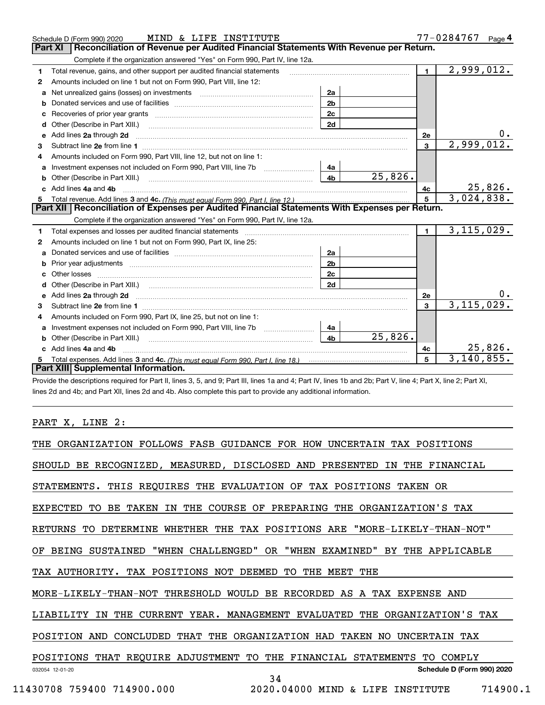|    | MIND & LIFE INSTITUTE<br>Schedule D (Form 990) 2020                                                                                                                                                                            |                |         |                | 77-0284767 Page 4 |
|----|--------------------------------------------------------------------------------------------------------------------------------------------------------------------------------------------------------------------------------|----------------|---------|----------------|-------------------|
|    | Reconciliation of Revenue per Audited Financial Statements With Revenue per Return.<br>Part XI                                                                                                                                 |                |         |                |                   |
|    | Complete if the organization answered "Yes" on Form 990, Part IV, line 12a.                                                                                                                                                    |                |         |                |                   |
| 1  | Total revenue, gains, and other support per audited financial statements                                                                                                                                                       |                |         | $\blacksquare$ | 2,999,012.        |
| 2  | Amounts included on line 1 but not on Form 990, Part VIII, line 12:                                                                                                                                                            |                |         |                |                   |
|    | Net unrealized gains (losses) on investments [11] matter contracts and the unrealized gains (losses) on investments                                                                                                            | 2a             |         |                |                   |
| b  |                                                                                                                                                                                                                                | 2 <sub>b</sub> |         |                |                   |
| с  | Recoveries of prior year grants [11] Recoveries of prior year grants [11] Recoveries of prior year grants                                                                                                                      | 2c             |         |                |                   |
| d  | Other (Describe in Part XIII.)                                                                                                                                                                                                 | 2d             |         |                |                   |
| е  | Add lines 2a through 2d                                                                                                                                                                                                        |                |         | 2e             |                   |
| 3  |                                                                                                                                                                                                                                |                |         | 3              | 2,999,012.        |
|    | Amounts included on Form 990, Part VIII, line 12, but not on line 1:                                                                                                                                                           |                |         |                |                   |
| a  |                                                                                                                                                                                                                                | 4a             |         |                |                   |
| b  | Other (Describe in Part XIII.)                                                                                                                                                                                                 | 4 <sub>b</sub> | 25,826. |                |                   |
|    | Add lines 4a and 4b                                                                                                                                                                                                            |                |         | 4с             | 25,826.           |
| 5  |                                                                                                                                                                                                                                |                |         | 5              | 3,024,838.        |
|    | Part XII   Reconciliation of Expenses per Audited Financial Statements With Expenses per Return.                                                                                                                               |                |         |                |                   |
|    | Complete if the organization answered "Yes" on Form 990, Part IV, line 12a.                                                                                                                                                    |                |         |                |                   |
| 1. | Total expenses and losses per audited financial statements [11,11] [11] Total expenses and losses per audited financial statements [11] [11] Total expenses and losses per audited financial statements                        |                |         | $\mathbf{1}$   | 3, 115, 029.      |
| 2  | Amounts included on line 1 but not on Form 990, Part IX, line 25:                                                                                                                                                              |                |         |                |                   |
| a  |                                                                                                                                                                                                                                | 2a             |         |                |                   |
| b  |                                                                                                                                                                                                                                | 2b             |         |                |                   |
|    |                                                                                                                                                                                                                                | 2c             |         |                |                   |
|    | Other (Describe in Part XIII.) (2000) (2000) (2000) (2000) (2000) (2000) (2000) (2000) (2000) (2000) (2000) (2000) (2000) (2000) (2000) (2000) (2000) (2000) (2000) (2000) (2000) (2000) (2000) (2000) (2000) (2000) (2000) (2 | 2d             |         |                |                   |
|    |                                                                                                                                                                                                                                |                |         | 2e             |                   |
| 3  |                                                                                                                                                                                                                                |                |         | 3              | 3, 115, 029.      |
| 4  | Amounts included on Form 990, Part IX, line 25, but not on line 1:                                                                                                                                                             |                |         |                |                   |
| а  | Investment expenses not included on Form 990, Part VIII, line 7b [11, 111, 111, 111]                                                                                                                                           | 4a             |         |                |                   |
| b  |                                                                                                                                                                                                                                | 4 <sub>b</sub> | 25,826. |                |                   |
|    | Add lines 4a and 4b                                                                                                                                                                                                            |                |         | 4c             | 25,826.           |
|    |                                                                                                                                                                                                                                |                |         | 5              | 3, 140, 855.      |
|    | Part XIII Supplemental Information.                                                                                                                                                                                            |                |         |                |                   |

Provide the descriptions required for Part II, lines 3, 5, and 9; Part III, lines 1a and 4; Part IV, lines 1b and 2b; Part V, line 4; Part X, line 2; Part XI, lines 2d and 4b; and Part XII, lines 2d and 4b. Also complete this part to provide any additional information.

### PART X, LINE 2:

| THE                                                     | ORGANIZATION FOLLOWS FASB GUIDANCE FOR HOW UNCERTAIN TAX POSITIONS    |
|---------------------------------------------------------|-----------------------------------------------------------------------|
| SHOULD BE RECOGNIZED, MEASURED, DISCLOSED AND PRESENTED | IN THE FINANCIAL                                                      |
|                                                         | STATEMENTS. THIS REQUIRES THE EVALUATION OF TAX POSITIONS TAKEN OR    |
| EXPECTED<br>BE TAKEN<br>TO                              | IN THE COURSE OF PREPARING THE ORGANIZATION'S TAX                     |
| RETURNS                                                 | TO DETERMINE WHETHER THE TAX POSITIONS ARE "MORE-LIKELY-THAN-NOT"     |
| BEING SUSTAINED<br>OF                                   | "WHEN CHALLENGED" OR "WHEN EXAMINED" BY THE APPLICABLE                |
| TAX POSITIONS NOT<br>TAX AUTHORITY.                     | DEEMED<br>TО<br>THE<br>MEET<br>THE                                    |
|                                                         | MORE-LIKELY-THAN-NOT THRESHOLD WOULD BE RECORDED AS A TAX EXPENSE AND |
| LIABILITY<br>THE<br>IN                                  | CURRENT YEAR. MANAGEMENT EVALUATED<br>THE ORGANIZATION'S TAX          |
| POSITION<br>AND<br>CONCLUDED<br>THAT THE                | ORGANIZATION HAD TAKEN NO UNCERTAIN TAX                               |
| POSITIONS THAT REQUIRE ADJUSTMENT TO THE                | FINANCIAL STATEMENTS<br>COMPLY<br>TO.                                 |
| 032054 12-01-20                                         | Schedule D (Form 990) 2020<br>34                                      |
| 11430708 759400 714900.000                              | 714900.1<br>2020.04000 MIND & LIFE<br>INSTITUTE                       |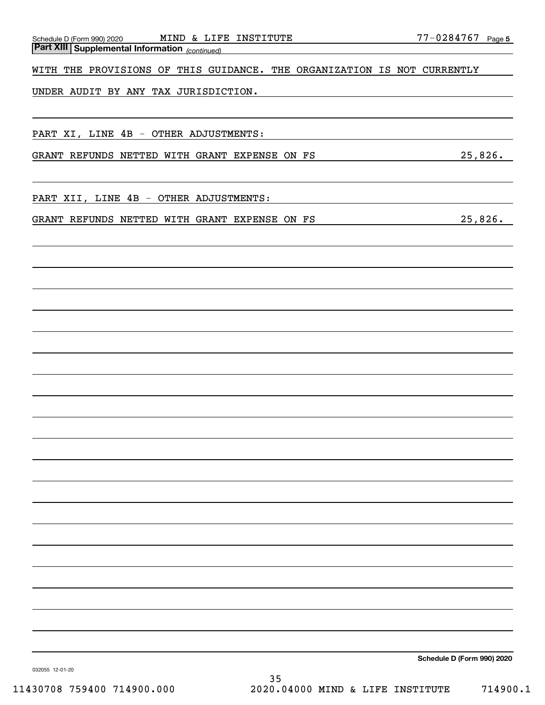| MIND & LIFE INSTITUTE<br>Schedule D (Form 990) 2020<br><b>Part XIII Supplemental Information</b> (continued) | 77-0284767 Page 5          |
|--------------------------------------------------------------------------------------------------------------|----------------------------|
| WITH THE PROVISIONS OF THIS GUIDANCE. THE ORGANIZATION IS NOT CURRENTLY                                      |                            |
| UNDER AUDIT BY ANY TAX JURISDICTION.                                                                         |                            |
|                                                                                                              |                            |
|                                                                                                              |                            |
| PART XI, LINE 4B - OTHER ADJUSTMENTS:                                                                        |                            |
| GRANT REFUNDS NETTED WITH GRANT EXPENSE ON FS                                                                | 25,826.                    |
|                                                                                                              |                            |
| PART XII, LINE 4B - OTHER ADJUSTMENTS:                                                                       |                            |
| GRANT REFUNDS NETTED WITH GRANT EXPENSE ON FS                                                                | 25,826.                    |
|                                                                                                              |                            |
|                                                                                                              |                            |
|                                                                                                              |                            |
|                                                                                                              |                            |
|                                                                                                              |                            |
|                                                                                                              |                            |
|                                                                                                              |                            |
|                                                                                                              |                            |
|                                                                                                              |                            |
|                                                                                                              |                            |
|                                                                                                              |                            |
|                                                                                                              |                            |
|                                                                                                              |                            |
|                                                                                                              |                            |
|                                                                                                              |                            |
|                                                                                                              |                            |
|                                                                                                              |                            |
|                                                                                                              |                            |
|                                                                                                              |                            |
|                                                                                                              |                            |
|                                                                                                              | Schedule D (Form 990) 2020 |

032055 12-01-20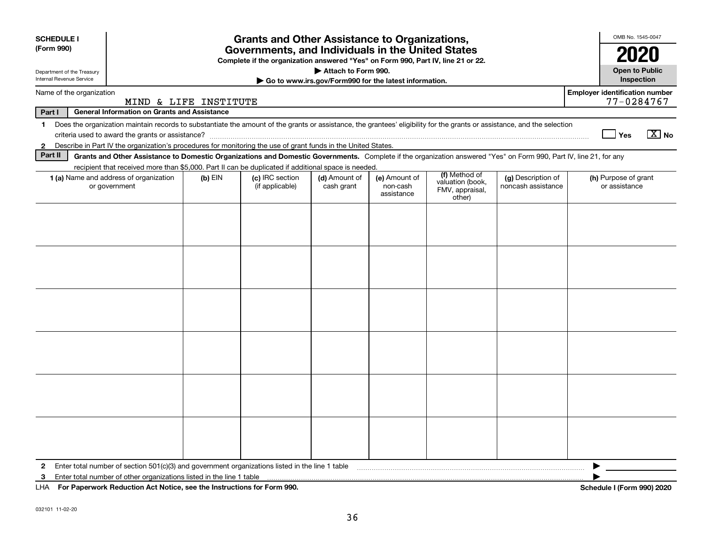| <b>SCHEDULE I</b><br>(Form 990)                                                                                                                                                                                                                     |                                                                                                                                                                                                                                                                                                                                                                                                           |  | <b>Grants and Other Assistance to Organizations,</b><br>Governments, and Individuals in the United States |  |  |  |                                       | OMB No. 1545-0047<br>2020                           |  |  |
|-----------------------------------------------------------------------------------------------------------------------------------------------------------------------------------------------------------------------------------------------------|-----------------------------------------------------------------------------------------------------------------------------------------------------------------------------------------------------------------------------------------------------------------------------------------------------------------------------------------------------------------------------------------------------------|--|-----------------------------------------------------------------------------------------------------------|--|--|--|---------------------------------------|-----------------------------------------------------|--|--|
| Complete if the organization answered "Yes" on Form 990, Part IV, line 21 or 22.<br>Attach to Form 990.<br><b>Open to Public</b><br>Department of the Treasury<br>Internal Revenue Service<br>Go to www.irs.gov/Form990 for the latest information. |                                                                                                                                                                                                                                                                                                                                                                                                           |  |                                                                                                           |  |  |  |                                       |                                                     |  |  |
| Name of the organization                                                                                                                                                                                                                            | MIND & LIFE INSTITUTE                                                                                                                                                                                                                                                                                                                                                                                     |  |                                                                                                           |  |  |  |                                       | <b>Employer identification number</b><br>77-0284767 |  |  |
| Part I<br><b>General Information on Grants and Assistance</b>                                                                                                                                                                                       |                                                                                                                                                                                                                                                                                                                                                                                                           |  |                                                                                                           |  |  |  |                                       |                                                     |  |  |
| $\mathbf{2}$                                                                                                                                                                                                                                        | 1 Does the organization maintain records to substantiate the amount of the grants or assistance, the grantees' eligibility for the grants or assistance, and the selection<br>$X$ No<br>Yes<br>Describe in Part IV the organization's procedures for monitoring the use of grant funds in the United States.                                                                                              |  |                                                                                                           |  |  |  |                                       |                                                     |  |  |
| Part II                                                                                                                                                                                                                                             | Grants and Other Assistance to Domestic Organizations and Domestic Governments. Complete if the organization answered "Yes" on Form 990, Part IV, line 21, for any                                                                                                                                                                                                                                        |  |                                                                                                           |  |  |  |                                       |                                                     |  |  |
|                                                                                                                                                                                                                                                     |                                                                                                                                                                                                                                                                                                                                                                                                           |  |                                                                                                           |  |  |  |                                       |                                                     |  |  |
|                                                                                                                                                                                                                                                     | recipient that received more than \$5,000. Part II can be duplicated if additional space is needed.<br>(f) Method of<br>(c) IRC section<br>1 (a) Name and address of organization<br>(d) Amount of<br>(e) Amount of<br>(g) Description of<br>$(b)$ EIN<br>valuation (book,<br>noncash assistance<br>or government<br>(if applicable)<br>cash grant<br>non-cash<br>FMV, appraisal,<br>assistance<br>other) |  |                                                                                                           |  |  |  | (h) Purpose of grant<br>or assistance |                                                     |  |  |
|                                                                                                                                                                                                                                                     |                                                                                                                                                                                                                                                                                                                                                                                                           |  |                                                                                                           |  |  |  |                                       |                                                     |  |  |
|                                                                                                                                                                                                                                                     |                                                                                                                                                                                                                                                                                                                                                                                                           |  |                                                                                                           |  |  |  |                                       |                                                     |  |  |
|                                                                                                                                                                                                                                                     |                                                                                                                                                                                                                                                                                                                                                                                                           |  |                                                                                                           |  |  |  |                                       |                                                     |  |  |
|                                                                                                                                                                                                                                                     |                                                                                                                                                                                                                                                                                                                                                                                                           |  |                                                                                                           |  |  |  |                                       |                                                     |  |  |
|                                                                                                                                                                                                                                                     |                                                                                                                                                                                                                                                                                                                                                                                                           |  |                                                                                                           |  |  |  |                                       |                                                     |  |  |
| 2                                                                                                                                                                                                                                                   | Enter total number of section 501(c)(3) and government organizations listed in the line 1 table                                                                                                                                                                                                                                                                                                           |  |                                                                                                           |  |  |  |                                       |                                                     |  |  |
| 3                                                                                                                                                                                                                                                   | Enter total number of other organizations listed in the line 1 table                                                                                                                                                                                                                                                                                                                                      |  |                                                                                                           |  |  |  |                                       |                                                     |  |  |
| LHA                                                                                                                                                                                                                                                 | For Paperwork Reduction Act Notice, see the Instructions for Form 990.                                                                                                                                                                                                                                                                                                                                    |  |                                                                                                           |  |  |  |                                       | Schedule I (Form 990) 2020                          |  |  |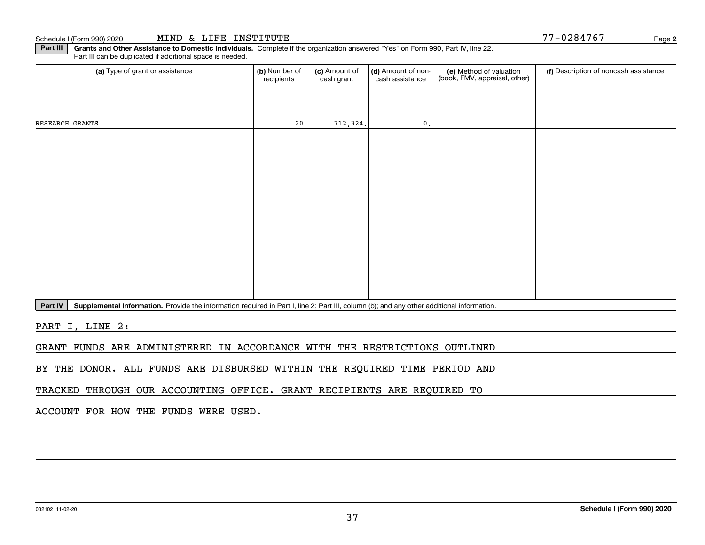Part III | Grants and Other Assistance to Domestic Individuals. Complete if the organization answered "Yes" on Form 990, Part IV, line 22. Part III can be duplicated if additional space is needed.

| (a) Type of grant or assistance | (b) Number of<br>recipients | (c) Amount of<br>cash grant | (d) Amount of non-<br>cash assistance | (e) Method of valuation<br>(book, FMV, appraisal, other) | (f) Description of noncash assistance |
|---------------------------------|-----------------------------|-----------------------------|---------------------------------------|----------------------------------------------------------|---------------------------------------|
|                                 |                             |                             |                                       |                                                          |                                       |
| RESEARCH GRANTS                 | 20                          | 712, 324.                   | $\mathfrak o$ .                       |                                                          |                                       |
|                                 |                             |                             |                                       |                                                          |                                       |
|                                 |                             |                             |                                       |                                                          |                                       |
|                                 |                             |                             |                                       |                                                          |                                       |
|                                 |                             |                             |                                       |                                                          |                                       |
|                                 |                             |                             |                                       |                                                          |                                       |
|                                 |                             |                             |                                       |                                                          |                                       |
|                                 |                             |                             |                                       |                                                          |                                       |
|                                 |                             |                             |                                       |                                                          |                                       |

Part IV | Supplemental Information. Provide the information required in Part I, line 2; Part III, column (b); and any other additional information.

PART I, LINE 2:

GRANT FUNDS ARE ADMINISTERED IN ACCORDANCE WITH THE RESTRICTIONS OUTLINED

BY THE DONOR. ALL FUNDS ARE DISBURSED WITHIN THE REQUIRED TIME PERIOD AND

TRACKED THROUGH OUR ACCOUNTING OFFICE. GRANT RECIPIENTS ARE REQUIRED TO

ACCOUNT FOR HOW THE FUNDS WERE USED.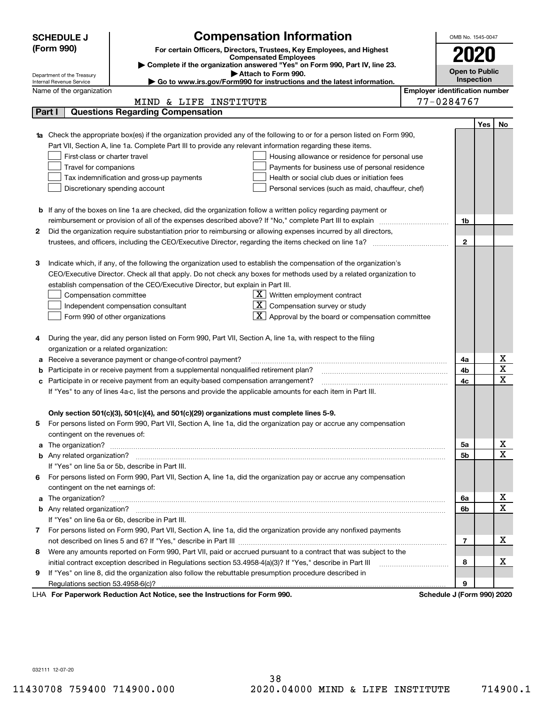| <b>Compensation Information</b><br><b>SCHEDULE J</b><br>(Form 990)<br>For certain Officers, Directors, Trustees, Key Employees, and Highest<br>2020<br><b>Compensated Employees</b><br>Complete if the organization answered "Yes" on Form 990, Part IV, line 23.<br><b>Open to Public</b><br>Attach to Form 990.<br>Department of the Treasury<br>Inspection<br>► Go to www.irs.gov/Form990 for instructions and the latest information.<br>Internal Revenue Service<br><b>Employer identification number</b><br>Name of the organization<br>77-0284767<br>& LIFE INSTITUTE<br>MIND<br><b>Questions Regarding Compensation</b><br>Part I<br>Yes<br>No<br>Check the appropriate box(es) if the organization provided any of the following to or for a person listed on Form 990,<br>Part VII, Section A, line 1a. Complete Part III to provide any relevant information regarding these items.<br>First-class or charter travel<br>Housing allowance or residence for personal use<br>Travel for companions<br>Payments for business use of personal residence<br>Tax indemnification and gross-up payments<br>Health or social club dues or initiation fees<br>Discretionary spending account<br>Personal services (such as maid, chauffeur, chef)<br><b>b</b> If any of the boxes on line 1a are checked, did the organization follow a written policy regarding payment or<br>reimbursement or provision of all of the expenses described above? If "No," complete Part III to explain<br>1b<br>Did the organization require substantiation prior to reimbursing or allowing expenses incurred by all directors,<br>2<br>$\mathbf{2}$<br>Indicate which, if any, of the following the organization used to establish the compensation of the organization's<br>з<br>CEO/Executive Director. Check all that apply. Do not check any boxes for methods used by a related organization to<br>establish compensation of the CEO/Executive Director, but explain in Part III.<br>$X$ Written employment contract<br>Compensation committee<br>$\overline{X}$ Compensation survey or study<br>Independent compensation consultant<br>$\boxed{\textbf{X}}$ Approval by the board or compensation committee<br>Form 990 of other organizations<br>During the year, did any person listed on Form 990, Part VII, Section A, line 1a, with respect to the filing<br>4<br>organization or a related organization:<br>х<br>Receive a severance payment or change-of-control payment?<br>4a<br>а<br>X<br>Participate in or receive payment from a supplemental nonqualified retirement plan?<br>4b<br>b<br>$\mathbf X$<br>Participate in or receive payment from an equity-based compensation arrangement?<br>4c<br>с<br>If "Yes" to any of lines 4a-c, list the persons and provide the applicable amounts for each item in Part III.<br>Only section 501(c)(3), 501(c)(4), and 501(c)(29) organizations must complete lines 5-9. |
|--------------------------------------------------------------------------------------------------------------------------------------------------------------------------------------------------------------------------------------------------------------------------------------------------------------------------------------------------------------------------------------------------------------------------------------------------------------------------------------------------------------------------------------------------------------------------------------------------------------------------------------------------------------------------------------------------------------------------------------------------------------------------------------------------------------------------------------------------------------------------------------------------------------------------------------------------------------------------------------------------------------------------------------------------------------------------------------------------------------------------------------------------------------------------------------------------------------------------------------------------------------------------------------------------------------------------------------------------------------------------------------------------------------------------------------------------------------------------------------------------------------------------------------------------------------------------------------------------------------------------------------------------------------------------------------------------------------------------------------------------------------------------------------------------------------------------------------------------------------------------------------------------------------------------------------------------------------------------------------------------------------------------------------------------------------------------------------------------------------------------------------------------------------------------------------------------------------------------------------------------------------------------------------------------------------------------------------------------------------------------------------------------------------------------------------------------------------------------------------------------------------------------------------------------------------------------------------------------------------------------------------------------------------------------------------------------------------------------------------------------------------------------------------------------------------------------------------------------------------------------------------------------------------------------|
|                                                                                                                                                                                                                                                                                                                                                                                                                                                                                                                                                                                                                                                                                                                                                                                                                                                                                                                                                                                                                                                                                                                                                                                                                                                                                                                                                                                                                                                                                                                                                                                                                                                                                                                                                                                                                                                                                                                                                                                                                                                                                                                                                                                                                                                                                                                                                                                                                                                                                                                                                                                                                                                                                                                                                                                                                                                                                                                          |
|                                                                                                                                                                                                                                                                                                                                                                                                                                                                                                                                                                                                                                                                                                                                                                                                                                                                                                                                                                                                                                                                                                                                                                                                                                                                                                                                                                                                                                                                                                                                                                                                                                                                                                                                                                                                                                                                                                                                                                                                                                                                                                                                                                                                                                                                                                                                                                                                                                                                                                                                                                                                                                                                                                                                                                                                                                                                                                                          |
|                                                                                                                                                                                                                                                                                                                                                                                                                                                                                                                                                                                                                                                                                                                                                                                                                                                                                                                                                                                                                                                                                                                                                                                                                                                                                                                                                                                                                                                                                                                                                                                                                                                                                                                                                                                                                                                                                                                                                                                                                                                                                                                                                                                                                                                                                                                                                                                                                                                                                                                                                                                                                                                                                                                                                                                                                                                                                                                          |
|                                                                                                                                                                                                                                                                                                                                                                                                                                                                                                                                                                                                                                                                                                                                                                                                                                                                                                                                                                                                                                                                                                                                                                                                                                                                                                                                                                                                                                                                                                                                                                                                                                                                                                                                                                                                                                                                                                                                                                                                                                                                                                                                                                                                                                                                                                                                                                                                                                                                                                                                                                                                                                                                                                                                                                                                                                                                                                                          |
|                                                                                                                                                                                                                                                                                                                                                                                                                                                                                                                                                                                                                                                                                                                                                                                                                                                                                                                                                                                                                                                                                                                                                                                                                                                                                                                                                                                                                                                                                                                                                                                                                                                                                                                                                                                                                                                                                                                                                                                                                                                                                                                                                                                                                                                                                                                                                                                                                                                                                                                                                                                                                                                                                                                                                                                                                                                                                                                          |
|                                                                                                                                                                                                                                                                                                                                                                                                                                                                                                                                                                                                                                                                                                                                                                                                                                                                                                                                                                                                                                                                                                                                                                                                                                                                                                                                                                                                                                                                                                                                                                                                                                                                                                                                                                                                                                                                                                                                                                                                                                                                                                                                                                                                                                                                                                                                                                                                                                                                                                                                                                                                                                                                                                                                                                                                                                                                                                                          |
|                                                                                                                                                                                                                                                                                                                                                                                                                                                                                                                                                                                                                                                                                                                                                                                                                                                                                                                                                                                                                                                                                                                                                                                                                                                                                                                                                                                                                                                                                                                                                                                                                                                                                                                                                                                                                                                                                                                                                                                                                                                                                                                                                                                                                                                                                                                                                                                                                                                                                                                                                                                                                                                                                                                                                                                                                                                                                                                          |
|                                                                                                                                                                                                                                                                                                                                                                                                                                                                                                                                                                                                                                                                                                                                                                                                                                                                                                                                                                                                                                                                                                                                                                                                                                                                                                                                                                                                                                                                                                                                                                                                                                                                                                                                                                                                                                                                                                                                                                                                                                                                                                                                                                                                                                                                                                                                                                                                                                                                                                                                                                                                                                                                                                                                                                                                                                                                                                                          |
|                                                                                                                                                                                                                                                                                                                                                                                                                                                                                                                                                                                                                                                                                                                                                                                                                                                                                                                                                                                                                                                                                                                                                                                                                                                                                                                                                                                                                                                                                                                                                                                                                                                                                                                                                                                                                                                                                                                                                                                                                                                                                                                                                                                                                                                                                                                                                                                                                                                                                                                                                                                                                                                                                                                                                                                                                                                                                                                          |
|                                                                                                                                                                                                                                                                                                                                                                                                                                                                                                                                                                                                                                                                                                                                                                                                                                                                                                                                                                                                                                                                                                                                                                                                                                                                                                                                                                                                                                                                                                                                                                                                                                                                                                                                                                                                                                                                                                                                                                                                                                                                                                                                                                                                                                                                                                                                                                                                                                                                                                                                                                                                                                                                                                                                                                                                                                                                                                                          |
|                                                                                                                                                                                                                                                                                                                                                                                                                                                                                                                                                                                                                                                                                                                                                                                                                                                                                                                                                                                                                                                                                                                                                                                                                                                                                                                                                                                                                                                                                                                                                                                                                                                                                                                                                                                                                                                                                                                                                                                                                                                                                                                                                                                                                                                                                                                                                                                                                                                                                                                                                                                                                                                                                                                                                                                                                                                                                                                          |
|                                                                                                                                                                                                                                                                                                                                                                                                                                                                                                                                                                                                                                                                                                                                                                                                                                                                                                                                                                                                                                                                                                                                                                                                                                                                                                                                                                                                                                                                                                                                                                                                                                                                                                                                                                                                                                                                                                                                                                                                                                                                                                                                                                                                                                                                                                                                                                                                                                                                                                                                                                                                                                                                                                                                                                                                                                                                                                                          |
|                                                                                                                                                                                                                                                                                                                                                                                                                                                                                                                                                                                                                                                                                                                                                                                                                                                                                                                                                                                                                                                                                                                                                                                                                                                                                                                                                                                                                                                                                                                                                                                                                                                                                                                                                                                                                                                                                                                                                                                                                                                                                                                                                                                                                                                                                                                                                                                                                                                                                                                                                                                                                                                                                                                                                                                                                                                                                                                          |
|                                                                                                                                                                                                                                                                                                                                                                                                                                                                                                                                                                                                                                                                                                                                                                                                                                                                                                                                                                                                                                                                                                                                                                                                                                                                                                                                                                                                                                                                                                                                                                                                                                                                                                                                                                                                                                                                                                                                                                                                                                                                                                                                                                                                                                                                                                                                                                                                                                                                                                                                                                                                                                                                                                                                                                                                                                                                                                                          |
|                                                                                                                                                                                                                                                                                                                                                                                                                                                                                                                                                                                                                                                                                                                                                                                                                                                                                                                                                                                                                                                                                                                                                                                                                                                                                                                                                                                                                                                                                                                                                                                                                                                                                                                                                                                                                                                                                                                                                                                                                                                                                                                                                                                                                                                                                                                                                                                                                                                                                                                                                                                                                                                                                                                                                                                                                                                                                                                          |
|                                                                                                                                                                                                                                                                                                                                                                                                                                                                                                                                                                                                                                                                                                                                                                                                                                                                                                                                                                                                                                                                                                                                                                                                                                                                                                                                                                                                                                                                                                                                                                                                                                                                                                                                                                                                                                                                                                                                                                                                                                                                                                                                                                                                                                                                                                                                                                                                                                                                                                                                                                                                                                                                                                                                                                                                                                                                                                                          |
|                                                                                                                                                                                                                                                                                                                                                                                                                                                                                                                                                                                                                                                                                                                                                                                                                                                                                                                                                                                                                                                                                                                                                                                                                                                                                                                                                                                                                                                                                                                                                                                                                                                                                                                                                                                                                                                                                                                                                                                                                                                                                                                                                                                                                                                                                                                                                                                                                                                                                                                                                                                                                                                                                                                                                                                                                                                                                                                          |
|                                                                                                                                                                                                                                                                                                                                                                                                                                                                                                                                                                                                                                                                                                                                                                                                                                                                                                                                                                                                                                                                                                                                                                                                                                                                                                                                                                                                                                                                                                                                                                                                                                                                                                                                                                                                                                                                                                                                                                                                                                                                                                                                                                                                                                                                                                                                                                                                                                                                                                                                                                                                                                                                                                                                                                                                                                                                                                                          |
|                                                                                                                                                                                                                                                                                                                                                                                                                                                                                                                                                                                                                                                                                                                                                                                                                                                                                                                                                                                                                                                                                                                                                                                                                                                                                                                                                                                                                                                                                                                                                                                                                                                                                                                                                                                                                                                                                                                                                                                                                                                                                                                                                                                                                                                                                                                                                                                                                                                                                                                                                                                                                                                                                                                                                                                                                                                                                                                          |
|                                                                                                                                                                                                                                                                                                                                                                                                                                                                                                                                                                                                                                                                                                                                                                                                                                                                                                                                                                                                                                                                                                                                                                                                                                                                                                                                                                                                                                                                                                                                                                                                                                                                                                                                                                                                                                                                                                                                                                                                                                                                                                                                                                                                                                                                                                                                                                                                                                                                                                                                                                                                                                                                                                                                                                                                                                                                                                                          |
|                                                                                                                                                                                                                                                                                                                                                                                                                                                                                                                                                                                                                                                                                                                                                                                                                                                                                                                                                                                                                                                                                                                                                                                                                                                                                                                                                                                                                                                                                                                                                                                                                                                                                                                                                                                                                                                                                                                                                                                                                                                                                                                                                                                                                                                                                                                                                                                                                                                                                                                                                                                                                                                                                                                                                                                                                                                                                                                          |
|                                                                                                                                                                                                                                                                                                                                                                                                                                                                                                                                                                                                                                                                                                                                                                                                                                                                                                                                                                                                                                                                                                                                                                                                                                                                                                                                                                                                                                                                                                                                                                                                                                                                                                                                                                                                                                                                                                                                                                                                                                                                                                                                                                                                                                                                                                                                                                                                                                                                                                                                                                                                                                                                                                                                                                                                                                                                                                                          |
|                                                                                                                                                                                                                                                                                                                                                                                                                                                                                                                                                                                                                                                                                                                                                                                                                                                                                                                                                                                                                                                                                                                                                                                                                                                                                                                                                                                                                                                                                                                                                                                                                                                                                                                                                                                                                                                                                                                                                                                                                                                                                                                                                                                                                                                                                                                                                                                                                                                                                                                                                                                                                                                                                                                                                                                                                                                                                                                          |
|                                                                                                                                                                                                                                                                                                                                                                                                                                                                                                                                                                                                                                                                                                                                                                                                                                                                                                                                                                                                                                                                                                                                                                                                                                                                                                                                                                                                                                                                                                                                                                                                                                                                                                                                                                                                                                                                                                                                                                                                                                                                                                                                                                                                                                                                                                                                                                                                                                                                                                                                                                                                                                                                                                                                                                                                                                                                                                                          |
|                                                                                                                                                                                                                                                                                                                                                                                                                                                                                                                                                                                                                                                                                                                                                                                                                                                                                                                                                                                                                                                                                                                                                                                                                                                                                                                                                                                                                                                                                                                                                                                                                                                                                                                                                                                                                                                                                                                                                                                                                                                                                                                                                                                                                                                                                                                                                                                                                                                                                                                                                                                                                                                                                                                                                                                                                                                                                                                          |
|                                                                                                                                                                                                                                                                                                                                                                                                                                                                                                                                                                                                                                                                                                                                                                                                                                                                                                                                                                                                                                                                                                                                                                                                                                                                                                                                                                                                                                                                                                                                                                                                                                                                                                                                                                                                                                                                                                                                                                                                                                                                                                                                                                                                                                                                                                                                                                                                                                                                                                                                                                                                                                                                                                                                                                                                                                                                                                                          |
|                                                                                                                                                                                                                                                                                                                                                                                                                                                                                                                                                                                                                                                                                                                                                                                                                                                                                                                                                                                                                                                                                                                                                                                                                                                                                                                                                                                                                                                                                                                                                                                                                                                                                                                                                                                                                                                                                                                                                                                                                                                                                                                                                                                                                                                                                                                                                                                                                                                                                                                                                                                                                                                                                                                                                                                                                                                                                                                          |
|                                                                                                                                                                                                                                                                                                                                                                                                                                                                                                                                                                                                                                                                                                                                                                                                                                                                                                                                                                                                                                                                                                                                                                                                                                                                                                                                                                                                                                                                                                                                                                                                                                                                                                                                                                                                                                                                                                                                                                                                                                                                                                                                                                                                                                                                                                                                                                                                                                                                                                                                                                                                                                                                                                                                                                                                                                                                                                                          |
|                                                                                                                                                                                                                                                                                                                                                                                                                                                                                                                                                                                                                                                                                                                                                                                                                                                                                                                                                                                                                                                                                                                                                                                                                                                                                                                                                                                                                                                                                                                                                                                                                                                                                                                                                                                                                                                                                                                                                                                                                                                                                                                                                                                                                                                                                                                                                                                                                                                                                                                                                                                                                                                                                                                                                                                                                                                                                                                          |
|                                                                                                                                                                                                                                                                                                                                                                                                                                                                                                                                                                                                                                                                                                                                                                                                                                                                                                                                                                                                                                                                                                                                                                                                                                                                                                                                                                                                                                                                                                                                                                                                                                                                                                                                                                                                                                                                                                                                                                                                                                                                                                                                                                                                                                                                                                                                                                                                                                                                                                                                                                                                                                                                                                                                                                                                                                                                                                                          |
|                                                                                                                                                                                                                                                                                                                                                                                                                                                                                                                                                                                                                                                                                                                                                                                                                                                                                                                                                                                                                                                                                                                                                                                                                                                                                                                                                                                                                                                                                                                                                                                                                                                                                                                                                                                                                                                                                                                                                                                                                                                                                                                                                                                                                                                                                                                                                                                                                                                                                                                                                                                                                                                                                                                                                                                                                                                                                                                          |
|                                                                                                                                                                                                                                                                                                                                                                                                                                                                                                                                                                                                                                                                                                                                                                                                                                                                                                                                                                                                                                                                                                                                                                                                                                                                                                                                                                                                                                                                                                                                                                                                                                                                                                                                                                                                                                                                                                                                                                                                                                                                                                                                                                                                                                                                                                                                                                                                                                                                                                                                                                                                                                                                                                                                                                                                                                                                                                                          |
|                                                                                                                                                                                                                                                                                                                                                                                                                                                                                                                                                                                                                                                                                                                                                                                                                                                                                                                                                                                                                                                                                                                                                                                                                                                                                                                                                                                                                                                                                                                                                                                                                                                                                                                                                                                                                                                                                                                                                                                                                                                                                                                                                                                                                                                                                                                                                                                                                                                                                                                                                                                                                                                                                                                                                                                                                                                                                                                          |
|                                                                                                                                                                                                                                                                                                                                                                                                                                                                                                                                                                                                                                                                                                                                                                                                                                                                                                                                                                                                                                                                                                                                                                                                                                                                                                                                                                                                                                                                                                                                                                                                                                                                                                                                                                                                                                                                                                                                                                                                                                                                                                                                                                                                                                                                                                                                                                                                                                                                                                                                                                                                                                                                                                                                                                                                                                                                                                                          |
|                                                                                                                                                                                                                                                                                                                                                                                                                                                                                                                                                                                                                                                                                                                                                                                                                                                                                                                                                                                                                                                                                                                                                                                                                                                                                                                                                                                                                                                                                                                                                                                                                                                                                                                                                                                                                                                                                                                                                                                                                                                                                                                                                                                                                                                                                                                                                                                                                                                                                                                                                                                                                                                                                                                                                                                                                                                                                                                          |
| For persons listed on Form 990, Part VII, Section A, line 1a, did the organization pay or accrue any compensation<br>5                                                                                                                                                                                                                                                                                                                                                                                                                                                                                                                                                                                                                                                                                                                                                                                                                                                                                                                                                                                                                                                                                                                                                                                                                                                                                                                                                                                                                                                                                                                                                                                                                                                                                                                                                                                                                                                                                                                                                                                                                                                                                                                                                                                                                                                                                                                                                                                                                                                                                                                                                                                                                                                                                                                                                                                                   |
| contingent on the revenues of:                                                                                                                                                                                                                                                                                                                                                                                                                                                                                                                                                                                                                                                                                                                                                                                                                                                                                                                                                                                                                                                                                                                                                                                                                                                                                                                                                                                                                                                                                                                                                                                                                                                                                                                                                                                                                                                                                                                                                                                                                                                                                                                                                                                                                                                                                                                                                                                                                                                                                                                                                                                                                                                                                                                                                                                                                                                                                           |
| x<br>5a<br>a<br>$\mathbf X$                                                                                                                                                                                                                                                                                                                                                                                                                                                                                                                                                                                                                                                                                                                                                                                                                                                                                                                                                                                                                                                                                                                                                                                                                                                                                                                                                                                                                                                                                                                                                                                                                                                                                                                                                                                                                                                                                                                                                                                                                                                                                                                                                                                                                                                                                                                                                                                                                                                                                                                                                                                                                                                                                                                                                                                                                                                                                              |
| 5b                                                                                                                                                                                                                                                                                                                                                                                                                                                                                                                                                                                                                                                                                                                                                                                                                                                                                                                                                                                                                                                                                                                                                                                                                                                                                                                                                                                                                                                                                                                                                                                                                                                                                                                                                                                                                                                                                                                                                                                                                                                                                                                                                                                                                                                                                                                                                                                                                                                                                                                                                                                                                                                                                                                                                                                                                                                                                                                       |
| If "Yes" on line 5a or 5b, describe in Part III.                                                                                                                                                                                                                                                                                                                                                                                                                                                                                                                                                                                                                                                                                                                                                                                                                                                                                                                                                                                                                                                                                                                                                                                                                                                                                                                                                                                                                                                                                                                                                                                                                                                                                                                                                                                                                                                                                                                                                                                                                                                                                                                                                                                                                                                                                                                                                                                                                                                                                                                                                                                                                                                                                                                                                                                                                                                                         |
| 6 For persons listed on Form 990, Part VII, Section A, line 1a, did the organization pay or accrue any compensation                                                                                                                                                                                                                                                                                                                                                                                                                                                                                                                                                                                                                                                                                                                                                                                                                                                                                                                                                                                                                                                                                                                                                                                                                                                                                                                                                                                                                                                                                                                                                                                                                                                                                                                                                                                                                                                                                                                                                                                                                                                                                                                                                                                                                                                                                                                                                                                                                                                                                                                                                                                                                                                                                                                                                                                                      |
| contingent on the net earnings of:                                                                                                                                                                                                                                                                                                                                                                                                                                                                                                                                                                                                                                                                                                                                                                                                                                                                                                                                                                                                                                                                                                                                                                                                                                                                                                                                                                                                                                                                                                                                                                                                                                                                                                                                                                                                                                                                                                                                                                                                                                                                                                                                                                                                                                                                                                                                                                                                                                                                                                                                                                                                                                                                                                                                                                                                                                                                                       |
| х<br>6a<br>a<br>$\mathbf X$                                                                                                                                                                                                                                                                                                                                                                                                                                                                                                                                                                                                                                                                                                                                                                                                                                                                                                                                                                                                                                                                                                                                                                                                                                                                                                                                                                                                                                                                                                                                                                                                                                                                                                                                                                                                                                                                                                                                                                                                                                                                                                                                                                                                                                                                                                                                                                                                                                                                                                                                                                                                                                                                                                                                                                                                                                                                                              |
| 6b                                                                                                                                                                                                                                                                                                                                                                                                                                                                                                                                                                                                                                                                                                                                                                                                                                                                                                                                                                                                                                                                                                                                                                                                                                                                                                                                                                                                                                                                                                                                                                                                                                                                                                                                                                                                                                                                                                                                                                                                                                                                                                                                                                                                                                                                                                                                                                                                                                                                                                                                                                                                                                                                                                                                                                                                                                                                                                                       |
| If "Yes" on line 6a or 6b, describe in Part III.                                                                                                                                                                                                                                                                                                                                                                                                                                                                                                                                                                                                                                                                                                                                                                                                                                                                                                                                                                                                                                                                                                                                                                                                                                                                                                                                                                                                                                                                                                                                                                                                                                                                                                                                                                                                                                                                                                                                                                                                                                                                                                                                                                                                                                                                                                                                                                                                                                                                                                                                                                                                                                                                                                                                                                                                                                                                         |
| 7 For persons listed on Form 990, Part VII, Section A, line 1a, did the organization provide any nonfixed payments                                                                                                                                                                                                                                                                                                                                                                                                                                                                                                                                                                                                                                                                                                                                                                                                                                                                                                                                                                                                                                                                                                                                                                                                                                                                                                                                                                                                                                                                                                                                                                                                                                                                                                                                                                                                                                                                                                                                                                                                                                                                                                                                                                                                                                                                                                                                                                                                                                                                                                                                                                                                                                                                                                                                                                                                       |
| х<br>$\overline{7}$                                                                                                                                                                                                                                                                                                                                                                                                                                                                                                                                                                                                                                                                                                                                                                                                                                                                                                                                                                                                                                                                                                                                                                                                                                                                                                                                                                                                                                                                                                                                                                                                                                                                                                                                                                                                                                                                                                                                                                                                                                                                                                                                                                                                                                                                                                                                                                                                                                                                                                                                                                                                                                                                                                                                                                                                                                                                                                      |
| Were any amounts reported on Form 990, Part VII, paid or accrued pursuant to a contract that was subject to the<br>8                                                                                                                                                                                                                                                                                                                                                                                                                                                                                                                                                                                                                                                                                                                                                                                                                                                                                                                                                                                                                                                                                                                                                                                                                                                                                                                                                                                                                                                                                                                                                                                                                                                                                                                                                                                                                                                                                                                                                                                                                                                                                                                                                                                                                                                                                                                                                                                                                                                                                                                                                                                                                                                                                                                                                                                                     |
| х<br>initial contract exception described in Regulations section 53.4958-4(a)(3)? If "Yes," describe in Part III<br>8                                                                                                                                                                                                                                                                                                                                                                                                                                                                                                                                                                                                                                                                                                                                                                                                                                                                                                                                                                                                                                                                                                                                                                                                                                                                                                                                                                                                                                                                                                                                                                                                                                                                                                                                                                                                                                                                                                                                                                                                                                                                                                                                                                                                                                                                                                                                                                                                                                                                                                                                                                                                                                                                                                                                                                                                    |
| If "Yes" on line 8, did the organization also follow the rebuttable presumption procedure described in<br>9                                                                                                                                                                                                                                                                                                                                                                                                                                                                                                                                                                                                                                                                                                                                                                                                                                                                                                                                                                                                                                                                                                                                                                                                                                                                                                                                                                                                                                                                                                                                                                                                                                                                                                                                                                                                                                                                                                                                                                                                                                                                                                                                                                                                                                                                                                                                                                                                                                                                                                                                                                                                                                                                                                                                                                                                              |
| 9<br>LHA For Paperwork Reduction Act Notice, see the Instructions for Form 990.<br>Schedule J (Form 990) 2020                                                                                                                                                                                                                                                                                                                                                                                                                                                                                                                                                                                                                                                                                                                                                                                                                                                                                                                                                                                                                                                                                                                                                                                                                                                                                                                                                                                                                                                                                                                                                                                                                                                                                                                                                                                                                                                                                                                                                                                                                                                                                                                                                                                                                                                                                                                                                                                                                                                                                                                                                                                                                                                                                                                                                                                                            |

032111 12-07-20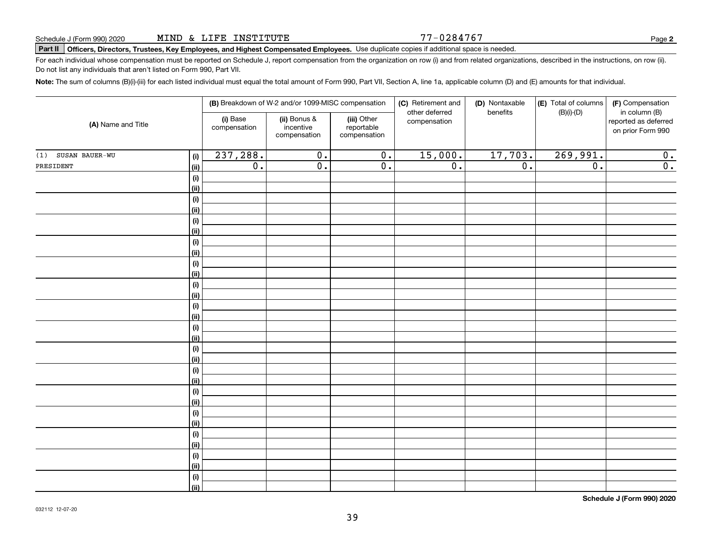#### Schedule J (Form 990) 2020 Page MIND & LIFE INSTITUTE

#### Part II | Officers, Directors, Trustees, Key Employees, and Highest Compensated Employees. Use duplicate copies if additional space is needed.

For each individual whose compensation must be reported on Schedule J, report compensation from the organization on row (i) and from related organizations, described in the instructions, on row (ii). Do not list any individuals that aren't listed on Form 990, Part VII.

Note: The sum of columns (B)(i)-(iii) for each listed individual must equal the total amount of Form 990, Part VII, Section A, line 1a, applicable column (D) and (E) amounts for that individual.

|                       | (B) Breakdown of W-2 and/or 1099-MISC compensation |                          |                                           | (C) Retirement and                        | (D) Nontaxable                 | (E) Total of columns | (F) Compensation |                                                            |
|-----------------------|----------------------------------------------------|--------------------------|-------------------------------------------|-------------------------------------------|--------------------------------|----------------------|------------------|------------------------------------------------------------|
| (A) Name and Title    |                                                    | (i) Base<br>compensation | (ii) Bonus &<br>incentive<br>compensation | (iii) Other<br>reportable<br>compensation | other deferred<br>compensation | benefits             | $(B)(i)$ - $(D)$ | in column (B)<br>reported as deferred<br>on prior Form 990 |
| SUSAN BAUER-WU<br>(1) | (i)                                                | 237,288.                 | $\overline{0}$ .                          | $\overline{0}$ .                          | 15,000.                        | 17,703.              | 269,991.         | 0.                                                         |
| PRESIDENT             | (ii)                                               | $\overline{0}$ .         | $\overline{0}$ .                          | 0.                                        | $\overline{0}$ .               | $\overline{0}$ .     | $\overline{0}$ . | $\overline{0}$ .                                           |
|                       | (i)                                                |                          |                                           |                                           |                                |                      |                  |                                                            |
|                       | (ii)                                               |                          |                                           |                                           |                                |                      |                  |                                                            |
|                       | (i)                                                |                          |                                           |                                           |                                |                      |                  |                                                            |
|                       | (ii)                                               |                          |                                           |                                           |                                |                      |                  |                                                            |
|                       | (i)                                                |                          |                                           |                                           |                                |                      |                  |                                                            |
|                       | (ii)                                               |                          |                                           |                                           |                                |                      |                  |                                                            |
|                       | (i)                                                |                          |                                           |                                           |                                |                      |                  |                                                            |
|                       | (ii)                                               |                          |                                           |                                           |                                |                      |                  |                                                            |
|                       | (i)                                                |                          |                                           |                                           |                                |                      |                  |                                                            |
|                       | (ii)                                               |                          |                                           |                                           |                                |                      |                  |                                                            |
|                       | (i)                                                |                          |                                           |                                           |                                |                      |                  |                                                            |
|                       | (ii)                                               |                          |                                           |                                           |                                |                      |                  |                                                            |
|                       | (i)                                                |                          |                                           |                                           |                                |                      |                  |                                                            |
|                       | (ii)                                               |                          |                                           |                                           |                                |                      |                  |                                                            |
|                       | (i)<br>(ii)                                        |                          |                                           |                                           |                                |                      |                  |                                                            |
|                       | (i)                                                |                          |                                           |                                           |                                |                      |                  |                                                            |
|                       | (ii)                                               |                          |                                           |                                           |                                |                      |                  |                                                            |
|                       | (i)                                                |                          |                                           |                                           |                                |                      |                  |                                                            |
|                       | (ii)                                               |                          |                                           |                                           |                                |                      |                  |                                                            |
|                       | (i)                                                |                          |                                           |                                           |                                |                      |                  |                                                            |
|                       | (ii)                                               |                          |                                           |                                           |                                |                      |                  |                                                            |
|                       | (i)                                                |                          |                                           |                                           |                                |                      |                  |                                                            |
|                       | (ii)                                               |                          |                                           |                                           |                                |                      |                  |                                                            |
|                       | (i)                                                |                          |                                           |                                           |                                |                      |                  |                                                            |
|                       | (ii)                                               |                          |                                           |                                           |                                |                      |                  |                                                            |
|                       | (i)                                                |                          |                                           |                                           |                                |                      |                  |                                                            |
|                       | (ii)                                               |                          |                                           |                                           |                                |                      |                  |                                                            |
|                       | (i)                                                |                          |                                           |                                           |                                |                      |                  |                                                            |
|                       | (ii)                                               |                          |                                           |                                           |                                |                      |                  |                                                            |

Schedule J (Form 990) 2020

77-0284767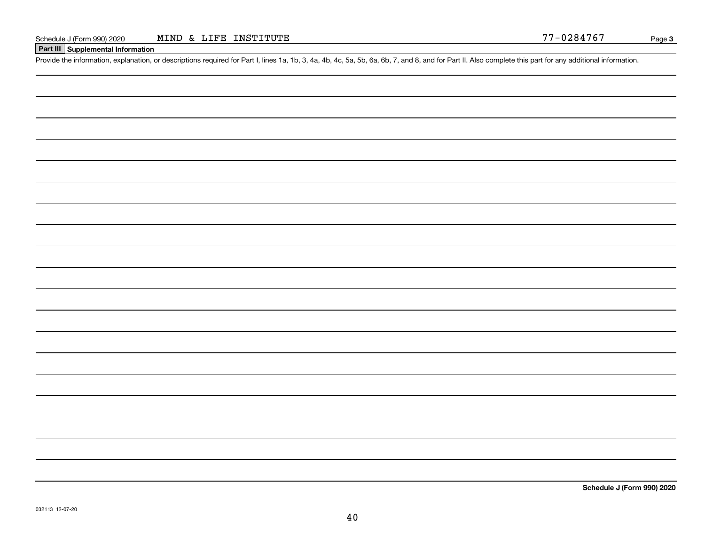#### **Part III** Supplemental Information

Provide the information, explanation, or descriptions required for Part I, lines 1a, 1b, 3, 4a, 4b, 4c, 5a, 5b, 6a, 6b, 7, and 8, and for Part II. Also complete this part for any additional information.

Schedule J (Form 990) 2020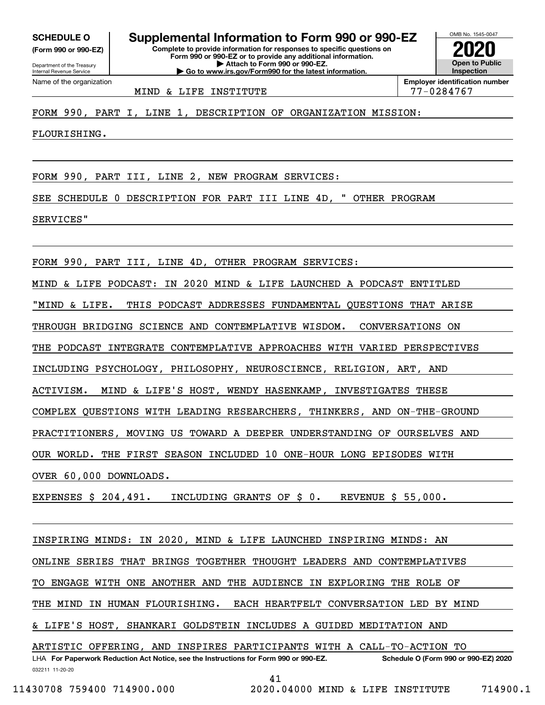(Form 990 or 990-EZ)

Department of the Treasury Internal Revenue Service Name of the organization

Complete to provide information for responses to specific questions on Form 990 or 990-EZ or to provide any additional information. | Attach to Form 990 or 990-EZ. | Go to www.irs.gov/Form990 for the latest information. SCHEDULE 0 | Supplemental Information to Form 990 or 990-EZ



MIND & LIFE INSTITUTE 77-0284767

FORM 990, PART I, LINE 1, DESCRIPTION OF ORGANIZATION MISSION:

FLOURISHING.

FORM 990, PART III, LINE 2, NEW PROGRAM SERVICES:

SEE SCHEDULE 0 DESCRIPTION FOR PART III LINE 4D, " OTHER PROGRAM

SERVICES"

FORM 990, PART III, LINE 4D, OTHER PROGRAM SERVICES:

MIND & LIFE PODCAST: IN 2020 MIND & LIFE LAUNCHED A PODCAST ENTITLED

"MIND & LIFE. THIS PODCAST ADDRESSES FUNDAMENTAL QUESTIONS THAT ARISE

THROUGH BRIDGING SCIENCE AND CONTEMPLATIVE WISDOM. CONVERSATIONS ON

THE PODCAST INTEGRATE CONTEMPLATIVE APPROACHES WITH VARIED PERSPECTIVES

INCLUDING PSYCHOLOGY, PHILOSOPHY, NEUROSCIENCE, RELIGION, ART, AND

ACTIVISM. MIND & LIFE'S HOST, WENDY HASENKAMP, INVESTIGATES THESE

COMPLEX QUESTIONS WITH LEADING RESEARCHERS, THINKERS, AND ON-THE-GROUND

PRACTITIONERS, MOVING US TOWARD A DEEPER UNDERSTANDING OF OURSELVES AND

OUR WORLD. THE FIRST SEASON INCLUDED 10 ONE-HOUR LONG EPISODES WITH

OVER 60,000 DOWNLOADS.

EXPENSES \$ 204,491. INCLUDING GRANTS OF \$ 0. REVENUE \$ 55,000.

032211 11-20-20 LHA For Paperwork Reduction Act Notice, see the Instructions for Form 990 or 990-EZ. Schedule O (Form 990 or 990-EZ) 2020 INSPIRING MINDS: IN 2020, MIND & LIFE LAUNCHED INSPIRING MINDS: AN ONLINE SERIES THAT BRINGS TOGETHER THOUGHT LEADERS AND CONTEMPLATIVES TO ENGAGE WITH ONE ANOTHER AND THE AUDIENCE IN EXPLORING THE ROLE OF THE MIND IN HUMAN FLOURISHING. EACH HEARTFELT CONVERSATION LED BY MIND & LIFE'S HOST, SHANKARI GOLDSTEIN INCLUDES A GUIDED MEDITATION AND ARTISTIC OFFERING, AND INSPIRES PARTICIPANTS WITH A CALL-TO-ACTION TO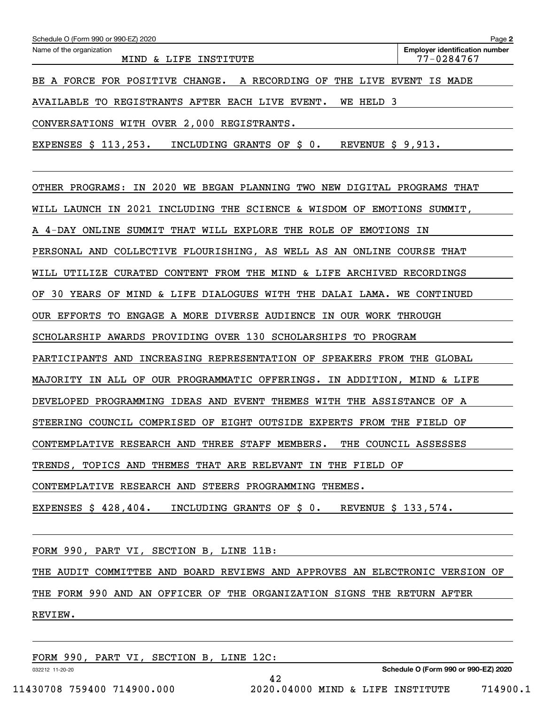| Schedule O (Form 990 or 990-EZ) 2020                                              | Page 2                                              |
|-----------------------------------------------------------------------------------|-----------------------------------------------------|
| Name of the organization<br>INSTITUTE<br>MIND<br>& LIFE                           | <b>Employer identification number</b><br>77-0284767 |
| BE A FORCE FOR POSITIVE CHANGE.<br>THE LIVE<br>A RECORDING OF                     | EVENT<br>IS MADE                                    |
| AVAILABLE TO REGISTRANTS AFTER EACH LIVE EVENT.<br><b>WE HELD</b><br>3            |                                                     |
| CONVERSATIONS WITH OVER 2,000 REGISTRANTS.                                        |                                                     |
| INCLUDING GRANTS OF \$ 0.<br>REVENUE $$9,913.$<br>EXPENSES \$ 113,253.            |                                                     |
| 2020<br>OTHER PROGRAMS:<br>IN<br>WE<br>BEGAN PLANNING<br>TWO NEW DIGITAL PROGRAMS | THAT                                                |
| 2021<br>INCLUDING THE SCIENCE & WISDOM OF<br>WILL LAUNCH IN                       | EMOTIONS SUMMIT,                                    |
| THAT WILL EXPLORE THE ROLE OF<br>A 4-DAY ONLINE SUMMIT<br><b>EMOTIONS</b>         | ΙN                                                  |
| COLLECTIVE FLOURISHING, AS WELL AS AN ONLINE COURSE THAT<br>PERSONAL AND          |                                                     |
| CONTENT FROM THE MIND & LIFE ARCHIVED<br>WILL UTILIZE<br><b>CURATED</b>           | RECORDINGS                                          |
| MIND & LIFE DIALOGUES WITH THE DALAI LAMA.<br>30 YEARS OF<br>ОF                   | <b>WE CONTINUED</b>                                 |
| OUR EFFORTS<br>TО<br>ENGAGE A MORE DIVERSE AUDIENCE<br>IN OUR WORK THROUGH        |                                                     |
| SCHOLARSHIP AWARDS PROVIDING OVER 130 SCHOLARSHIPS TO<br>PROGRAM                  |                                                     |
| PARTICIPANTS AND<br>INCREASING REPRESENTATION OF SPEAKERS FROM THE GLOBAL         |                                                     |
| MAJORITY IN ALL OF OUR PROGRAMMATIC OFFERINGS.                                    | IN ADDITION, MIND & LIFE                            |
| DEVELOPED PROGRAMMING IDEAS AND EVENT<br>THEMES WITH THE ASSISTANCE OF A          |                                                     |
| STEERING COUNCIL COMPRISED OF EIGHT OUTSIDE EXPERTS FROM THE FIELD OF             |                                                     |
| CONTEMPLATIVE RESEARCH AND THREE STAFF MEMBERS. THE COUNCIL ASSESSES              |                                                     |
| TRENDS, TOPICS AND THEMES THAT ARE RELEVANT IN THE FIELD OF                       |                                                     |
| CONTEMPLATIVE RESEARCH AND STEERS PROGRAMMING THEMES.                             |                                                     |
| EXPENSES $$428,404.$ INCLUDING GRANTS OF $$0.$ REVENUE $$133,574.$                |                                                     |
|                                                                                   |                                                     |

FORM 990, PART VI, SECTION B, LINE 11B:

THE AUDIT COMMITTEE AND BOARD REVIEWS AND APPROVES AN ELECTRONIC VERSION OF

42

THE FORM 990 AND AN OFFICER OF THE ORGANIZATION SIGNS THE RETURN AFTER

REVIEW.

FORM 990, PART VI, SECTION B, LINE 12C:

032212 11-20-20

Schedule O (Form 990 or 990-EZ) 2020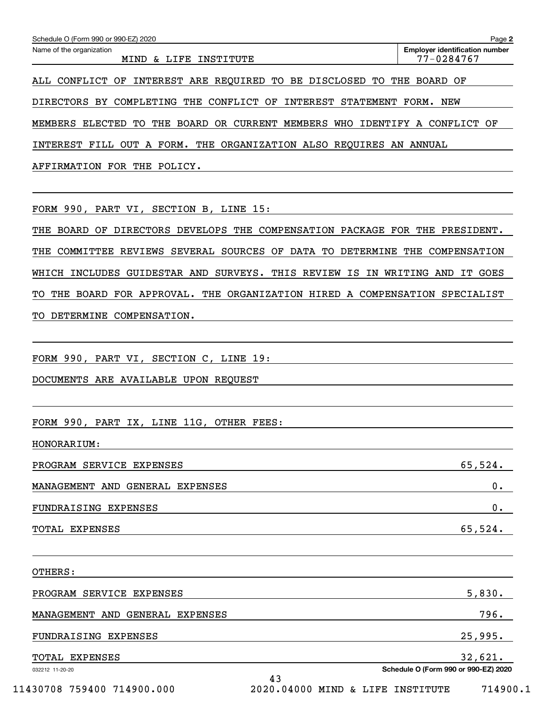| Schedule O (Form 990 or 990-EZ) 2020<br>Name of the organization               | Page 2<br><b>Employer identification number</b> |
|--------------------------------------------------------------------------------|-------------------------------------------------|
| MIND & LIFE INSTITUTE                                                          | 77-0284767                                      |
| ALL CONFLICT OF INTEREST ARE REQUIRED TO BE DISCLOSED TO THE BOARD OF          |                                                 |
| DIRECTORS BY COMPLETING THE CONFLICT OF INTEREST STATEMENT FORM. NEW           |                                                 |
| MEMBERS ELECTED TO THE BOARD OR CURRENT MEMBERS WHO IDENTIFY A CONFLICT OF     |                                                 |
| INTEREST FILL OUT A FORM. THE ORGANIZATION ALSO REQUIRES AN ANNUAL             |                                                 |
| AFFIRMATION FOR THE POLICY.                                                    |                                                 |
|                                                                                |                                                 |
| FORM 990, PART VI, SECTION B, LINE 15:                                         |                                                 |
| THE BOARD OF DIRECTORS DEVELOPS THE COMPENSATION PACKAGE FOR THE PRESIDENT.    |                                                 |
| COMMITTEE REVIEWS SEVERAL SOURCES OF DATA TO DETERMINE THE COMPENSATION<br>THE |                                                 |
| WHICH INCLUDES GUIDESTAR AND SURVEYS. THIS REVIEW IS IN WRITING AND IT GOES    |                                                 |
| TO THE BOARD FOR APPROVAL. THE ORGANIZATION HIRED A COMPENSATION SPECIALIST    |                                                 |
| TO DETERMINE COMPENSATION.                                                     |                                                 |
|                                                                                |                                                 |
| FORM 990, PART VI, SECTION C, LINE 19:                                         |                                                 |
| DOCUMENTS ARE AVAILABLE UPON REQUEST                                           |                                                 |
|                                                                                |                                                 |
| FORM 990, PART IX, LINE 11G, OTHER FEES:                                       |                                                 |
| HONORARIUM:                                                                    |                                                 |
| PROGRAM SERVICE EXPENSES                                                       | 65,524.                                         |
| MANAGEMENT AND GENERAL EXPENSES                                                | 0.                                              |
| FUNDRAISING EXPENSES                                                           | $0$ .                                           |
| TOTAL EXPENSES                                                                 | 65,524.                                         |
|                                                                                |                                                 |
| OTHERS:                                                                        |                                                 |
| PROGRAM SERVICE EXPENSES                                                       | 5,830.                                          |
| MANAGEMENT AND GENERAL EXPENSES                                                | 796.                                            |
| FUNDRAISING EXPENSES                                                           | 25,995.                                         |
| TOTAL EXPENSES                                                                 | 32,621.                                         |
| 032212 11-20-20<br>43                                                          | Schedule O (Form 990 or 990-EZ) 2020            |